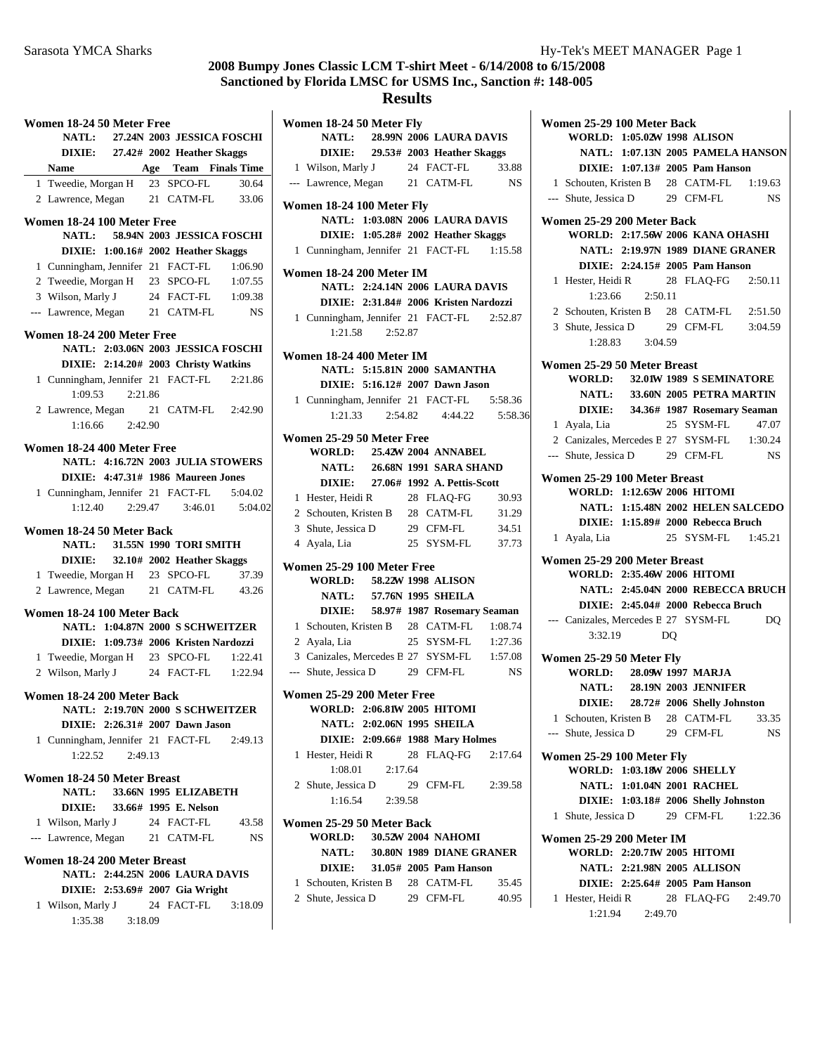**NATL:** 28.99N 2006 LAURA DAVIS

## **Results**

**Women 18-24 50 Meter Fly**

|              | Women 18-24 50 Meter Free                                    |         |                               |                                       |
|--------------|--------------------------------------------------------------|---------|-------------------------------|---------------------------------------|
|              |                                                              |         |                               | NATL: 27.24N 2003 JESSICA FOSCHI      |
|              | DIXIE: 27.42# 2002 Heather Skaggs                            |         |                               |                                       |
|              | Name                                                         |         |                               | <b>Age</b> Team Finals Time           |
| $\mathbf{1}$ | Tweedie, Morgan H                                            |         | 23 SPCO-FL                    | 30.64                                 |
|              | 2 Lawrence, Morgan 21 CATM-FL                                |         |                               | 33.06                                 |
|              | Women 18-24 100 Meter Free<br><b>NATL:</b>                   |         |                               | 58.94N 2003 JESSICA FOSCHI            |
|              | DIXIE: 1:00.16# 2002 Heather Skaggs                          |         |                               |                                       |
|              | 1 Cunningham, Jennifer 21 FACT-FL                            |         |                               | 1:06.90                               |
|              | 2 Tweedie, Morgan H 23 SPCO-FL 1:07.55                       |         |                               |                                       |
|              | 3 Wilson, Marly J                                            |         |                               | 24 FACT-FL 1:09.38                    |
|              | --- Lawrence, Megan 21 CATM-FL                               |         |                               | <b>NS</b>                             |
|              |                                                              |         |                               |                                       |
|              | Women 18-24 200 Meter Free                                   |         |                               | NATL: 2:03.06N 2003 JESSICA FOSCHI    |
|              | DIXIE: 2:14.20# 2003 Christy Watkins                         |         |                               |                                       |
|              | 1 Cunningham, Jennifer 21 FACT-FL 2:21.86                    |         |                               |                                       |
|              | 1:09.53                                                      | 2:21.86 |                               |                                       |
|              | 2 Lawrence, Megan 21 CATM-FL 2:42.90                         |         |                               |                                       |
|              | 1:16.66 2:42.90                                              |         |                               |                                       |
|              |                                                              |         |                               |                                       |
|              | Women 18-24 400 Meter Free                                   |         |                               |                                       |
|              |                                                              |         |                               | NATL: 4:16.72N 2003 JULIA STOWERS     |
|              | DIXIE: 4:47.31# 1986 Maureen Jones                           |         |                               |                                       |
|              | 1 Cunningham, Jennifer 21 FACT-FL                            |         |                               | 5:04.02                               |
|              |                                                              |         | $1:12.40$ $2:29.47$ $3:46.01$ | 5:04.02                               |
|              | Women 18-24 50 Meter Back                                    |         |                               |                                       |
|              | <b>NATL:</b> 31.55N 1990 TORI SMITH                          |         |                               |                                       |
|              | DIXIE: 32.10# 2002 Heather Skaggs                            |         |                               |                                       |
|              | 1 Tweedie, Morgan H 23 SPCO-FL                               |         |                               | 37.39                                 |
|              | 2 Lawrence, Megan 21 CATM-FL                                 |         |                               | 43.26                                 |
|              | Women 18-24 100 Meter Back                                   |         |                               |                                       |
|              |                                                              |         |                               | NATL: 1:04.87N 2000 S SCHWEITZER      |
|              |                                                              |         |                               | DIXIE: 1:09.73# 2006 Kristen Nardozzi |
|              | 1 Tweedie, Morgan H 23 SPCO-FL 1:22.41                       |         |                               |                                       |
|              | 2 Wilson, Marly J 24 FACT-FL 1:22.94                         |         |                               |                                       |
|              |                                                              |         |                               |                                       |
|              | Women 18-24 200 Meter Back                                   |         |                               |                                       |
|              | <b>NATL: 2:19.70N 2000 S SCHWEITZER</b>                      |         |                               |                                       |
|              | DIXIE: 2:26.31# 2007 Dawn Jason                              |         |                               |                                       |
|              | 1 Cunningham, Jennifer 21 FACT-FL 2:49.13<br>1:22.52 2:49.13 |         |                               |                                       |
|              |                                                              |         |                               |                                       |
|              | Women 18-24 50 Meter Breast                                  |         |                               |                                       |
|              | <b>NATL:</b>                                                 |         | 33.66N 1995 ELIZABETH         |                                       |
|              | DIXIE: 33.66# 1995 E. Nelson                                 |         |                               |                                       |
|              | 1 Wilson, Marly J                                            |         | 24 FACT-FL                    | 43.58                                 |
|              | --- Lawrence, Megan 21 CATM-FL                               |         |                               | <b>NS</b>                             |
|              | Women 18-24 200 Meter Breast                                 |         |                               |                                       |
|              | NATL: 2:44.25N 2006 LAURA DAVIS                              |         |                               |                                       |
|              | DIXIE: 2:53.69# 2007 Gia Wright                              |         |                               |                                       |
|              | 1 Wilson, Marly J 24 FACT-FL                                 |         |                               | 3:18.09                               |
|              | 1:35.38 3:18.09                                              |         |                               |                                       |
|              |                                                              |         |                               |                                       |

|   |                                                        |         | DIXIE: 29.53# 2003 Heather Skaggs          |           |
|---|--------------------------------------------------------|---------|--------------------------------------------|-----------|
|   | 1 Wilson, Marly J                                      |         | 24 FACT-FL                                 | 33.88     |
|   |                                                        |         | --- Lawrence, Megan 21 CATM-FL             | <b>NS</b> |
|   |                                                        |         |                                            |           |
|   | Women 18-24 100 Meter Fly                              |         | NATL: 1:03.08N 2006 LAURA DAVIS            |           |
|   |                                                        |         | DIXIE: 1:05.28# 2002 Heather Skaggs        |           |
|   |                                                        |         | 1 Cunningham, Jennifer 21 FACT-FL 1:15.58  |           |
|   |                                                        |         |                                            |           |
|   | Women 18-24 200 Meter IM                               |         |                                            |           |
|   |                                                        |         | <b>NATL: 2:24.14N 2006 LAURA DAVIS</b>     |           |
|   |                                                        |         | DIXIE: 2:31.84# 2006 Kristen Nardozzi      |           |
|   |                                                        |         | 1 Cunningham, Jennifer 21 FACT-FL 2:52.87  |           |
|   | 1:21.58                                                | 2:52.87 |                                            |           |
|   | Women 18-24 400 Meter IM                               |         |                                            |           |
|   |                                                        |         | NATL: 5:15.81N 2000 SAMANTHA               |           |
|   |                                                        |         | DIXIE: 5:16.12# 2007 Dawn Jason            |           |
|   |                                                        |         | 1 Cunningham, Jennifer 21 FACT-FL          | 5:58.36   |
|   | 1:21.33                                                |         | 2:54.82 4:44.22                            | 5:58.36   |
|   | Women 25-29 50 Meter Free                              |         |                                            |           |
|   |                                                        |         | <b>WORLD:</b> 25.42W 2004 ANNABEL          |           |
|   |                                                        |         | <b>NATL:</b> 26.68N 1991 SARA SHAND        |           |
|   |                                                        |         | DIXIE: 27.06# 1992 A. Pettis-Scott         |           |
|   | 1 Hester, Heidi R                                      |         | 28 FLAQ-FG                                 | 30.93     |
|   |                                                        |         | 2 Schouten, Kristen B 28 CATM-FL 31.29     |           |
|   | 3 Shute, Jessica D 29 CFM-FL                           |         |                                            | 34.51     |
|   | 4 Ayala, Lia                                           |         | 25 SYSM-FL                                 | 37.73     |
|   | Women 25-29 100 Meter Free                             |         |                                            |           |
|   |                                                        |         | WORLD: 58.22W 1998 ALISON                  |           |
|   |                                                        |         | NATL: 57.76N 1995 SHEILA                   |           |
|   |                                                        |         | DIXIE: 58.97# 1987 Rosemary Seaman         |           |
|   |                                                        |         | 1 Schouten, Kristen B 28 CATM-FL 1:08.74   |           |
|   | 2 Ayala, Lia                                           |         | 25 SYSM-FL 1:27.36                         |           |
|   |                                                        |         | 3 Canizales, Mercedes B 27 SYSM-FL 1:57.08 |           |
|   | --- Shute, Jessica D 29 CFM-FL                         |         |                                            | <b>NS</b> |
|   |                                                        |         |                                            |           |
|   | Women 25-29 200 Meter Free                             |         | WORLD: 2:06.81W 2005 HITOMI                |           |
|   |                                                        |         | <b>NATL: 2:02.06N 1995 SHEILA</b>          |           |
|   |                                                        |         | DIXIE: 2:09.66# 1988 Mary Holmes           |           |
| 1 | Hester, Heidi R                                        |         | 28 FLAQ-FG 2:17.64                         |           |
|   | 1:08.01                                                | 2:17.64 |                                            |           |
|   | 2 Shute, Jessica D                                     |         | 29 CFM-FL 2:39.58                          |           |
|   | 1:16.54                                                | 2:39.58 |                                            |           |
|   |                                                        |         |                                            |           |
|   | Women 25-29 50 Meter Back                              |         |                                            |           |
|   | <b>WORLD:</b>                                          |         | 30.52W 2004 NAHOMI                         |           |
|   |                                                        |         | NATL: 30.80N 1989 DIANE GRANER             |           |
|   |                                                        |         | DIXIE: 31.05# 2005 Pam Hanson              |           |
|   | 1 Schouten, Kristen B 28 CATM-FL<br>2 Shute, Jessica D |         | 29 CFM-FL                                  | 35.45     |
|   |                                                        |         |                                            | 40.95     |

|   | Women 25-29 100 Meter Back                                            |                 |                |                                      |                                   |
|---|-----------------------------------------------------------------------|-----------------|----------------|--------------------------------------|-----------------------------------|
|   | WORLD: 1:05.02W 1998 ALISON                                           |                 |                |                                      |                                   |
|   |                                                                       |                 |                |                                      | NATL: 1:07.13N 2005 PAMELA HANSON |
|   |                                                                       |                 |                | DIXIE: 1:07.13# 2005 Pam Hanson      |                                   |
|   | 1 Schouten, Kristen B 28 CATM-FL 1:19.63                              |                 |                |                                      |                                   |
|   | --- Shute, Jessica D 29 CFM-FL NS                                     |                 |                |                                      |                                   |
|   |                                                                       |                 |                |                                      |                                   |
|   | Women 25-29 200 Meter Back<br>WORLD: 2:17.56W 2006 KANA OHASHI        |                 |                |                                      |                                   |
|   |                                                                       |                 |                | NATL: 2:19.97N 1989 DIANE GRANER     |                                   |
|   |                                                                       |                 |                | DIXIE: 2:24.15# 2005 Pam Hanson      |                                   |
|   |                                                                       |                 |                | 28 FLAQ-FG 2:50.11                   |                                   |
|   | 1 Hester, Heidi R                                                     | 2:50.11         |                |                                      |                                   |
|   | 1:23.66                                                               |                 |                |                                      |                                   |
|   | 2 Schouten, Kristen B 28 CATM-FL 2:51.50                              |                 |                |                                      |                                   |
|   | 3 Shute, Jessica D 29 CFM-FL 3:04.59                                  |                 |                |                                      |                                   |
|   |                                                                       | 1:28.83 3:04.59 |                |                                      |                                   |
|   | Women 25-29 50 Meter Breast                                           |                 |                |                                      |                                   |
|   | WORLD: 32.01W 1989 S SEMINATORE                                       |                 |                |                                      |                                   |
|   |                                                                       |                 |                | NATL: 33.60N 2005 PETRA MARTIN       |                                   |
|   |                                                                       |                 |                | DIXIE: 34.36# 1987 Rosemary Seaman   |                                   |
|   | 1 Ayala, Lia                                                          |                 |                | 25 SYSM-FL                           | 47.07                             |
|   | 2 Canizales, Mercedes B 27 SYSM-FL 1:30.24                            |                 |                |                                      |                                   |
|   | --- Shute, Jessica D 29 CFM-FL                                        |                 |                |                                      | NS <sub>N</sub>                   |
|   |                                                                       |                 |                |                                      |                                   |
|   | Women 25-29 100 Meter Breast                                          |                 |                |                                      |                                   |
|   | WORLD: 1:12.65W 2006 HITOMI                                           |                 |                |                                      |                                   |
|   |                                                                       |                 |                | NATL: 1:15.48N 2002 HELEN SALCEDO    |                                   |
|   |                                                                       |                 |                | DIXIE: 1:15.89# 2000 Rebecca Bruch   |                                   |
|   | 1 Ayala, Lia                                                          |                 |                | 25 SYSM-FL 1:45.21                   |                                   |
|   | Women 25-29 200 Meter Breast                                          |                 |                |                                      |                                   |
|   | WORLD: 2:35.46W 2006 HITOMI                                           |                 |                |                                      |                                   |
|   |                                                                       |                 |                |                                      | NATL: 2:45.04N 2000 REBECCA BRUCH |
|   |                                                                       |                 |                | DIXIE: 2:45.04# 2000 Rebecca Bruch   |                                   |
|   | --- Canizales, Mercedes B 27 SYSM-FL                                  |                 |                |                                      | <b>DQ</b>                         |
|   | 3:32.19                                                               |                 | D <sub>O</sub> |                                      |                                   |
|   |                                                                       |                 |                |                                      |                                   |
|   | Women 25-29 50 Meter Fly                                              |                 |                |                                      |                                   |
|   | WORLD: 28.09W 1997 MARJA                                              |                 |                |                                      |                                   |
|   |                                                                       |                 |                | <b>NATL: 28.19N 2003 JENNIFER</b>    |                                   |
|   |                                                                       |                 |                | DIXIE: 28.72# 2006 Shelly Johnston   |                                   |
|   | 1 Schouten, Kristen B                                                 |                 |                | 28 CATM-FL                           | 33.35                             |
|   | --- Shute, Jessica D                                                  |                 |                | 29 CFM-FL                            | NS                                |
|   | Women 25-29 100 Meter Fly                                             |                 |                |                                      |                                   |
|   | <b>WORLD: 1:03.18W 2006 SHELLY</b>                                    |                 |                |                                      |                                   |
|   |                                                                       |                 |                | NATL: 1:01.04N 2001 RACHEL           |                                   |
|   |                                                                       |                 |                | DIXIE: 1:03.18# 2006 Shelly Johnston |                                   |
| 1 | Shute, Jessica D                                                      |                 |                | 29 CFM-FL                            | 1:22.36                           |
|   |                                                                       |                 |                |                                      |                                   |
|   | <b>Women 25-29 200 Meter IM</b><br><b>WORLD: 2:20.71W 2005 HITOMI</b> |                 |                |                                      |                                   |
|   |                                                                       |                 |                | <b>NATL: 2:21.98N 2005 ALLISON</b>   |                                   |
|   |                                                                       |                 |                | DIXIE: 2:25.64# 2005 Pam Hanson      |                                   |
|   |                                                                       |                 |                |                                      |                                   |
| 1 | Hester, Heidi R<br>1:21.94                                            | 2:49.70         |                | 28 FLAQ-FG 2:49.70                   |                                   |
|   |                                                                       |                 |                |                                      |                                   |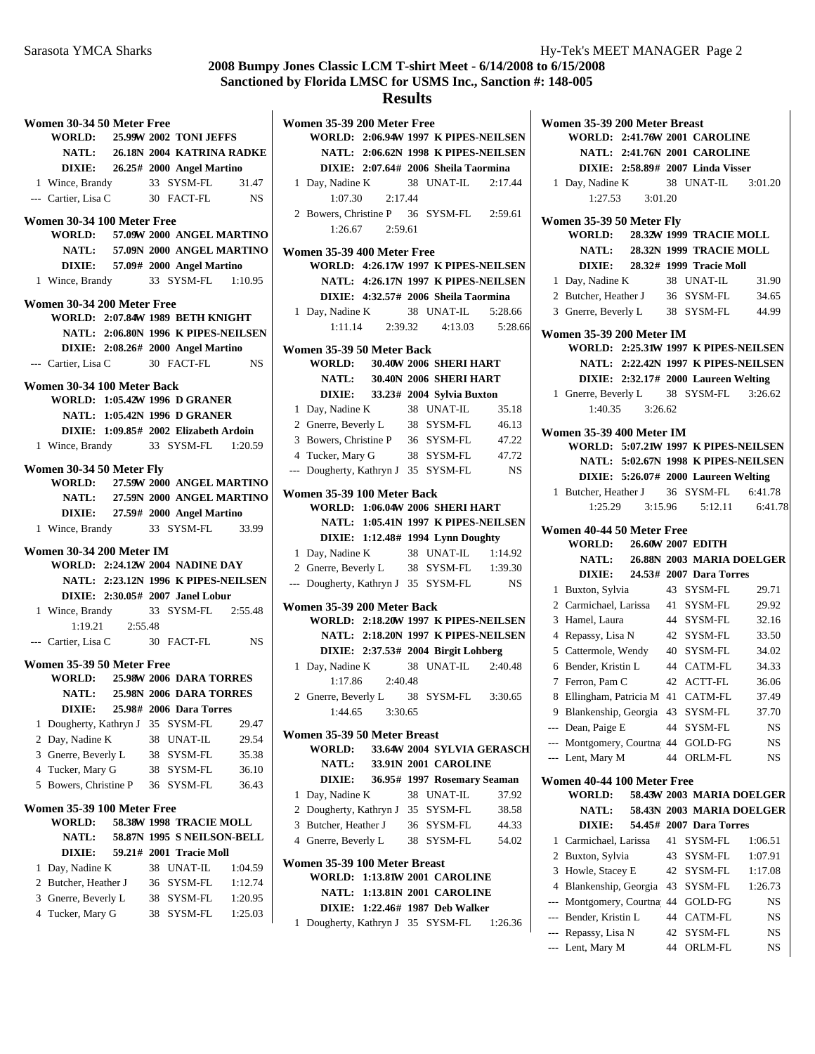#### **Results**

|        | Women 30-34 50 Meter Free                                       |                     |    |                                       |                                     |
|--------|-----------------------------------------------------------------|---------------------|----|---------------------------------------|-------------------------------------|
|        | WORLD: 25.99W 2002 TONI JEFFS                                   |                     |    |                                       |                                     |
|        |                                                                 |                     |    |                                       | NATL: 26.18N 2004 KATRINA RADKE     |
|        |                                                                 |                     |    | DIXIE: 26.25# 2000 Angel Martino      |                                     |
|        | 1 Wince, Brandy                                                 |                     |    | 33 SYSM-FL 31.47                      |                                     |
|        | --- Cartier, Lisa C                                             |                     |    | 30 FACT-FL                            | <b>NS</b>                           |
|        |                                                                 |                     |    |                                       |                                     |
|        | Women 30-34 100 Meter Free<br>WORLD: 57.09W 2000 ANGEL MARTINO  |                     |    |                                       |                                     |
|        |                                                                 |                     |    |                                       |                                     |
|        |                                                                 |                     |    |                                       | NATL: 57.09N 2000 ANGEL MARTINO     |
|        |                                                                 |                     |    | DIXIE: 57.09# 2000 Angel Martino      |                                     |
|        | 1 Wince, Brandy 33 SYSM-FL 1:10.95                              |                     |    |                                       |                                     |
|        | Women 30-34 200 Meter Free                                      |                     |    |                                       |                                     |
|        | <b>WORLD: 2:07.84W 1989 BETH KNIGHT</b>                         |                     |    |                                       |                                     |
|        |                                                                 |                     |    |                                       | NATL: 2:06.80N 1996 K PIPES-NEILSEN |
|        |                                                                 |                     |    | DIXIE: 2:08.26# 2000 Angel Martino    |                                     |
|        | --- Cartier, Lisa C 30 FACT-FL                                  |                     |    |                                       | NS NS                               |
|        | Women 30-34 100 Meter Back                                      |                     |    |                                       |                                     |
|        | <b>WORLD: 1:05.42W 1996 D GRANER</b>                            |                     |    |                                       |                                     |
|        |                                                                 |                     |    | <b>NATL: 1:05.42N 1996 D GRANER</b>   |                                     |
|        |                                                                 |                     |    | DIXIE: 1:09.85# 2002 Elizabeth Ardoin |                                     |
|        | 1 Wince, Brandy 33 SYSM-FL 1:20.59                              |                     |    |                                       |                                     |
|        |                                                                 |                     |    |                                       |                                     |
|        | Women 30-34 50 Meter Fly                                        |                     |    |                                       |                                     |
|        | WORLD: 27.59W 2000 ANGEL MARTINO                                |                     |    |                                       |                                     |
|        |                                                                 |                     |    |                                       | NATL: 27.59N 2000 ANGEL MARTINO     |
|        |                                                                 |                     |    | DIXIE: 27.59# 2000 Angel Martino      |                                     |
|        | 1 Wince, Brandy 33 SYSM-FL 33.99                                |                     |    |                                       |                                     |
|        | Women 30-34 200 Meter IM                                        |                     |    |                                       |                                     |
|        | <b>WORLD: 2:24.12W 2004 NADINE DAY</b>                          |                     |    |                                       |                                     |
|        |                                                                 |                     |    |                                       | NATL: 2:23.12N 1996 K PIPES-NEILSEN |
|        |                                                                 |                     |    | DIXIE: 2:30.05# 2007 Janel Lobur      |                                     |
|        | 1 Wince, Brandy 33 SYSM-FL 2:55.48                              |                     |    |                                       |                                     |
|        |                                                                 | $1:19.21$ $2:55.48$ |    |                                       |                                     |
|        | --- Cartier, Lisa C 30 FACT-FL NS                               |                     |    |                                       |                                     |
|        |                                                                 |                     |    |                                       |                                     |
|        | Women 35-39 50 Meter Free                                       |                     |    |                                       |                                     |
|        | WORLD: 25.98W 2006 DARA TORRES<br>NATL: 25.98N 2006 DARA TORRES |                     |    |                                       |                                     |
|        |                                                                 |                     |    |                                       |                                     |
|        |                                                                 |                     |    | <b>DIXIE:</b> 25.98# 2006 Dara Torres |                                     |
| 1      | Dougherty, Kathryn J 35 SYSM-FL                                 |                     |    |                                       | 29.47                               |
| 2      | Day, Nadine K                                                   |                     |    | 38 UNAT-IL                            | 29.54                               |
| 3      | Gnerre, Beverly L                                               |                     | 38 | SYSM-FL                               | 35.38                               |
| 4      | Tucker, Mary G                                                  |                     | 38 | SYSM-FL                               | 36.10                               |
| 5      | Bowers, Christine P                                             |                     | 36 | SYSM-FL                               | 36.43                               |
|        | Women 35-39 100 Meter Free                                      |                     |    |                                       |                                     |
|        | <b>WORLD:</b>                                                   |                     |    | 58.38W 1998 TRACIE MOLL               |                                     |
|        | <b>NATL:</b>                                                    |                     |    | 58.87N 1995 S NEILSON-BELL            |                                     |
|        | <b>DIXIE:</b>                                                   |                     |    | 59.21# 2001 Tracie Moll               |                                     |
|        | Day, Nadine K                                                   |                     |    | 38 UNAT-IL                            | 1:04.59                             |
| 1<br>2 |                                                                 |                     |    | 36 SYSM-FL                            | 1:12.74                             |
|        |                                                                 |                     |    |                                       |                                     |
|        | Butcher, Heather J                                              |                     |    |                                       |                                     |
| 3      | Gnerre, Beverly L                                               |                     |    | 38 SYSM-FL                            | 1:20.95                             |
| 4      | Tucker, Mary G                                                  |                     | 38 | SYSM-FL                               | 1:25.03                             |

**Women 35-39 200 Meter Free WORLD: 2:06.94W 1997 K PIPES-NEILSEN NATL: 2:06.62N 1998 K PIPES-NEILSEN DIXIE: 2:07.64# 2006 Sheila Taormina** 1 Day, Nadine K 38 UNAT-IL 2:17.44 1:07.30 2:17.44 2 Bowers, Christine P 36 SYSM-FL 2:59.61 1:26.67 2:59.61 **Women 35-39 400 Meter Free WORLD: 4:26.17W 1997 K PIPES-NEILSEN NATL: 4:26.17N 1997 K PIPES-NEILSEN DIXIE:** 4:32.57# 2006 Sheila Taormina 1 Day, Nadine K 38 UNAT-IL 5:28.66 1:11.14 2:39.32 4:13.03 5:28.66 **Women 35-39 50 Meter Back WORLD:** 30.40W 2006 **SHERI HART NATL:** 30.40N 2006 **SHERI HART DIXIE:** 33.23# 2004 Sylvia Buxton 1 35.18 Day, Nadine K 38 UNAT-IL 2 Gnerre, Beverly L 38 SYSM-FL 46.13 3 Bowers, Christine P 36 SYSM-FL 47.22 4 Tucker, Mary G 38 SYSM-FL 47.72 --- Dougherty, Kathryn J 35 SYSM-FL NS **Women 35-39 100 Meter Back WORLD: 1:06.04W 2006 SHERI HART NATL: 1:05.41N 1997 K PIPES-NEILSEN DIXIE: 1:12.48# 1994 Lynn Doughty** 1 Day, Nadine K 38 UNAT-IL 1:14.92 2 Gnerre, Beverly L 38 SYSM-FL 1:39.30 --- Dougherty, Kathryn J 35 SYSM-FL NS **Women 35-39 200 Meter Back WORLD: 2:18.20W 1997 K PIPES-NEILSEN NATL: 2:18.20N 1997 K PIPES-NEILSEN DIXIE: 2:37.53# 2004 Birgit Lohberg** 1 2:40.48 Day, Nadine K 38 UNAT-IL 1:17.86 2:40.48 2 Gnerre, Beverly L 38 SYSM-FL 3:30.65 1:44.65 3:30.65 **Women 35-39 50 Meter Breast WORLD:** 33.64W 2004 SYLVIA GERASCH **NATL:** 33.91N 2001 **CAROLINE DIXIE:** 36.95# 1997 Rosemary Seaman 1 37.92 Day, Nadine K 38 UNAT-IL 2 38.58 Dougherty, Kathryn J 35 SYSM-FL 3 Butcher, Heather J 36 SYSM-FL 44.33 4 Gnerre, Beverly L 38 SYSM-FL 54.02 **Women 35-39 100 Meter Breast WORLD: 1:13.81W 2001 CAROLINE NATL: 1:13.81N 2001 CAROLINE** 

**DIXIE:** 1:22.46# 1987 Deb Walker

1 Dougherty, Kathryn J 35 SYSM-FL 1:26.36

|              | Women 35-39 200 Meter Breast               |         |          |                                      |          |
|--------------|--------------------------------------------|---------|----------|--------------------------------------|----------|
|              | <b>WORLD: 2:41.76W 2001 CAROLINE</b>       |         |          |                                      |          |
|              |                                            |         |          | <b>NATL: 2:41.76N 2001 CAROLINE</b>  |          |
|              |                                            |         |          | DIXIE: 2:58.89# 2007 Linda Visser    |          |
| $\mathbf{1}$ | Day, Nadine K 38 UNAT-IL 3:01.20           |         |          |                                      |          |
|              | 1:27.53                                    | 3:01.20 |          |                                      |          |
|              |                                            |         |          |                                      |          |
|              | Women 35-39 50 Meter Fly<br><b>WORLD:</b>  |         |          | 28.32W 1999 TRACIE MOLL              |          |
|              | <b>NATL:</b>                               |         |          | 28.32N 1999 TRACIE MOLL              |          |
|              |                                            |         |          |                                      |          |
|              |                                            |         |          | DIXIE: 28.32# 1999 Tracie Moll       |          |
|              | 1 Day, Nadine K                            |         |          | 38 UNAT-IL                           | 31.90    |
|              | 2 Butcher, Heather J 36 SYSM-FL            |         |          |                                      | 34.65    |
|              | 3 Gnerre, Beverly L 38 SYSM-FL             |         |          |                                      | 44.99    |
|              | <b>Women 35-39 200 Meter IM</b>            |         |          |                                      |          |
|              | WORLD: 2:25.31W 1997 K PIPES-NEILSEN       |         |          |                                      |          |
|              |                                            |         |          | NATL: 2:22.42N 1997 K PIPES-NEILSEN  |          |
|              |                                            |         |          | DIXIE: 2:32.17# 2000 Laureen Welting |          |
|              | 1 Gnerre, Beverly L 38 SYSM-FL 3:26.62     |         |          |                                      |          |
|              | $1:40.35$ $3:26.62$                        |         |          |                                      |          |
|              |                                            |         |          |                                      |          |
|              | Women 35-39 400 Meter IM                   |         |          |                                      |          |
|              | WORLD: 5:07.21W 1997 K PIPES-NEILSEN       |         |          |                                      |          |
|              |                                            |         |          | NATL: 5:02.67N 1998 K PIPES-NEILSEN  |          |
|              |                                            |         |          | DIXIE: 5:26.07# 2000 Laureen Welting |          |
|              | 1 Butcher, Heather J 36 SYSM-FL            |         |          |                                      | 6:41.78  |
|              |                                            |         |          | 1:25.29 3:15.96 5:12.11 6:41.78      |          |
|              |                                            |         |          |                                      |          |
|              |                                            |         |          |                                      |          |
|              | Women 40-44 50 Meter Free<br><b>WORLD:</b> |         |          | 26.60W 2007 EDITH                    |          |
|              |                                            |         |          | NATL: 26.88N 2003 MARIA DOELGER      |          |
|              |                                            |         |          | DIXIE: 24.53# 2007 Dara Torres       |          |
| 1            |                                            |         |          | 43 SYSM-FL                           | 29.71    |
|              | Buxton, Sylvia                             |         |          |                                      |          |
|              | 2 Carmichael, Larissa 41 SYSM-FL           |         |          |                                      | 29.92    |
|              | 3 Hamel, Laura                             |         |          | 44 SYSM-FL                           | 32.16    |
|              | 4 Repassy, Lisa N                          |         |          | 42 SYSM-FL                           | 33.50    |
|              | 5 Cattermole, Wendy 40 SYSM-FL             |         |          |                                      | 34.02    |
|              | 6 Bender, Kristin L                        |         |          | 44 CATM-FL                           | 34.33    |
|              | 7 Ferron, Pam C                            |         |          | 42 ACTT-FL                           | 36.06    |
| 8            | Ellingham, Patricia M 41 CATM-FL           |         |          |                                      | 37.49    |
|              | 9 Blankenship, Georgia 43 SYSM-FL 37.70    |         |          |                                      |          |
|              | --- Dean, Paige E                          |         |          | 44 SYSM-FL                           | NS       |
|              | --- Montgomery, Courtna 44 GOLD-FG         |         |          |                                      | NS       |
|              | --- Lent, Mary M                           |         |          | 44 ORLM-FL                           | NS       |
|              | Women 40-44 100 Meter Free                 |         |          |                                      |          |
|              | WORLD:                                     |         |          | 58.43W 2003 MARIA DOELGER            |          |
|              | <b>NATL:</b>                               |         |          | 58.43N 2003 MARIA DOELGER            |          |
|              | <b>DIXIE:</b>                              |         |          |                                      |          |
| 1            |                                            |         | 41       | 54.45# 2007 Dara Torres              |          |
|              | Carmichael, Larissa                        |         |          | SYSM-FL                              | 1:06.51  |
| 2            | Buxton, Sylvia                             |         | 43       | SYSM-FL                              | 1:07.91  |
| 3            | Howle, Stacey E                            |         |          | 42 SYSM-FL                           | 1:17.08  |
| 4            | Blankenship, Georgia 43 SYSM-FL            |         |          |                                      | 1:26.73  |
|              | --- Montgomery, Courtna 44 GOLD-FG         |         |          |                                      | NS       |
|              | --- Bender, Kristin L                      |         |          | 44 CATM-FL                           | NS       |
|              | --- Repassy, Lisa N<br>--- Lent, Mary M    |         | 42<br>44 | SYSM-FL<br>ORLM-FL                   | NS<br>NS |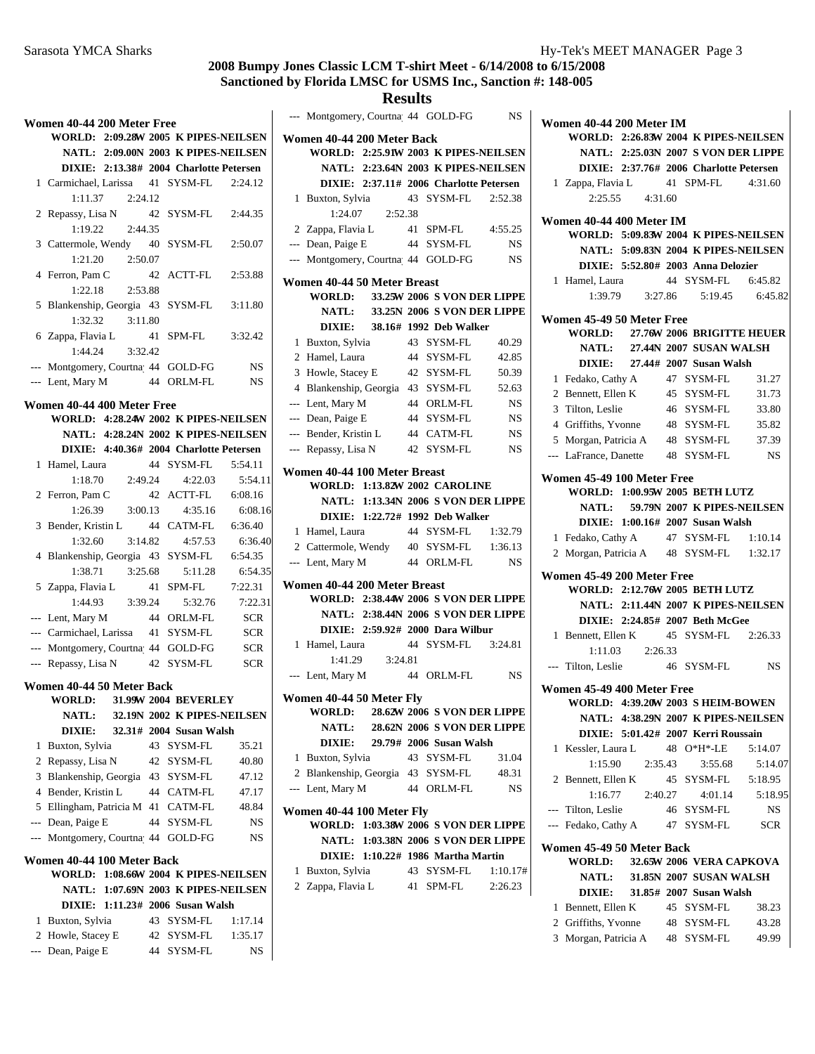## **Results**

|                | Women 40-44 200 Meter Free                |                               |            |
|----------------|-------------------------------------------|-------------------------------|------------|
|                | WORLD: 2:09.28W 2005 K PIPES-NEILSEN      |                               |            |
|                | NATL: 2:09.00N 2003 K PIPES-NEILSEN       |                               |            |
|                | DIXIE: 2:13.38# 2004 Charlotte Petersen   |                               |            |
|                | 1 Carmichael, Larissa 41 SYSM-FL          |                               | 2:24.12    |
|                | $1:11.37$ $2:24.12$                       |                               |            |
|                | 2 Repassy, Lisa N                         | 42 SYSM-FL                    | 2:44.35    |
|                | 1:19.22<br>2:44.35                        |                               |            |
|                | 3 Cattermole, Wendy 40 SYSM-FL            |                               | 2:50.07    |
|                | 1:21.20 2:50.07                           |                               |            |
|                |                                           | 42 ACTT-FL                    | 2:53.88    |
|                | 4 Ferron, Pam C                           |                               |            |
|                | 1:22.18<br>2:53.88                        |                               |            |
|                | 5 Blankenship, Georgia 43 SYSM-FL         |                               | 3:11.80    |
|                | 1:32.32<br>3:11.80                        |                               |            |
|                | 6 Zappa, Flavia L                         | 41 SPM-FL                     | 3:32.42    |
|                | 1:44.24<br>3:32.42                        |                               |            |
|                | --- Montgomery, Courtna 44 GOLD-FG        |                               | <b>NS</b>  |
|                | --- Lent, Mary M 44 ORLM-FL               |                               | NS         |
|                | Women 40-44 400 Meter Free                |                               |            |
|                | WORLD: 4:28.24W 2002 K PIPES-NEILSEN      |                               |            |
|                | NATL: 4:28.24N 2002 K PIPES-NEILSEN       |                               |            |
|                | DIXIE: 4:40.36# 2004 Charlotte Petersen   |                               |            |
|                |                                           |                               |            |
|                | 1 Hamel, Laura                            | 44 SYSM-FL                    | 5:54.11    |
|                | 2:49.24<br>1:18.70                        | 4:22.03                       | 5:54.11    |
|                | 2 Ferron, Pam C                           | 42 ACTT-FL 6:08.16            |            |
|                | 3:00.13<br>1:26.39                        | 4:35.16                       | 6:08.16    |
|                | 3 Bender, Kristin L 44 CATM-FL 6:36.40    |                               |            |
|                | 1:32.60<br>3:14.82                        | 4:57.53                       | 6:36.40    |
|                | 4 Blankenship, Georgia 43 SYSM-FL 6:54.35 |                               |            |
|                |                                           |                               |            |
|                |                                           | 5:11.28                       | 6:54.35    |
|                | 1:38.71 3:25.68                           |                               | 7:22.31    |
|                | 5 Zappa, Flavia L 41 SPM-FL               | 5:32.76                       | 7:22.31    |
|                | 1:44.93<br>3:39.24                        |                               |            |
|                | --- Lent, Mary M                          | 44 ORLM-FL                    | <b>SCR</b> |
|                | --- Carmichael, Larissa 41 SYSM-FL        |                               | <b>SCR</b> |
|                | --- Montgomery, Courtna 44 GOLD-FG        |                               | <b>SCR</b> |
|                | --- Repassy, Lisa N                       | 42 SYSM-FL                    | <b>SCR</b> |
|                | Women 40-44 50 Meter Back                 |                               |            |
|                | WORLD: 31.99W 2004 BEVERLEY               |                               |            |
|                | NATL:                                     | 32.19N 2002 K PIPES-NEILSEN   |            |
|                | <b>DIXIE:</b>                             | 32.31# 2004 Susan Walsh       |            |
| 1              | Buxton, Sylvia                            | 43 SYSM-FL                    | 35.21      |
| $\mathfrak{2}$ | Repassy, Lisa N                           | 42 SYSM-FL                    | 40.80      |
| 3              | Blankenship, Georgia                      | 43 SYSM-FL                    | 47.12      |
| $\overline{4}$ | Bender, Kristin L                         | 44 CATM-FL                    | 47.17      |
| 5              |                                           | 41 CATM-FL                    | 48.84      |
|                | Ellingham, Patricia M                     | 44 SYSM-FL                    | NS         |
| $---$          | --- Dean, Paige E                         |                               |            |
|                | Montgomery, Courtna 44 GOLD-FG            |                               | NS         |
|                | Women 40-44 100 Meter Back                |                               |            |
|                | <b>WORLD:</b>                             | 1:08.66W 2004 K PIPES-NEILSEN |            |
|                | <b>NATL:</b>                              | 1:07.69N 2003 K PIPES-NEILSEN |            |
|                | DIXIE: 1:11.23# 2006 Susan Walsh          |                               |            |
| 1              | Buxton, Sylvia                            | 43 SYSM-FL                    | 1:17.14    |
| 2              | Howle, Stacey E                           | 42 SYSM-FL                    | 1:35.17    |

|   | --- Montgomery, Courtna 44 GOLD-FG  |                     |    |                                                  | <b>NS</b>                                   |
|---|-------------------------------------|---------------------|----|--------------------------------------------------|---------------------------------------------|
|   | Women 40-44 200 Meter Back          |                     |    |                                                  |                                             |
|   |                                     |                     |    |                                                  | WORLD: 2:25.91W 2003 K PIPES-NEILSEN        |
|   |                                     |                     |    |                                                  | NATL: 2:23.64N 2003 K PIPES-NEILSEN         |
|   |                                     |                     |    | DIXIE: 2:37.11# 2006 Charlotte Petersen          |                                             |
|   | 1 Buxton, Sylvia                    |                     |    | 43 SYSM-FL                                       | 2:52.38                                     |
|   |                                     | $1:24.07$ $2:52.38$ |    |                                                  |                                             |
|   | 2 Zappa, Flavia L                   |                     |    | 41 SPM-FL                                        | 4:55.25                                     |
|   | --- Dean, Paige E                   |                     |    | 44 SYSM-FL                                       | <b>NS</b>                                   |
|   | --- Montgomery, Courtna 44 GOLD-FG  |                     |    |                                                  | <b>NS</b>                                   |
|   | Women 40-44 50 Meter Breast         |                     |    |                                                  |                                             |
|   |                                     |                     |    |                                                  | WORLD: 33.25W 2006 S VON DER LIPPE          |
|   |                                     |                     |    |                                                  | NATL: 33.25N 2006 S VON DER LIPPE           |
|   |                                     |                     |    | DIXIE: 38.16# 1992 Deb Walker                    |                                             |
|   | 1 Buxton, Sylvia                    |                     |    | 43 SYSM-FL                                       | 40.29                                       |
|   | 2 Hamel, Laura                      |                     |    | 44 SYSM-FL                                       | 42.85                                       |
|   | 3 Howle, Stacey E                   |                     | 42 | SYSM-FL                                          | 50.39                                       |
|   | 4 Blankenship, Georgia 43           |                     |    | SYSM-FL                                          | 52.63                                       |
|   | --- Lent, Mary M                    |                     |    | 44 ORLM-FL                                       | <b>NS</b>                                   |
|   | --- Dean, Paige E                   |                     | 44 | SYSM-FL                                          | NS                                          |
|   | --- Bender, Kristin L               |                     |    | 44 CATM-FL                                       | <b>NS</b>                                   |
|   | --- Repassy, Lisa N                 |                     |    | 42 SYSM-FL                                       | <b>NS</b>                                   |
|   | Women 40-44 100 Meter Breast        |                     |    |                                                  |                                             |
|   |                                     |                     |    | WORLD: 1:13.82W 2002 CAROLINE                    |                                             |
|   |                                     |                     |    |                                                  | NATL: 1:13.34N 2006 S VON DER LIPPE         |
|   |                                     |                     |    | DIXIE: 1:22.72# 1992 Deb Walker                  |                                             |
|   | 1 Hamel, Laura                      |                     |    | 44 SYSM-FL                                       | 1:32.79                                     |
|   | 2 Cattermole, Wendy 40 SYSM-FL      |                     |    |                                                  | 1:36.13                                     |
|   | --- Lent, Mary M                    |                     |    | 44 ORLM-FL                                       | <b>NS</b>                                   |
|   | Women 40-44 200 Meter Breast        |                     |    |                                                  |                                             |
|   |                                     |                     |    |                                                  | <b>WORLD: 2:38.44W 2006 S VON DER LIPPE</b> |
|   |                                     |                     |    |                                                  | NATL: 2:38.44N 2006 S VON DER LIPPE         |
|   |                                     |                     |    | DIXIE: 2:59.92# 2000 Dara Wilbur                 |                                             |
|   | 1 Hamel, Laura                      |                     |    | 44 SYSM-FL 3:24.81                               |                                             |
|   |                                     |                     |    |                                                  |                                             |
|   | --- Lent, Mary M                    |                     |    | 44 ORLM-FL                                       | <b>NS</b>                                   |
|   | Women 40-44 50 Meter Fly            |                     |    |                                                  |                                             |
|   | WORLD:                              |                     |    |                                                  | 28.62W 2006 S VON DER LIPPE                 |
|   | <b>NATL:</b>                        |                     |    |                                                  | 28.62N 2006 S VON DER LIPPE                 |
|   |                                     |                     |    | DIXIE: 29.79# 2006 Susan Walsh                   |                                             |
| 1 | Buxton, Sylvia                      |                     |    | 43 SYSM-FL                                       | 31.04                                       |
|   | 2 Blankenship, Georgia 43 SYSM-FL   |                     |    |                                                  | 48.31                                       |
|   | --- Lent, Mary M                    |                     |    | 44 ORLM-FL                                       | <b>NS</b>                                   |
|   |                                     |                     |    |                                                  |                                             |
|   | Women 40-44 100 Meter Fly           |                     |    |                                                  |                                             |
|   |                                     |                     |    |                                                  | <b>WORLD: 1:03.38W 2006 S VON DER LIPPE</b> |
|   |                                     |                     |    |                                                  | NATL: 1:03.38N 2006 S VON DER LIPPE         |
| 1 | Buxton, Sylvia                      |                     |    | DIXIE: 1:10.22# 1986 Martha Martin<br>43 SYSM-FL | 1:10.17#                                    |
|   | 2 Zappa, Flavia L 41 SPM-FL 2:26.23 |                     |    |                                                  |                                             |
|   |                                     |                     |    |                                                  |                                             |

|                | Women 40-44 200 Meter IM                |                                         |            |
|----------------|-----------------------------------------|-----------------------------------------|------------|
|                | WORLD: 2:26.83W 2004 K PIPES-NEILSEN    |                                         |            |
|                |                                         | NATL: 2:25.03N 2007 S VON DER LIPPE     |            |
|                |                                         | DIXIE: 2:37.76# 2006 Charlotte Petersen |            |
|                | 1 Zappa, Flavia L 41 SPM-FL 4:31.60     |                                         |            |
|                | $2:25.55$ $4:31.60$                     |                                         |            |
|                | Women 40-44 400 Meter IM                |                                         |            |
|                | WORLD: 5:09.83W 2004 K PIPES-NEILSEN    |                                         |            |
|                |                                         | NATL: 5:09.83N 2004 K PIPES-NEILSEN     |            |
|                |                                         | DIXIE: 5:52.80# 2003 Anna Delozier      |            |
|                | 1 Hamel, Laura                          | 44 SYSM-FL 6:45.82                      |            |
|                |                                         | 1:39.79 3:27.86 5:19.45                 | 6:45.82    |
|                | Women 45-49 50 Meter Free               |                                         |            |
|                | WORLD: 27.76W 2006 BRIGITTE HEUER       |                                         |            |
|                |                                         | NATL: 27.44N 2007 SUSAN WALSH           |            |
|                |                                         | DIXIE: 27.44# 2007 Susan Walsh          |            |
|                |                                         |                                         |            |
|                | 1 Fedako, Cathy A                       | 47 SYSM-FL                              | 31.27      |
|                | 2 Bennett, Ellen K                      | 45 SYSM-FL                              | 31.73      |
|                | 3 Tilton, Leslie                        | 46 SYSM-FL                              | 33.80      |
|                | 4 Griffiths, Yvonne                     | 48 SYSM-FL                              | 35.82      |
|                | 5 Morgan, Patricia A                    | 48 SYSM-FL                              | 37.39      |
|                | --- LaFrance, Danette                   | 48 SYSM-FL                              | NS         |
|                | Women 45-49 100 Meter Free              |                                         |            |
|                | WORLD: 1:00.95W 2005 BETH LUTZ          |                                         |            |
|                |                                         | NATL: 59.79N 2007 K PIPES-NEILSEN       |            |
|                |                                         | DIXIE: 1:00.16# 2007 Susan Walsh        |            |
|                | 1 Fedako, Cathy A                       | 47 SYSM-FL 1:10.14                      |            |
|                |                                         |                                         |            |
|                | 2 Morgan, Patricia A 48 SYSM-FL 1:32.17 |                                         |            |
|                | Women 45-49 200 Meter Free              |                                         |            |
|                | WORLD: 2:12.76W 2005 BETH LUTZ          |                                         |            |
|                |                                         | NATL: 2:11.44N 2007 K PIPES-NEILSEN     |            |
|                |                                         | DIXIE: 2:24.85# 2007 Beth McGee         |            |
|                | 1 Bennett, Ellen K 45 SYSM-FL 2:26.33   |                                         |            |
|                | $1:11.03$ $2:26.33$                     |                                         |            |
| $---$          | Tilton, Leslie 46 SYSM-FL               |                                         | NS         |
|                |                                         |                                         |            |
|                | Women 45-49 400 Meter Free              |                                         |            |
|                | WORLD: 4:39.20W 2003 S HEIM-BOWEN       |                                         |            |
|                |                                         | NATL: 4:38.29N 2007 K PIPES-NEILSEN     |            |
|                |                                         | DIXIE: 5:01.42# 2007 Kerri Roussain     |            |
| 1              | Kessler, Laura L                        | 48 O*H*-LE                              | 5:14.07    |
|                | 1:15.90<br>2:35.43                      | 3:55.68                                 | 5:14.07    |
|                | 2 Bennett, Ellen K                      | 45 SYSM-FL                              | 5:18.95    |
|                | 1:16.77                                 | 2:40.27<br>4:01.14                      | 5:18.95    |
|                | --- Tilton, Leslie                      | 46 SYSM-FL                              | NS         |
| $\overline{a}$ | Fedako, Cathy A                         | 47 SYSM-FL                              | <b>SCR</b> |
|                | Women 45-49 50 Meter Back               |                                         |            |
|                | <b>WORLD:</b>                           | 32.65W 2006 VERA CAPKOVA                |            |
|                | <b>NATL:</b>                            | 31.85N 2007 SUSAN WALSH                 |            |
|                | <b>DIXIE:</b>                           | 31.85# 2007 Susan Walsh                 |            |
| 1              | Bennett, Ellen K                        | 45 SYSM-FL                              | 38.23      |
|                |                                         |                                         |            |
|                | 2 Griffiths, Yvonne                     | 48 SYSM-FL                              | 43.28      |
|                | 3 Morgan, Patricia A                    | 48 SYSM-FL                              | 49.99      |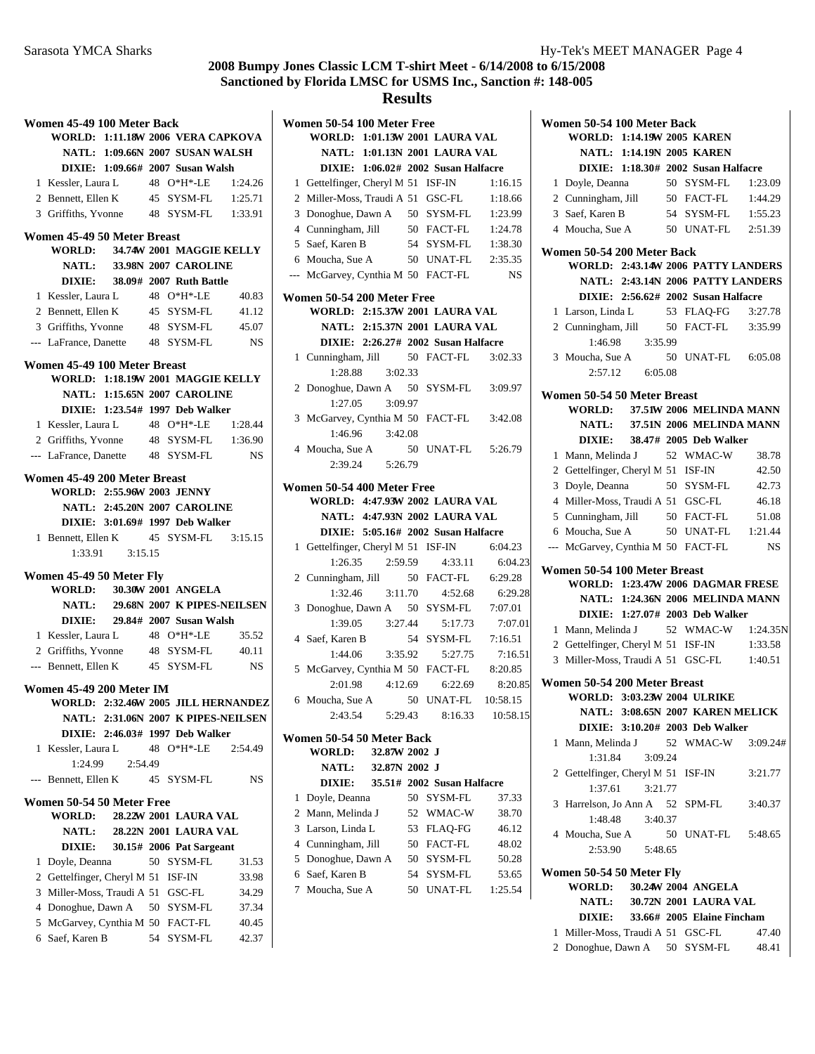## **Results**

|                | Women 45-49 100 Meter Back             |         |  |                                               |                                     |
|----------------|----------------------------------------|---------|--|-----------------------------------------------|-------------------------------------|
|                | WORLD: 1:11.18W 2006 VERA CAPKOVA      |         |  |                                               |                                     |
|                |                                        |         |  | NATL: 1:09.66N 2007 SUSAN WALSH               |                                     |
|                |                                        |         |  | DIXIE: 1:09.66# 2007 Susan Walsh              |                                     |
|                | 1 Kessler, Laura L                     |         |  | 48 O*H*-LE                                    | 1:24.26                             |
|                | 2 Bennett, Ellen K                     |         |  | 45 SYSM-FL                                    | 1:25.71                             |
|                | 3 Griffiths, Yvonne 48 SYSM-FL 1:33.91 |         |  |                                               |                                     |
|                | Women 45-49 50 Meter Breast            |         |  |                                               |                                     |
|                | WORLD: 34.74W 2001 MAGGIE KELLY        |         |  |                                               |                                     |
|                |                                        |         |  | <b>NATL: 33.98N 2007 CAROLINE</b>             |                                     |
|                |                                        |         |  | DIXIE: 38.09# 2007 Ruth Battle                |                                     |
|                | 1 Kessler, Laura L 48 O*H*-LE          |         |  |                                               | 40.83                               |
|                | 2 Bennett, Ellen K 45 SYSM-FL 41.12    |         |  |                                               |                                     |
|                | 3 Griffiths, Yvonne 48 SYSM-FL         |         |  |                                               | 45.07                               |
|                | --- LaFrance, Danette 48 SYSM-FL       |         |  |                                               | <b>NS</b>                           |
|                | Women 45-49 100 Meter Breast           |         |  |                                               |                                     |
|                | WORLD: 1:18.19W 2001 MAGGIE KELLY      |         |  |                                               |                                     |
|                |                                        |         |  | <b>NATL: 1:15.65N 2007 CAROLINE</b>           |                                     |
|                |                                        |         |  | DIXIE: 1:23.54# 1997 Deb Walker               |                                     |
|                | 1 Kessler, Laura L 48 O*H*-LE          |         |  |                                               | 1:28.44                             |
|                | 2 Griffiths, Yvonne 48 SYSM-FL 1:36.90 |         |  |                                               |                                     |
|                | --- LaFrance, Danette 48 SYSM-FL       |         |  |                                               | <b>NS</b>                           |
|                | Women 45-49 200 Meter Breast           |         |  |                                               |                                     |
|                | <b>WORLD: 2:55.96W 2003 JENNY</b>      |         |  |                                               |                                     |
|                |                                        |         |  | <b>NATL: 2:45.20N 2007 CAROLINE</b>           |                                     |
|                |                                        |         |  | DIXIE: 3:01.69# 1997 Deb Walker               |                                     |
|                | 1 Bennett, Ellen K 45 SYSM-FL 3:15.15  |         |  |                                               |                                     |
|                |                                        |         |  |                                               |                                     |
|                | Women 45-49 50 Meter Fly               |         |  |                                               |                                     |
|                | <b>WORLD:</b>                          |         |  | 30.30W 2001 ANGELA                            |                                     |
|                | <b>NATL:</b>                           |         |  |                                               | 29.68N 2007 K PIPES-NEILSEN         |
|                |                                        |         |  | DIXIE: 29.84# 2007 Susan Walsh                |                                     |
|                | 1 Kessler, Laura L                     |         |  | 48 O*H*-LE                                    | 35.52                               |
|                | 2 Griffiths, Yvonne 48 SYSM-FL         |         |  |                                               | 40.11                               |
|                | --- Bennett, Ellen K 45 SYSM-FL        |         |  |                                               | <b>NS</b>                           |
|                | Women 45-49 200 Meter IM               |         |  |                                               |                                     |
|                |                                        |         |  |                                               | WORLD: 2:32.46W 2005 JILL HERNANDEZ |
|                |                                        |         |  |                                               | NATL: 2:31.06N 2007 K PIPES-NEILSEN |
|                | Kessler, Laura L                       |         |  | DIXIE: 2:46.03# 1997 Deb Walker<br>48 O*H*-LE | 2:54.49                             |
| 1              | 1:24.99                                | 2:54.49 |  |                                               |                                     |
| $\overline{a}$ | Bennett, Ellen K                       |         |  | 45 SYSM-FL                                    | NS                                  |
|                |                                        |         |  |                                               |                                     |
|                | Women 50-54 50 Meter Free              |         |  | 28.22W 2001 LAURA VAL                         |                                     |
|                | <b>WORLD:</b><br><b>NATL:</b>          |         |  | 28.22N 2001 LAURA VAL                         |                                     |
|                | <b>DIXIE:</b>                          |         |  | 30.15# 2006 Pat Sargeant                      |                                     |
| 1              | Doyle, Deanna                          |         |  | 50 SYSM-FL                                    | 31.53                               |
| 2              | Gettelfinger, Cheryl M 51 ISF-IN       |         |  |                                               | 33.98                               |
| 3              | Miller-Moss, Traudi A 51 GSC-FL        |         |  |                                               | 34.29                               |
|                | 4 Donoghue, Dawn A                     |         |  | 50 SYSM-FL                                    | 37.34                               |
| 5              | McGarvey, Cynthia M 50 FACT-FL         |         |  |                                               | 40.45                               |
|                |                                        |         |  | 54 SYSM-FL                                    | 42.37                               |
| 6              | Saef, Karen B                          |         |  |                                               |                                     |

|                | Women 50-54 100 Meter Free             |               |    |                                     |          |
|----------------|----------------------------------------|---------------|----|-------------------------------------|----------|
|                | WORLD: 1:01.13W 2001 LAURA VAL         |               |    |                                     |          |
|                |                                        |               |    | NATL: 1:01.13N 2001 LAURA VAL       |          |
|                |                                        |               |    | DIXIE: 1:06.02# 2002 Susan Halfacre |          |
| 1              | Gettelfinger, Cheryl M 51 ISF-IN       |               |    |                                     | 1:16.15  |
| $\overline{2}$ | Miller-Moss, Traudi A 51 GSC-FL        |               |    |                                     | 1:18.66  |
| 3              | Donoghue, Dawn A 50 SYSM-FL            |               |    |                                     | 1:23.99  |
|                | 4 Cunningham, Jill                     |               |    | 50 FACT-FL                          | 1:24.78  |
|                | 5 Saef, Karen B                        |               |    | 54 SYSM-FL 1:38.30                  |          |
|                | 6 Moucha, Sue A                        |               |    | 50 UNAT-FL 2:35.35                  |          |
|                | --- McGarvey, Cynthia M 50 FACT-FL     |               |    |                                     | NS       |
|                | Women 50-54 200 Meter Free             |               |    |                                     |          |
|                | WORLD: 2:15.37W 2001 LAURA VAL         |               |    |                                     |          |
|                |                                        |               |    | NATL: 2:15.37N 2001 LAURA VAL       |          |
|                |                                        |               |    | DIXIE: 2:26.27# 2002 Susan Halfacre |          |
| 1              | Cunningham, Jill                       |               |    | 50 FACT-FL                          | 3:02.33  |
|                | 1:28.88                                | 3:02.33       |    |                                     |          |
|                | 2 Donoghue, Dawn A 50 SYSM-FL 3:09.97  |               |    |                                     |          |
|                | 1:27.05                                | 3:09.97       |    |                                     |          |
|                | 3 McGarvey, Cynthia M 50 FACT-FL       |               |    |                                     | 3:42.08  |
|                | 1:46.96                                | 3:42.08       |    |                                     |          |
|                | 4 Moucha, Sue A                        |               |    | 50 UNAT-FL                          | 5:26.79  |
|                | 2:39.24                                | 5:26.79       |    |                                     |          |
|                | Women 50-54 400 Meter Free             |               |    |                                     |          |
|                | WORLD: 4:47.93W 2002 LAURA VAL         |               |    |                                     |          |
|                |                                        |               |    | NATL: 4:47.93N 2002 LAURA VAL       |          |
|                |                                        |               |    | DIXIE: 5:05.16# 2002 Susan Halfacre |          |
| 1              | Gettelfinger, Cheryl M 51 ISF-IN       |               |    |                                     | 6:04.23  |
|                | 1:26.35                                | 2:59.59       |    | 4:33.11                             | 6:04.23  |
| $\overline{2}$ | Cunningham, Jill 50 FACT-FL            |               |    |                                     | 6:29.28  |
|                | 1:32.46                                |               |    | 3:11.70  4:52.68                    | 6:29.28  |
| 3              | Donoghue, Dawn A 50                    |               |    | SYSM-FL                             | 7:07.01  |
|                | $1:39.05$ $3:27.44$                    |               |    | 5:17.73                             | 7:07.01  |
|                | 4 Saef, Karen B                        |               |    | 54 SYSM-FL                          | 7:16.51  |
|                | 1:44.06 3:35.92                        |               |    | 5:27.75                             | 7:16.51  |
| 5              | McGarvey, Cynthia M 50 FACT-FL 8:20.85 |               |    |                                     |          |
|                |                                        |               |    | 2:01.98 4:12.69 6:22.69             | 8:20.85  |
| 6              | Moucha, Sue A                          |               |    | 50 UNAT-FL 10:58.15                 |          |
|                | 2:43.54                                | 5:29.43       |    | 8:16.33                             | 10:58.15 |
|                |                                        |               |    |                                     |          |
|                | Women 50-54 50 Meter Back<br>WORLD:    | 32.87W 2002 J |    |                                     |          |
|                |                                        | 32.87N 2002 J |    |                                     |          |
|                | NATL:                                  |               |    |                                     |          |
|                | <b>DIXIE:</b>                          |               |    | 35.51# 2002 Susan Halfacre          |          |
| 1              | Doyle, Deanna                          |               | 50 | SYSM-FL                             | 37.33    |
| 2              | Mann, Melinda J                        |               | 52 | WMAC-W                              | 38.70    |
| 3              | Larson, Linda L                        |               | 53 | <b>FLAO-FG</b>                      | 46.12    |
| 4              | Cunningham, Jill                       |               | 50 | FACT-FL                             | 48.02    |
| 5              | Donoghue, Dawn A                       |               | 50 | SYSM-FL                             | 50.28    |
|                | 6 Saef, Karen B                        |               | 54 | SYSM-FL                             | 53.65    |

7 Moucha, Sue A 50 UNAT-FL 1:25.54

|       | Women 50-54 100 Meter Back                                  |                 |                                                                     |                                   |
|-------|-------------------------------------------------------------|-----------------|---------------------------------------------------------------------|-----------------------------------|
|       | WORLD: 1:14.19W 2005 KAREN                                  |                 |                                                                     |                                   |
|       |                                                             |                 | NATL: 1:14.19N 2005 KAREN                                           |                                   |
|       |                                                             |                 | DIXIE: 1:18.30# 2002 Susan Halfacre                                 |                                   |
|       | 1 Doyle, Deanna                                             |                 | 50 SYSM-FL                                                          | 1:23.09                           |
|       | 2 Cunningham, Jill                                          |                 | 50 FACT-FL                                                          | 1:44.29                           |
|       | 3 Saef, Karen B                                             |                 | 54 SYSM-FL                                                          | 1:55.23                           |
|       | 4 Moucha, Sue A                                             |                 | 50 UNAT-FL                                                          | 2:51.39                           |
|       |                                                             |                 |                                                                     |                                   |
|       | Women 50-54 200 Meter Back                                  |                 |                                                                     |                                   |
|       | WORLD: 2:43.14W 2006 PATTY LANDERS                          |                 |                                                                     |                                   |
|       |                                                             |                 |                                                                     | NATL: 2:43.14N 2006 PATTY LANDERS |
|       |                                                             |                 | DIXIE: 2:56.62# 2002 Susan Halfacre                                 |                                   |
|       | 1 Larson, Linda L                                           |                 | 53 FLAQ-FG                                                          | 3:27.78                           |
|       | 2 Cunningham, Jill                                          |                 | 50 FACT-FL                                                          | 3:35.99                           |
|       |                                                             | 1:46.98 3:35.99 |                                                                     |                                   |
|       | 3 Moucha, Sue A                                             |                 | 50 UNAT-FL 6:05.08                                                  |                                   |
|       |                                                             | 2:57.12 6:05.08 |                                                                     |                                   |
|       | Women 50-54 50 Meter Breast                                 |                 |                                                                     |                                   |
|       | WORLD: 37.51W 2006 MELINDA MANN                             |                 |                                                                     |                                   |
|       |                                                             |                 | NATL: 37.51N 2006 MELINDA MANN                                      |                                   |
|       | <b>DIXIE:</b>                                               |                 | 38.47# 2005 Deb Walker                                              |                                   |
| 1     | Mann, Melinda J                                             |                 | 52 WMAC-W                                                           | 38.78                             |
|       | 2 Gettelfinger, Cheryl M 51 ISF-IN                          |                 |                                                                     | 42.50                             |
|       | 3 Doyle, Deanna                                             |                 | 50 SYSM-FL                                                          | 42.73                             |
|       | 4 Miller-Moss, Traudi A 51 GSC-FL                           |                 |                                                                     | 46.18                             |
|       | 5 Cunningham, Jill                                          |                 | 50 FACT-FL                                                          | 51.08                             |
|       | 6 Moucha, Sue A                                             |                 | 50 UNAT-FL 1:21.44                                                  |                                   |
|       | McGarvey, Cynthia M 50 FACT-FL                              |                 |                                                                     | <b>NS</b>                         |
| $---$ |                                                             |                 |                                                                     |                                   |
|       | Women 50-54 100 Meter Breast                                |                 |                                                                     |                                   |
|       | WORLD: 1:23.47W 2006 DAGMAR FRESE                           |                 |                                                                     |                                   |
|       |                                                             |                 | NATL: 1:24.36N 2006 MELINDA MANN                                    |                                   |
|       |                                                             |                 | DIXIE: 1:27.07# 2003 Deb Walker                                     |                                   |
|       | 1 Mann, Melinda J                                           |                 |                                                                     | 52 WMAC-W 1:24.35N                |
|       | 2 Gettelfinger, Cheryl M 51 ISF-IN                          |                 |                                                                     | 1:33.58                           |
| 3     | Miller-Moss, Traudi A 51 GSC-FL 1:40.51                     |                 |                                                                     |                                   |
|       |                                                             |                 |                                                                     |                                   |
|       | Women 50-54 200 Meter Breast<br>WORLD: 3:03.23W 2004 ULRIKE |                 |                                                                     |                                   |
|       |                                                             |                 |                                                                     |                                   |
|       |                                                             |                 | NATL: 3:08.65N 2007 KAREN MELICK<br>DIXIE: 3:10.20# 2003 Deb Walker |                                   |
|       |                                                             |                 |                                                                     | 52 WMAC-W 3:09.24#                |
| 1     | Mann, Melinda J                                             | 3:09.24         |                                                                     |                                   |
|       | 1:31.84                                                     |                 |                                                                     |                                   |
|       | 2 Gettelfinger, Cheryl M 51 ISF-IN                          |                 |                                                                     | 3:21.77                           |
|       | 1:37.61                                                     | 3:21.77         |                                                                     |                                   |
|       | 3 Harrelson, Jo Ann A 52 SPM-FL                             |                 |                                                                     | 3:40.37                           |
|       | 1:48.48                                                     | 3:40.37         |                                                                     |                                   |
|       | 4 Moucha, Sue A                                             |                 | 50 UNAT-FL 5:48.65                                                  |                                   |
|       |                                                             | 2:53.90 5:48.65 |                                                                     |                                   |
|       | Women 50-54 50 Meter Fly                                    |                 |                                                                     |                                   |
|       | <b>WORLD:</b>                                               |                 | 30.24W 2004 ANGELA                                                  |                                   |
|       |                                                             |                 | 30.72N 2001 LAURA VAL                                               |                                   |
|       |                                                             |                 |                                                                     |                                   |
|       | <b>NATL:</b>                                                |                 |                                                                     |                                   |
|       | 1 Miller-Moss, Traudi A 51 GSC-FL                           |                 | DIXIE: 33.66# 2005 Elaine Fincham                                   | 47.40                             |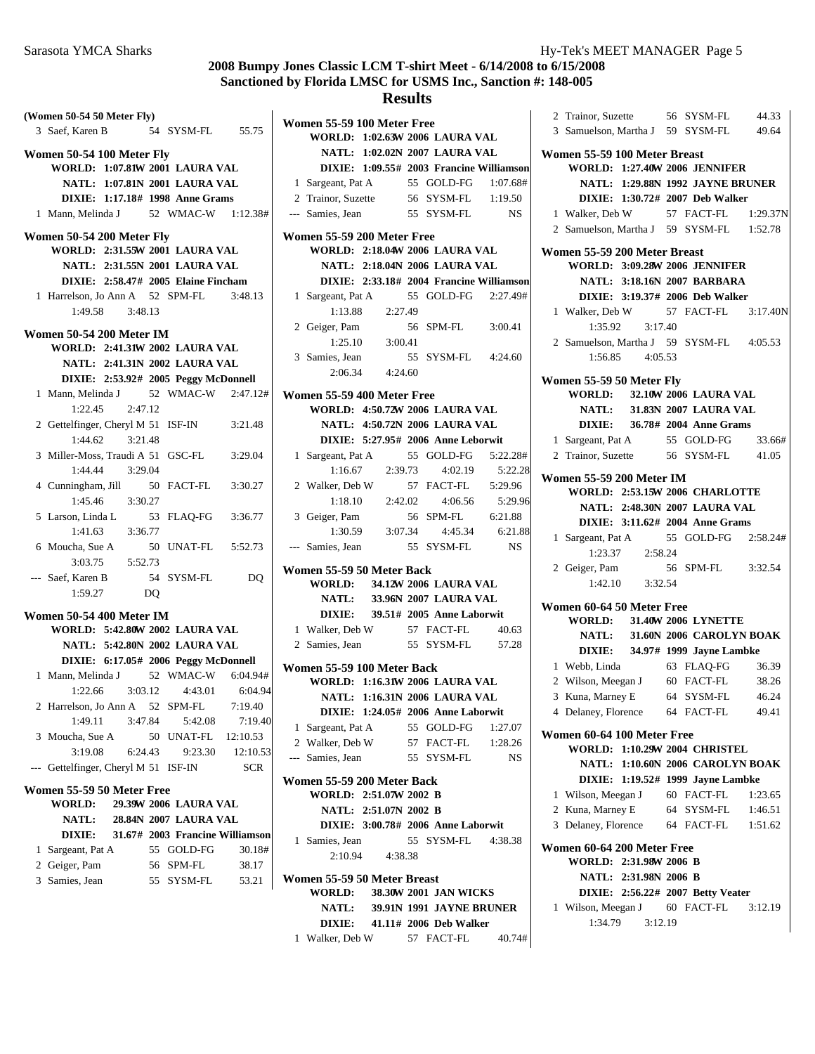| (Women 50-54 50 Meter Fly)       |                     |    |                                         |            |
|----------------------------------|---------------------|----|-----------------------------------------|------------|
| 3 Saef, Karen B                  |                     |    | 54 SYSM-FL 55.75                        |            |
| Women 50-54 100 Meter Fly        |                     |    |                                         |            |
|                                  |                     |    | WORLD: 1:07.81W 2001 LAURA VAL          |            |
|                                  |                     |    | NATL: 1:07.81N 2001 LAURA VAL           |            |
|                                  |                     |    | DIXIE: 1:17.18# 1998 Anne Grams         |            |
|                                  |                     |    | 1 Mann, Melinda J 52 WMAC-W 1:12.38#    |            |
| Women 50-54 200 Meter Fly        |                     |    |                                         |            |
|                                  |                     |    | WORLD: 2:31.55W 2001 LAURA VAL          |            |
|                                  |                     |    | NATL: 2:31.55N 2001 LAURA VAL           |            |
|                                  |                     |    | DIXIE: 2:58.47# 2005 Elaine Fincham     |            |
|                                  |                     |    | 1 Harrelson, Jo Ann A 52 SPM-FL 3:48.13 |            |
|                                  | 1:49.58 3:48.13     |    |                                         |            |
| <b>Women 50-54 200 Meter IM</b>  |                     |    |                                         |            |
|                                  |                     |    | WORLD: 2:41.31W 2002 LAURA VAL          |            |
|                                  |                     |    | NATL: 2:41.31N 2002 LAURA VAL           |            |
|                                  |                     |    | DIXIE: 2:53.92# 2005 Peggy McDonnell    |            |
| 1 Mann, Melinda J                |                     |    | 52 WMAC-W 2:47.12#                      |            |
| 1:22.45                          | 2:47.12             |    |                                         |            |
|                                  |                     |    | 2 Gettelfinger, Cheryl M 51 ISF-IN      | 3:21.48    |
|                                  | $1:44.62$ $3:21.48$ |    |                                         |            |
|                                  |                     |    | 3 Miller-Moss, Traudi A 51 GSC-FL       | 3:29.04    |
|                                  | 1:44.44 3:29.04     |    |                                         |            |
|                                  |                     |    | 4 Cunningham, Jill 50 FACT-FL 3:30.27   |            |
|                                  | 1:45.46 3:30.27     |    |                                         |            |
| 5 Larson, Linda L                |                     |    | 53 FLAQ-FG 3:36.77                      |            |
| 1:41.63                          | 3:36.77             |    |                                         |            |
| 6 Moucha, Sue A                  |                     |    | 50 UNAT-FL 5:52.73                      |            |
|                                  | $3:03.75$ $5:52.73$ |    |                                         |            |
| --- Saef, Karen B                |                     |    | 54 SYSM-FL                              | DQ         |
| 1:59.27                          |                     | DO |                                         |            |
|                                  |                     |    |                                         |            |
| <b>Women 50-54 400 Meter IM</b>  |                     |    |                                         |            |
|                                  |                     |    | <b>WORLD: 5:42.80W 2002 LAURA VAL</b>   |            |
|                                  |                     |    | NATL: 5:42.80N 2002 LAURA VAL           |            |
|                                  |                     |    | DIXIE: 6:17.05# 2006 Peggy McDonnell    |            |
|                                  |                     |    | 1 Mann, Melinda J 52 WMAC-W 6:04.94#    |            |
|                                  |                     |    | $1:22.66$ $3:03.12$ $4:43.01$           | 6:04.94    |
|                                  |                     |    | 2 Harrelson, Jo Ann A 52 SPM-FL         | 7:19.40    |
| 1:49.11                          | 3:47.84             |    | 5:42.08                                 | 7:19.40    |
| 3 Moucha, Sue A                  |                     |    | 50 UNAT-FL                              | 12:10.53   |
| 3:19.08                          | 6:24.43             |    | 9:23.30                                 | 12:10.53   |
| Gettelfinger, Cheryl M 51 ISF-IN |                     |    |                                         | <b>SCR</b> |
| Women 55-59 50 Meter Free        |                     |    |                                         |            |
| <b>WORLD:</b>                    |                     |    | 29.39W 2006 LAURA VAL                   |            |
|                                  |                     |    | NATL: 28.84N 2007 LAURA VAL             |            |
| <b>DIXIE:</b>                    |                     |    | 31.67# 2003 Francine Williamson         |            |
| 1 Sargeant, Pat A                |                     |    | 55 GOLD-FG                              | 30.18#     |
| 2 Geiger, Pam                    |                     |    | 56 SPM-FL                               | 38.17      |
| 3 Samies, Jean                   |                     |    | 55 SYSM-FL                              | 53.21      |
|                                  |                     |    |                                         |            |
|                                  |                     |    |                                         |            |

| <b>Results</b> |                                       |                       |  |                                          |                 |
|----------------|---------------------------------------|-----------------------|--|------------------------------------------|-----------------|
|                | Women 55-59 100 Meter Free            |                       |  |                                          |                 |
|                |                                       |                       |  | WORLD: 1:02.63W 2006 LAURA VAL           |                 |
|                |                                       |                       |  | NATL: 1:02.02N 2007 LAURA VAL            |                 |
|                |                                       |                       |  | DIXIE: 1:09.55# 2003 Francine Williamson |                 |
|                | 1 Sargeant, Pat A                     |                       |  | 55 GOLD-FG                               | 1:07.68#        |
|                | 2 Trainor, Suzette 56 SYSM-FL 1:19.50 |                       |  |                                          |                 |
|                | --- Samies, Jean                      |                       |  | 55 SYSM-FL                               | <b>NS</b>       |
|                |                                       |                       |  |                                          |                 |
|                | Women 55-59 200 Meter Free            |                       |  |                                          |                 |
|                |                                       |                       |  | <b>WORLD: 2:18.04W 2006 LAURA VAL</b>    |                 |
|                |                                       |                       |  | <b>NATL: 2:18.04N 2006 LAURA VAL</b>     |                 |
|                |                                       |                       |  | DIXIE: 2:33.18# 2004 Francine Williamson |                 |
|                | 1 Sargeant, Pat A                     |                       |  | 55 GOLD-FG 2:27.49#                      |                 |
|                |                                       | 1:13.88 2:27.49       |  |                                          |                 |
|                | 2 Geiger, Pam                         |                       |  | 56 SPM-FL                                | 3:00.41         |
|                |                                       | $1:25.10$ $3:00.41$   |  |                                          |                 |
|                | 3 Samies, Jean                        |                       |  | 55 SYSM-FL 4:24.60                       |                 |
|                |                                       | 2:06.34 4:24.60       |  |                                          |                 |
|                | Women 55-59 400 Meter Free            |                       |  |                                          |                 |
|                |                                       |                       |  | WORLD: 4:50.72W 2006 LAURA VAL           |                 |
|                |                                       |                       |  | NATL: 4:50.72N 2006 LAURA VAL            |                 |
|                |                                       |                       |  | DIXIE: 5:27.95# 2006 Anne Leborwit       |                 |
|                |                                       |                       |  |                                          |                 |
|                | 1 Sargeant, Pat A                     | 2:39.73               |  | 55 GOLD-FG                               | 5:22.28#        |
|                | 1:16.67                               |                       |  | 4:02.19                                  | 5:22.28         |
|                | 2 Walker, Deb W                       |                       |  | 57 FACT-FL 5:29.96                       |                 |
|                |                                       | $1:18.10$ $2:42.02$   |  | 4:06.56                                  | 5:29.96         |
|                | 3 Geiger, Pam                         |                       |  | 56 SPM-FL                                | 6:21.88         |
|                |                                       | 1:30.59 3:07.34       |  |                                          | 4:45.34 6:21.88 |
| $---$          | Samies, Jean                          |                       |  | 55 SYSM-FL                               | <b>NS</b>       |
|                | Women 55-59 50 Meter Back             |                       |  |                                          |                 |
|                | <b>WORLD:</b>                         |                       |  | 34.12W 2006 LAURA VAL                    |                 |
|                |                                       |                       |  | NATL: 33.96N 2007 LAURA VAL              |                 |
|                |                                       |                       |  | DIXIE: 39.51# 2005 Anne Laborwit         |                 |
|                | 1 Walker, Deb W 57 FACT-FL            |                       |  |                                          | 40.63           |
|                | 2 Samies, Jean                        |                       |  | 55 SYSM-FL 57.28                         |                 |
|                |                                       |                       |  |                                          |                 |
|                | Women 55-59 100 Meter Back            |                       |  |                                          |                 |
|                |                                       |                       |  | WORLD: 1:16.31W 2006 LAURA VAL           |                 |
|                |                                       |                       |  | NATL: 1:16.31N 2006 LAURA VAL            |                 |
|                |                                       |                       |  | DIXIE: 1:24.05# 2006 Anne Laborwit       |                 |
|                | 1 Sargeant, Pat A                     |                       |  | 55 GOLD-FG                               | 1:27.07         |
|                | 2 Walker, Deb W                       |                       |  | 57 FACT-FL                               | 1:28.26         |
|                | --- Samies, Jean                      |                       |  | 55 SYSM-FL                               | NS.             |
|                | Women 55-59 200 Meter Back            |                       |  |                                          |                 |
|                | WORLD: 2:51.07W 2002 B                |                       |  |                                          |                 |
|                |                                       | NATL: 2:51.07N 2002 B |  |                                          |                 |
|                |                                       |                       |  | DIXIE: 3:00.78# 2006 Anne Laborwit       |                 |
|                | 1 Samies, Jean                        |                       |  | 55 SYSM-FL 4:38.38                       |                 |
|                | 2:10.94                               | 4:38.38               |  |                                          |                 |
|                |                                       |                       |  |                                          |                 |
|                | Women 55-59 50 Meter Breast           |                       |  |                                          |                 |
|                | <b>WORLD:</b>                         |                       |  | 38.30W 2001 JAN WICKS                    |                 |
|                |                                       |                       |  |                                          |                 |
|                |                                       |                       |  | NATL: 39.91N 1991 JAYNE BRUNER           |                 |
|                |                                       |                       |  | DIXIE: 41.11# 2006 Deb Walker            |                 |

|              |                                      | 2 Trainor, Suzette 56 SYSM-FL 44.33<br>3 Samuelson, Martha J 59 SYSM-FL 49.64 |  |  |  |  |  |  |
|--------------|--------------------------------------|-------------------------------------------------------------------------------|--|--|--|--|--|--|
|              | Women 55-59 100 Meter Breast         |                                                                               |  |  |  |  |  |  |
|              | <b>WORLD: 1:27.40W 2006 JENNIFER</b> |                                                                               |  |  |  |  |  |  |
|              |                                      | NATL: 1:29.88N 1992 JAYNE BRUNER                                              |  |  |  |  |  |  |
|              |                                      | DIXIE: 1:30.72# 2007 Deb Walker                                               |  |  |  |  |  |  |
|              | 1 Walker, Deb W                      | 57 FACT-FL  1:29.37N                                                          |  |  |  |  |  |  |
|              |                                      | 2 Samuelson, Martha J 59 SYSM-FL 1:52.78                                      |  |  |  |  |  |  |
|              | Women 55-59 200 Meter Breast         |                                                                               |  |  |  |  |  |  |
|              | <b>WORLD: 3:09.28W 2006 JENNIFER</b> |                                                                               |  |  |  |  |  |  |
|              | <b>NATL: 3:18.16N 2007 BARBARA</b>   |                                                                               |  |  |  |  |  |  |
|              | DIXIE: 3:19.37# 2006 Deb Walker      |                                                                               |  |  |  |  |  |  |
|              | 1 Walker, Deb W                      | 57 FACT-FL 3:17.40N                                                           |  |  |  |  |  |  |
|              | $1:35.92$ $3:17.40$                  |                                                                               |  |  |  |  |  |  |
|              |                                      | 2 Samuelson, Martha J 59 SYSM-FL 4:05.53                                      |  |  |  |  |  |  |
|              | $1:56.85$ $4:05.53$                  |                                                                               |  |  |  |  |  |  |
|              | Women 55-59 50 Meter Fly             |                                                                               |  |  |  |  |  |  |
|              | WORLD: 32.10W 2006 LAURA VAL         |                                                                               |  |  |  |  |  |  |
|              |                                      | NATL: 31.83N 2007 LAURA VAL                                                   |  |  |  |  |  |  |
|              |                                      | DIXIE: 36.78# 2004 Anne Grams                                                 |  |  |  |  |  |  |
|              | 1 Sargeant, Pat A                    | 55 GOLD-FG<br>33.66#                                                          |  |  |  |  |  |  |
|              | 2 Trainor, Suzette 56 SYSM-FL        | 41.05                                                                         |  |  |  |  |  |  |
|              | <b>Women 55-59 200 Meter IM</b>      |                                                                               |  |  |  |  |  |  |
|              |                                      | <b>WORLD: 2:53.15W 2006 CHARLOTTE</b>                                         |  |  |  |  |  |  |
|              |                                      | NATL: 2:48.30N 2007 LAURA VAL                                                 |  |  |  |  |  |  |
|              |                                      | DIXIE: 3:11.62# 2004 Anne Grams                                               |  |  |  |  |  |  |
|              |                                      | 1 Sargeant, Pat A 55 GOLD-FG 2:58.24#                                         |  |  |  |  |  |  |
|              | 1:23.37 2:58.24                      |                                                                               |  |  |  |  |  |  |
|              | 2 Geiger, Pam                        | 56 SPM-FL<br>3:32.54                                                          |  |  |  |  |  |  |
|              | 1:42.10 3:32.54                      |                                                                               |  |  |  |  |  |  |
|              | Women 60-64 50 Meter Free            |                                                                               |  |  |  |  |  |  |
|              | <b>WORLD: 31.40W 2006 LYNETTE</b>    |                                                                               |  |  |  |  |  |  |
|              |                                      | NATL: 31.60N 2006 CAROLYN BOAK                                                |  |  |  |  |  |  |
|              |                                      | DIXIE: 34.97# 1999 Jayne Lambke                                               |  |  |  |  |  |  |
|              | 1 Webb, Linda                        | 63 FLAQ-FG 36.39                                                              |  |  |  |  |  |  |
|              | 2 Wilson, Meegan J 60 FACT-FL        | 38.26                                                                         |  |  |  |  |  |  |
| 3            | Kuna, Marney E                       | 64 SYSM-FL<br>46.24                                                           |  |  |  |  |  |  |
|              | 4 Delaney, Florence 64 FACT-FL       | 49.41                                                                         |  |  |  |  |  |  |
|              | Women 60-64 100 Meter Free           |                                                                               |  |  |  |  |  |  |
|              | <b>WORLD: 1:10.29W 2004 CHRISTEL</b> |                                                                               |  |  |  |  |  |  |
|              |                                      | NATL: 1:10.60N 2006 CAROLYN BOAK                                              |  |  |  |  |  |  |
|              |                                      | DIXIE: 1:19.52# 1999 Jayne Lambke                                             |  |  |  |  |  |  |
|              | 1 Wilson, Meegan J 60 FACT-FL        | 1:23.65                                                                       |  |  |  |  |  |  |
|              | 2 Kuna, Marney E                     | 64 SYSM-FL<br>1:46.51                                                         |  |  |  |  |  |  |
|              | 3 Delaney, Florence 64 FACT-FL       | 1:51.62                                                                       |  |  |  |  |  |  |
|              | Women 60-64 200 Meter Free           |                                                                               |  |  |  |  |  |  |
|              | WORLD: 2:31.98W 2006 B               |                                                                               |  |  |  |  |  |  |
|              | NATL: 2:31.98N 2006 B                |                                                                               |  |  |  |  |  |  |
|              |                                      | DIXIE: 2:56.22# 2007 Betty Veater                                             |  |  |  |  |  |  |
| $\mathbf{1}$ | Wilson, Meegan J 60 FACT-FL          | 3:12.19                                                                       |  |  |  |  |  |  |
|              | 1:34.79 3:12.19                      |                                                                               |  |  |  |  |  |  |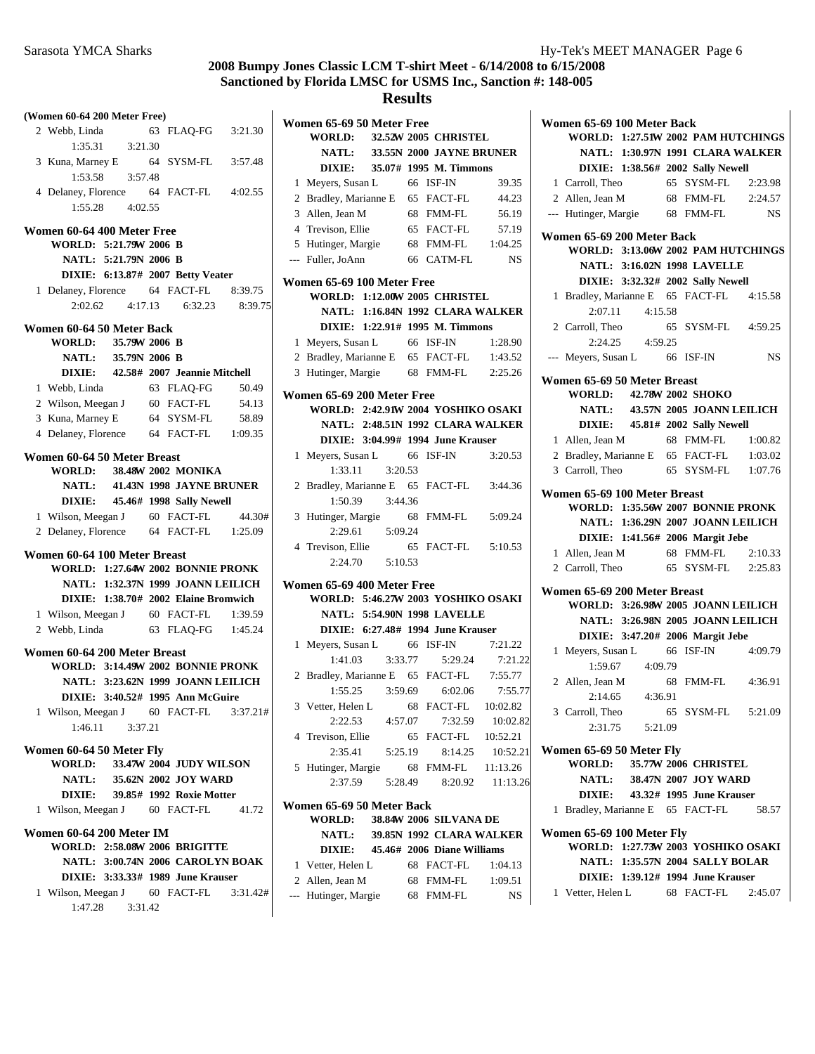| (Women 60-64 200 Meter Free)                         |                          |          |                                                           |  |
|------------------------------------------------------|--------------------------|----------|-----------------------------------------------------------|--|
| 2 Webb, Linda                                        | 63 FLAO-FG               | 3:21.30  | Women 65-69 50 Meter Free<br><b>WORLD:</b><br>32.52W 2005 |  |
| 1:35.31<br>3:21.30                                   |                          |          | <b>NATL:</b><br>33.55N 2000                               |  |
| 3 Kuna, Marney E 64 SYSM-FL                          |                          | 3:57.48  | DIXIE:<br>35.07# 1995                                     |  |
| 1:53.58<br>3:57.48                                   |                          |          | 1 Meyers, Susan L<br>66 I                                 |  |
| 4 Delaney, Florence 64 FACT-FL                       |                          | 4:02.55  | 65 F                                                      |  |
| 1:55.28<br>4:02.55                                   |                          |          | 2 Bradley, Marianne E                                     |  |
|                                                      |                          |          | 3 Allen, Jean M<br>68 F<br>65 F                           |  |
| Women 60-64 400 Meter Free<br>WORLD: 5:21.79W 2006 B |                          |          | 4 Trevison, Ellie<br>68 F                                 |  |
| NATL: 5:21.79N 2006 B                                |                          |          | 5 Hutinger, Margie<br>66 0<br>--- Fuller, JoAnn           |  |
| DIXIE: 6:13.87# 2007 Betty Veater                    |                          |          |                                                           |  |
|                                                      | 64 FACT-FL               | 8:39.75  | Women 65-69 100 Meter Fre                                 |  |
| 1 Delaney, Florence<br>2:02.62<br>4:17.13            | 6:32.23                  | 8:39.75  | WORLD: 1:12.00W 2005                                      |  |
|                                                      |                          |          | NATL: 1:16.84N 1992                                       |  |
| Women 60-64 50 Meter Back                            |                          |          | DIXIE: 1:22.91# 1995                                      |  |
| <b>WORLD:</b>                                        | 35.79W 2006 B            |          | 66 I<br>1 Meyers, Susan L                                 |  |
| NATL: 35.79N 2006 B                                  |                          |          | 2 Bradley, Marianne E 65 F                                |  |
| DIXIE: 42.58# 2007 Jeannie Mitchell                  |                          |          | 3 Hutinger, Margie<br>68 F                                |  |
| 1 Webb, Linda                                        | 63 FLAQ-FG               | 50.49    | Women 65-69 200 Meter Fre                                 |  |
| 2 Wilson, Meegan J                                   | 60 FACT-FL               | 54.13    | WORLD: 2:42.91W 2004                                      |  |
| 3 Kuna, Marney E                                     | 64 SYSM-FL               | 58.89    | NATL: 2:48.51N 1992                                       |  |
| 4 Delaney, Florence 64 FACT-FL                       |                          | 1:09.35  | DIXIE: 3:04.99# 1994                                      |  |
| Women 60-64 50 Meter Breast                          |                          |          | 1 Meyers, Susan L<br>66 I                                 |  |
| <b>WORLD:</b>                                        | 38.48W 2002 MONIKA       |          | 1:33.11<br>3:20.53                                        |  |
| NATL: 41.43N 1998 JAYNE BRUNER                       |                          |          | 2 Bradley, Marianne E<br>65 F                             |  |
| <b>DIXIE:</b>                                        | 45.46# 1998 Sally Newell |          | 1:50.39<br>3:44.36                                        |  |
| 1 Wilson, Meegan J                                   | 60 FACT-FL               | 44.30#   | 3 Hutinger, Margie<br>68 I                                |  |
| 2 Delaney, Florence 64 FACT-FL                       |                          | 1:25.09  | 2:29.61<br>5:09.24                                        |  |
|                                                      |                          |          | 65 F<br>4 Trevison, Ellie                                 |  |
| Women 60-64 100 Meter Breast                         |                          |          | 2:24.70<br>5:10.53                                        |  |
| WORLD: 1:27.64W 2002 BONNIE PRONK                    |                          |          |                                                           |  |
| NATL: 1:32.37N 1999 JOANN LEILICH                    |                          |          | Women 65-69 400 Meter Fre                                 |  |
| DIXIE: 1:38.70# 2002 Elaine Bromwich                 |                          |          | WORLD: 5:46.27W 2003                                      |  |
| 1 Wilson, Meegan J 60 FACT-FL                        |                          | 1:39.59  | NATL: 5:54.90N 1998                                       |  |
| 2 Webb, Linda 63 FLAQ-FG                             |                          | 1:45.24  | DIXIE: 6:27.48# 1994                                      |  |
| Women 60-64 200 Meter Breast                         |                          |          | 1 Meyers, Susan L<br>66 I                                 |  |
| <b>WORLD: 3:14.49W 2002 BONNIE PRONK</b>             |                          |          | 3:33.77<br>1:41.03                                        |  |
| NATL: 3:23.62N 1999 JOANN LEILICH                    |                          |          | 2 Bradley, Marianne E<br>65 I                             |  |
| DIXIE: 3:40.52# 1995 Ann McGuire                     |                          |          | 3:59.69<br>1:55.25<br>68 F                                |  |
| 1 Wilson, Meegan J 60 FACT-FL                        |                          | 3:37.21# | 3 Vetter, Helen L                                         |  |
| 1:46.11<br>3:37.21                                   |                          |          | 2:22.53<br>4:57.07                                        |  |
| Women 60-64 50 Meter Fly                             |                          |          | 4 Trevison, Ellie<br>65 F<br>2:35.41<br>5:25.19           |  |
| <b>WORLD:</b>                                        | 33.47W 2004 JUDY WILSON  |          |                                                           |  |
| <b>NATL:</b>                                         | 35.62N 2002 JOY WARD     |          | 5 Hutinger, Margie<br>68 F<br>2:37.59<br>5:28.49          |  |
| <b>DIXIE:</b>                                        | 39.85# 1992 Roxie Motter |          |                                                           |  |
| 1 Wilson, Meegan J                                   | 60 FACT-FL               | 41.72    | Women 65-69 50 Meter Back                                 |  |
|                                                      |                          |          | 38.84W 2006<br><b>WORLD:</b>                              |  |
| Women 60-64 200 Meter IM                             |                          |          | <b>NATL:</b><br>39.85N 1992                               |  |
| <b>WORLD: 2:58.08W 2006 BRIGITTE</b>                 |                          |          | 45.46# 2006<br><b>DIXIE:</b>                              |  |
| NATL: 3:00.74N 2006 CAROLYN BOAK                     |                          |          | 1 Vetter, Helen L<br>68 I                                 |  |
| DIXIE: 3:33.33# 1989 June Krauser                    |                          |          | 2 Allen, Jean M<br>68 F                                   |  |
| 1 Wilson, Meegan J                                   | 60 FACT-FL               | 3:31.42# | --- Hutinger, Margie<br>68 F                              |  |
| 1:47.28<br>3:31.42                                   |                          |          |                                                           |  |

|              | <b>WORLD:</b>                            |                 |         | 32.52W 2005 CHRISTEL              |           |
|--------------|------------------------------------------|-----------------|---------|-----------------------------------|-----------|
|              |                                          |                 |         | NATL: 33.55N 2000 JAYNE BRUNER    |           |
|              |                                          |                 |         | DIXIE: 35.07# 1995 M. Timmons     |           |
| 1            | Meyers, Susan L                          |                 |         | 66 ISF-IN                         | 39.35     |
|              | 2 Bradley, Marianne E 65 FACT-FL         |                 |         |                                   | 44.23     |
|              | 3 Allen, Jean M                          |                 |         | 68 FMM-FL                         | 56.19     |
|              | 4 Trevison, Ellie                        |                 |         | 65 FACT-FL                        | 57.19     |
|              | 5 Hutinger, Margie                       |                 |         | 68 FMM-FL                         | 1:04.25   |
| $---$        | Fuller, JoAnn                            |                 |         | 66 CATM-FL                        | <b>NS</b> |
|              | Women 65-69 100 Meter Free               |                 |         |                                   |           |
|              | <b>WORLD: 1:12.00W 2005 CHRISTEL</b>     |                 |         |                                   |           |
|              |                                          |                 |         | NATL: 1:16.84N 1992 CLARA WALKER  |           |
|              |                                          |                 |         | DIXIE: 1:22.91# 1995 M. Timmons   |           |
| 1            | Meyers, Susan L                          |                 |         | 66 ISF-IN                         | 1:28.90   |
|              | 2 Bradley, Marianne E 65 FACT-FL 1:43.52 |                 |         |                                   |           |
| 3            | Hutinger, Margie                         |                 |         | 68 FMM-FL 2:25.26                 |           |
|              | Women 65-69 200 Meter Free               |                 |         |                                   |           |
|              | WORLD: 2:42.91W 2004 YOSHIKO OSAKI       |                 |         |                                   |           |
|              |                                          |                 |         | NATL: 2:48.51N 1992 CLARA WALKER  |           |
|              |                                          |                 |         | DIXIE: 3:04.99# 1994 June Krauser |           |
| 1            | Meyers, Susan L 66                       |                 |         | ISF-IN                            | 3:20.53   |
|              | 1:33.11                                  | 3:20.53         |         |                                   |           |
|              | 2 Bradley, Marianne E 65 FACT-FL         |                 |         |                                   | 3:44.36   |
|              | 1:50.39                                  | 3:44.36         |         |                                   |           |
| 3            | Hutinger, Margie 68 FMM-FL               |                 |         |                                   | 5:09.24   |
|              | 2:29.61                                  | 5:09.24         |         |                                   |           |
| 4            | Trevison, Ellie                          |                 |         | 65 FACT-FL                        | 5:10.53   |
|              |                                          | 2:24.70 5:10.53 |         |                                   |           |
|              | Women 65-69 400 Meter Free               |                 |         |                                   |           |
|              | WORLD: 5:46.27W 2003 YOSHIKO OSAKI       |                 |         |                                   |           |
|              |                                          |                 |         | NATL: 5:54.90N 1998 LAVELLE       |           |
|              |                                          |                 |         | DIXIE: 6:27.48# 1994 June Krauser |           |
| $\mathbf{1}$ | Meyers, Susan L 66 ISF-IN                |                 |         |                                   | 7:21.22   |
|              | 1:41.03                                  |                 | 3:33.77 | 5:29.24                           | 7:21.22   |
|              | 2 Bradley, Marianne E 65 FACT-FL         |                 |         |                                   | 7:55.77   |
|              | 1:55.25                                  |                 |         | 3:59.69 6:02.06                   | 7:55.77   |
| 3            | Vetter, Helen L                          |                 |         | 68 FACT-FL 10:02.82               |           |
|              | 2:22.53                                  | 4:57.07         |         | 7:32.59                           | 10:02.82  |
|              | 4 Trevison, Ellie                        |                 | 65      | <b>FACT-FL</b>                    | 10:52.21  |
|              | 2:35.41                                  | 5:25.19         |         | 8:14.25                           | 10:52.21  |
| 5            | Hutinger, Margie                         |                 | 68      | FMM-FL                            | 11:13.26  |
|              | 2:37.59                                  | 5:28.49         |         | 8:20.92                           | 11:13.26  |
|              | Women 65-69 50 Meter Back                |                 |         |                                   |           |
|              | WORLD:                                   |                 |         | 38.84W 2006 SILVANA DE            |           |
|              | <b>NATL:</b>                             |                 |         | 39.85N 1992 CLARA WALKER          |           |
|              | <b>DIXIE:</b>                            |                 |         | 45.46# 2006 Diane Williams        |           |
| 1            | Vetter, Helen L                          |                 |         | 68 FACT-FL                        | 1:04.13   |
|              | 2 Allen, Jean M                          |                 |         | 68 FMM-FL                         | 1:09.51   |
|              | --- Hutinger, Margie                     |                 | 68      | <b>FMM-FL</b>                     | NS        |
|              |                                          |                 |         |                                   |           |

| Women 65-69 100 Meter Back                |                                          |
|-------------------------------------------|------------------------------------------|
|                                           | WORLD: 1:27.51W 2002 PAM HUTCHINGS       |
|                                           | NATL: 1:30.97N 1991 CLARA WALKER         |
|                                           | DIXIE: 1:38.56# 2002 Sally Newell        |
| 1 Carroll, Theo                           | 65 SYSM-FL 2:23.98                       |
|                                           | 2 Allen, Jean M 68 FMM-FL 2:24.57        |
| --- Hutinger, Margie 68 FMM-FL            | NS <sub>N</sub>                          |
| Women 65-69 200 Meter Back                |                                          |
|                                           | WORLD: 3:13.06W 2002 PAM HUTCHINGS       |
|                                           | <b>NATL: 3:16.02N 1998 LAVELLE</b>       |
|                                           | DIXIE: 3:32.32# 2002 Sally Newell        |
| 1                                         | Bradley, Marianne E 65 FACT-FL 4:15.58   |
| 2:07.11 4:15.58                           |                                          |
| 2 Carroll, Theo                           | 65 SYSM-FL 4:59.25                       |
| 2:24.25 4:59.25                           |                                          |
| Meyers, Susan L 66 ISF-IN<br>$---$        | NS NS                                    |
|                                           |                                          |
| Women 65-69 50 Meter Breast               |                                          |
| <b>WORLD:</b>                             | 42.78W 2002 SHOKO                        |
|                                           | NATL: 43.57N 2005 JOANN LEILICH          |
|                                           | <b>DIXIE:</b> 45.81# 2002 Sally Newell   |
| 1 Allen, Jean M                           | 68 FMM-FL<br>1:00.82                     |
|                                           | 2 Bradley, Marianne E 65 FACT-FL 1:03.02 |
| 3 Carroll, Theo                           | 65 SYSM-FL 1:07.76                       |
| Women 65-69 100 Meter Breast              |                                          |
|                                           | WORLD: 1:35.56W 2007 BONNIE PRONK        |
|                                           | NATL: 1:36.29N 2007 JOANN LEILICH        |
|                                           | DIXIE: 1:41.56# 2006 Margit Jebe         |
| 1 Allen, Jean M                           | 68 FMM-FL 2:10.33                        |
| 2 Carroll, Theo                           | 65 SYSM-FL 2:25.83                       |
| Women 65-69 200 Meter Breast              |                                          |
|                                           | WORLD: 3:26.98W 2005 JOANN LEILICH       |
|                                           | NATL: 3:26.98N 2005 JOANN LEILICH        |
|                                           | DIXIE: 3:47.20# 2006 Margit Jebe         |
| Meyers, Susan L 66 ISF-IN<br>1            | 4:09.79                                  |
| 1:59.67 4:09.79                           |                                          |
|                                           | 68 FMM-FL 4:36.91                        |
| 2 Allen, Jean M 68<br>2:14.65 4:36.91     |                                          |
| 3 Carroll, Theo                           | 65 SYSM-FL<br>5:21.09                    |
| 2:31.75<br>5:21.09                        |                                          |
|                                           |                                          |
| Women 65-69 50 Meter Fly<br><b>WORLD:</b> | 35.77W 2006 CHRISTEL                     |
| <b>NATL:</b>                              | 38.47N 2007 JOY WARD                     |
| <b>DIXIE:</b>                             | 43.32# 1995 June Krauser                 |
| Bradley, Marianne E 65 FACT-FL<br>1       | 58.57                                    |
|                                           |                                          |
| Women 65-69 100 Meter Fly                 |                                          |
|                                           | WORLD: 1:27.73W 2003 YOSHIKO OSAKI       |
|                                           | <b>NATL: 1:35.57N 2004 SALLY BOLAR</b>   |
|                                           | DIXIE: 1:39.12# 1994 June Krauser        |
| 1 Vetter, Helen L                         | 68 FACT-FL<br>2:45.07                    |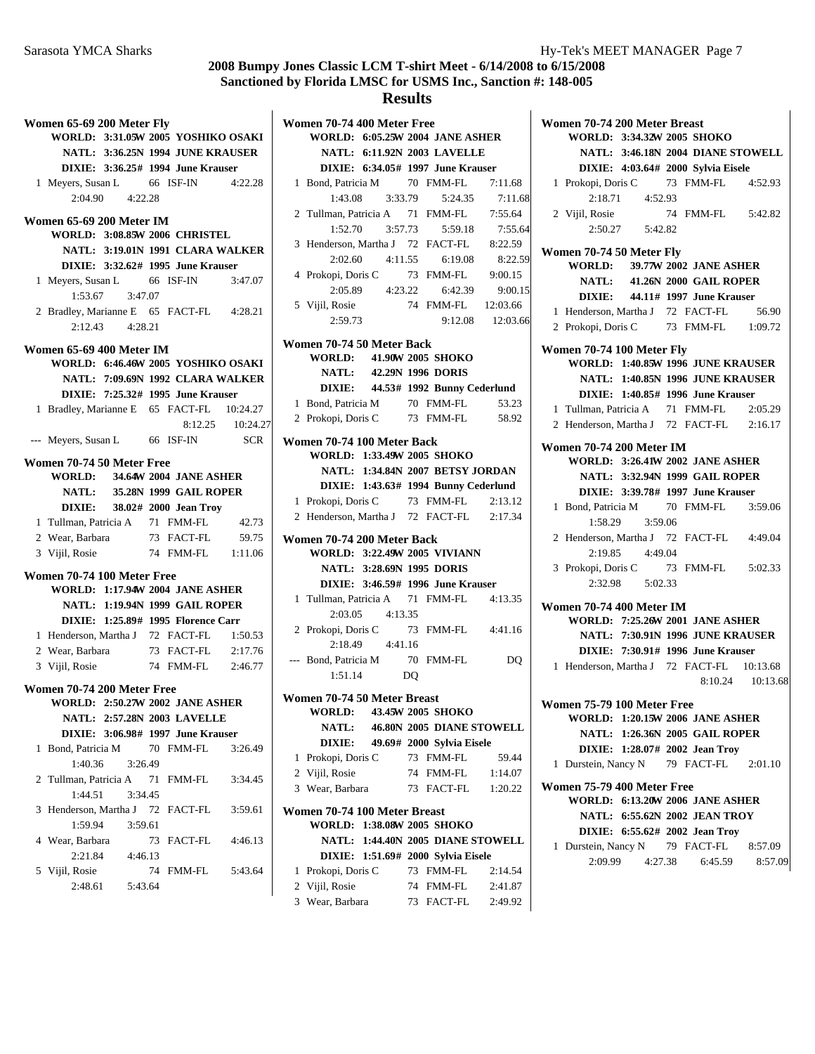#### **Results**

| Women 65-69 200 Meter Fly                |                      |    |                                         |            | Women 70-74 400 Meter Free  |                        |       |  |
|------------------------------------------|----------------------|----|-----------------------------------------|------------|-----------------------------|------------------------|-------|--|
|                                          |                      |    | WORLD: 3:31.05W 2005 YOSHIKO OSAKI      |            | WORLD: 6:05.25W 2004.       |                        |       |  |
|                                          |                      |    | <b>NATL: 3:36.25N 1994 JUNE KRAUSER</b> |            |                             | NATL: 6:11.92N 2003    |       |  |
|                                          |                      |    | DIXIE: 3:36.25# 1994 June Krauser       |            |                             | DIXIE: 6:34.05# 1997.  |       |  |
| 1 Meyers, Susan L 66 ISF-IN              |                      |    |                                         | 4:22.28    | 1 Bond, Patricia M          |                        | 70 FM |  |
| 2:04.90                                  | 4:22.28              |    |                                         |            | 1:43.08                     | 3:33.79                |       |  |
|                                          |                      |    |                                         |            | 2 Tullman, Patricia A 71 FM |                        |       |  |
| Women 65-69 200 Meter IM                 |                      |    |                                         |            | 1:52.70                     | 3:57.73                |       |  |
|                                          |                      |    | WORLD: 3:08.85W 2006 CHRISTEL           |            | 3 Henderson, Martha J 72 F/ |                        |       |  |
|                                          |                      |    | NATL: 3:19.01N 1991 CLARA WALKER        |            | 2:02.60                     | 4:11.55                |       |  |
|                                          |                      |    | DIXIE: 3:32.62# 1995 June Krauser       |            | 4 Prokopi, Doris C 73 FM    |                        |       |  |
| 1 Meyers, Susan L                        |                      |    | 66 ISF-IN                               | 3:47.07    | 2:05.89                     | 4:23.22                |       |  |
| 1:53.67                                  | 3:47.07              |    |                                         |            | 5 Vijil, Rosie              |                        | 74 FM |  |
| 2 Bradley, Marianne E 65 FACT-FL 4:28.21 |                      |    |                                         |            | 2:59.73                     |                        |       |  |
|                                          | $2:12.43 \t 4:28.21$ |    |                                         |            |                             |                        |       |  |
| Women 65-69 400 Meter IM                 |                      |    |                                         |            | Women 70-74 50 Meter Back   |                        |       |  |
|                                          |                      |    | WORLD: 6:46.46W 2005 YOSHIKO OSAKI      |            | WORLD: 41.90W 2005 :        |                        |       |  |
|                                          |                      |    | NATL: 7:09.69N 1992 CLARA WALKER        |            | <b>NATL:</b>                | 42.29N 1996 1          |       |  |
|                                          |                      |    | DIXIE: 7:25.32# 1995 June Krauser       |            | <b>DIXIE:</b>               | 44.53# 1992 1          |       |  |
| 1 Bradley, Marianne E 65 FACT-FL         |                      |    |                                         | 10:24.27   | 1 Bond, Patricia M          |                        | 70 FM |  |
|                                          |                      |    | 8:12.25                                 | 10:24.27   | 2 Prokopi, Doris C          |                        | 73 FM |  |
| --- Meyers, Susan L 66 ISF-IN            |                      |    |                                         | <b>SCR</b> | Women 70-74 100 Meter Back  |                        |       |  |
|                                          |                      |    |                                         |            | WORLD: 1:33.49W 2005 S      |                        |       |  |
| Women 70-74 50 Meter Free                |                      |    |                                         |            |                             | NATL: 1:34.84N 2007 1  |       |  |
|                                          |                      |    | <b>WORLD: 34.64W 2004 JANE ASHER</b>    |            |                             | DIXIE: 1:43.63# 1994 1 |       |  |
|                                          |                      |    | NATL: 35.28N 1999 GAIL ROPER            |            | 1 Prokopi, Doris C 73 FM    |                        |       |  |
| <b>DIXIE:</b>                            |                      |    | 38.02# 2000 Jean Troy                   |            | 2 Henderson, Martha J 72 F/ |                        |       |  |
| 1 Tullman, Patricia A 71 FMM-FL          |                      |    |                                         | 42.73      |                             |                        |       |  |
| 2 Wear, Barbara                          |                      |    | 73 FACT-FL                              | 59.75      | Women 70-74 200 Meter Back  |                        |       |  |
| 3 Vijil, Rosie                           |                      |    | 74 FMM-FL                               | 1:11.06    | WORLD: 3:22.49W 2005        |                        |       |  |
| Women 70-74 100 Meter Free               |                      |    |                                         |            |                             | NATL: 3:28.69N 1995 1  |       |  |
|                                          |                      |    | <b>WORLD: 1:17.94W 2004 JANE ASHER</b>  |            |                             | DIXIE: 3:46.59# 1996   |       |  |
|                                          |                      |    | NATL: 1:19.94N 1999 GAIL ROPER          |            | 1 Tullman, Patricia A       |                        | 71 FM |  |
|                                          |                      |    | DIXIE: 1:25.89# 1995 Florence Carr      |            | 2:03.05                     | 4:13.35                |       |  |
| 1 Henderson, Martha J 72 FACT-FL         |                      |    |                                         | 1:50.53    | 2 Prokopi, Doris C          |                        | 73 FM |  |
| 2 Wear, Barbara                          |                      |    | 73 FACT-FL                              | 2:17.76    |                             | $2:18.49$ $4:41.16$    |       |  |
| 3 Vijil, Rosie                           |                      |    | 74 FMM-FL                               | 2:46.77    | --- Bond, Patricia M 70 FM  |                        |       |  |
|                                          |                      |    |                                         |            | 1:51.14                     |                        | DQ    |  |
| Women 70-74 200 Meter Free               |                      |    |                                         |            | Women 70-74 50 Meter Breas  |                        |       |  |
|                                          |                      |    | <b>WORLD: 2:50.27W 2002 JANE ASHER</b>  |            | <b>WORLD:</b>               | 43.45W 2005            |       |  |
|                                          |                      |    | <b>NATL: 2:57.28N 2003 LAVELLE</b>      |            | NATL:                       | 46.80N 2005 1          |       |  |
|                                          |                      |    | DIXIE: 3:06.98# 1997 June Krauser       |            | <b>DIXIE:</b>               | 49.69# 2000 :          |       |  |
| 1 Bond, Patricia M                       |                      |    | 70 FMM-FL                               | 3:26.49    | 1 Prokopi, Doris C          |                        | 73 FM |  |
| 1:40.36                                  | 3:26.49              |    |                                         |            | 2 Vijil, Rosie              |                        | 74 FM |  |
| 2 Tullman, Patricia A                    |                      | 71 | FMM-FL                                  | 3:34.45    | 3 Wear, Barbara             |                        | 73 F/ |  |
| 1:44.51                                  | 3:34.45              |    |                                         |            |                             |                        |       |  |
| 3 Henderson, Martha J                    |                      |    | 72 FACT-FL                              | 3:59.61    | Women 70-74 100 Meter Brea  |                        |       |  |
| 1:59.94                                  | 3:59.61              |    |                                         |            | WORLD: 1:38.08W 2005 :      |                        |       |  |
| 4 Wear, Barbara                          |                      |    | 73 FACT-FL                              | 4:46.13    |                             | NATL: 1:44.40N 2005 1  |       |  |
| 2:21.84                                  | 4:46.13              |    |                                         |            |                             | DIXIE: 1:51.69# 2000 S |       |  |
| 5 Vijil, Rosie                           |                      |    | 74 FMM-FL                               | 5:43.64    | 1 Prokopi, Doris C          |                        | 73 FM |  |
| 2:48.61                                  | 5:43.64              |    |                                         |            | 2 Vijil, Rosie              |                        | 74 FN |  |
|                                          |                      |    |                                         |            | $W_{\alpha\alpha\alpha}$ D. |                        | 72E   |  |

**WORLD: 6:05.25W 2004 JANE ASHER NATL: 6:11.92N 2003 LAVELLE DIXIE:** 6:34.05# 1997 June Krauser 1 Bond, Patricia M 70 FMM-FL 7:11.68 1:43.08 3:33.79 5:24.35 7:11.68 2 Tullman, Patricia A 71 FMM-FL 7:55.64 1:52.70 3:57.73 5:59.18 7:55.64 3 Henderson, Martha J 72 FACT-FL 8:22.59 2:02.60 4:11.55 8:22.59 6:19.08 4 9:00.15 Prokopi, Doris C 73 FMM-FL 2:05.89 4:23.22 6:42.39 9:00.15 5 12:03.66 Vijil, Rosie 74 FMM-FL 2:59.73 9:12.08 12:03.66 **Women 70-74 50 Meter Back WORLD:** 41.90W 2005 **SHOKO NATL:** 42.29N 1996 **DORIS DIXIE:** 44.53# 1992 **Bunny Cederlund** 1 Bond, Patricia M 70 FMM-FL 53.23 2 58.92 Prokopi, Doris C 73 FMM-FL **Women 70-74 100 Meter Back WORLD: 1:33.49W 2005 SHOKO NATL: 1:34.84N 2007 BETSY JORDAN DIXIE:** 1:43.63# 1994 **Bunny Cederlund** 1 Prokopi, Doris C 73 FMM-FL 2:13.12 2 Henderson, Martha J 72 FACT-FL 2:17.34 **Women 70-74 200 Meter Back WORLD: 3:22.49W 2005 VIVIANN NATL: 3:28.69N 1995 DORIS DIXIE:** 3:46.59# 1996 June Krauser 1 Tullman, Patricia A 71 FMM-FL 4:13.35 2:03.05 4:13.35 2 Prokopi, Doris C 73 FMM-FL 4:41.16 2:18.49 4:41.16 --- Bond, Patricia M 70 FMM-FL DQ 1:51.14 DQ **Women 70-74 50 Meter Breast WORLD:** 43.45W 2005 SHOKO **NATL:** 46.80N 2005 DIANE STOWELL **DIXIE:** 49.69# 2000 Sylvia Eisele 1 Prokopi, Doris C 73 FMM-FL 59.44 2 Vijil, Rosie 74 FMM-FL 1:14.07 3 Wear, Barbara 73 FACT-FL 1:20.22 **Women 70-74 100 Meter Breast WORLD: 1:38.08W 2005 SHOKO NATL: 1:44.40N 2005 DIANE STOWELL DIXIE:** 1:51.69# 2000 Sylvia Eisele 1 Prokopi, Doris C 73 FMM-FL 2:14.54 2 2:41.87 Vijil, Rosie 74 FMM-FL 3 2:49.92 Wear, Barbara 73 FACT-FL

|              | Women 70-74 200 Meter Breast                                     |                                 |       |
|--------------|------------------------------------------------------------------|---------------------------------|-------|
|              | WORLD: 3:34.32W 2005 SHOKO                                       |                                 |       |
|              | NATL: 3:46.18N 2004 DIANE STOWELL                                |                                 |       |
|              | DIXIE: 4:03.64# 2000 Sylvia Eisele                               |                                 |       |
|              | 1 Prokopi, Doris C 73 FMM-FL 4:52.93                             |                                 |       |
|              | 2:18.71 4:52.93                                                  |                                 |       |
|              | 2 Vijil, Rosie                                                   | 74 FMM-FL 5:42.82               |       |
|              | $2:50.27$ $5:42.82$                                              |                                 |       |
|              |                                                                  |                                 |       |
|              | Women 70-74 50 Meter Fly<br><b>WORLD:</b> 39.77W 2002 JANE ASHER |                                 |       |
|              |                                                                  |                                 |       |
|              | NATL: 41.26N 2000 GAIL ROPER                                     |                                 |       |
|              | DIXIE: 44.11# 1997 June Krauser                                  |                                 |       |
|              | 1 Henderson, Martha J 72 FACT-FL                                 |                                 | 56.90 |
|              | 2 Prokopi, Doris C 73 FMM-FL 1:09.72                             |                                 |       |
|              | Women 70-74 100 Meter Fly                                        |                                 |       |
|              | <b>WORLD: 1:40.85W 1996 JUNE KRAUSER</b>                         |                                 |       |
|              | NATL: 1:40.85N 1996 JUNE KRAUSER                                 |                                 |       |
|              | DIXIE: 1:40.85# 1996 June Krauser                                |                                 |       |
|              | 1 Tullman, Patricia A 71 FMM-FL 2:05.29                          |                                 |       |
|              | 2 Henderson, Martha J 72 FACT-FL 2:16.17                         |                                 |       |
|              |                                                                  |                                 |       |
|              | <b>Women 70-74 200 Meter IM</b>                                  |                                 |       |
|              | <b>WORLD: 3:26.41W 2002 JANE ASHER</b>                           |                                 |       |
|              | <b>NATL: 3:32.94N 1999 GAIL ROPER</b>                            |                                 |       |
|              | DIXIE: 3:39.78# 1997 June Krauser                                |                                 |       |
|              | 1 Bond, Patricia M 70 FMM-FL 3:59.06                             |                                 |       |
|              | 1:58.29 3:59.06                                                  |                                 |       |
|              | 2 Henderson, Martha J 72 FACT-FL 4:49.04                         |                                 |       |
|              | 2:19.85 4:49.04                                                  |                                 |       |
|              | 3 Prokopi, Doris C 73 FMM-FL 5:02.33                             |                                 |       |
|              | 2:32.98 5:02.33                                                  |                                 |       |
|              | Women 70-74 400 Meter IM                                         |                                 |       |
|              | WORLD: 7:25.26W 2001 JANE ASHER                                  |                                 |       |
|              | NATL: 7:30.91N 1996 JUNE KRAUSER                                 |                                 |       |
|              | DIXIE: 7:30.91# 1996 June Krauser                                |                                 |       |
|              | 1 Henderson, Martha J 72 FACT-FL 10:13.68                        |                                 |       |
|              |                                                                  | 8:10.24 10:13.68                |       |
|              |                                                                  |                                 |       |
|              | Women 75-79 100 Meter Free                                       |                                 |       |
|              | WORLD: 1:20.15W 2006 JANE ASHER                                  |                                 |       |
|              | NATL: 1:26.36N 2005 GAIL ROPER                                   |                                 |       |
|              | DIXIE: 1:28.07# 2002 Jean Troy                                   |                                 |       |
| $\mathbf{1}$ | Durstein, Nancy N 79 FACT-FL 2:01.10                             |                                 |       |
|              |                                                                  |                                 |       |
|              | Women 75-79 400 Meter Free<br>WORLD: 6:13.20W 2006 JANE ASHER    |                                 |       |
|              |                                                                  |                                 |       |
|              | NATL: 6:55.62N 2002 JEAN TROY<br>DIXIE: 6:55.62# 2002 Jean Troy  |                                 |       |
|              | 1 Durstein, Nancy N 79 FACT-FL 8:57.09                           |                                 |       |
|              |                                                                  | 2:09.99 4:27.38 6:45.59 8:57.09 |       |
|              |                                                                  |                                 |       |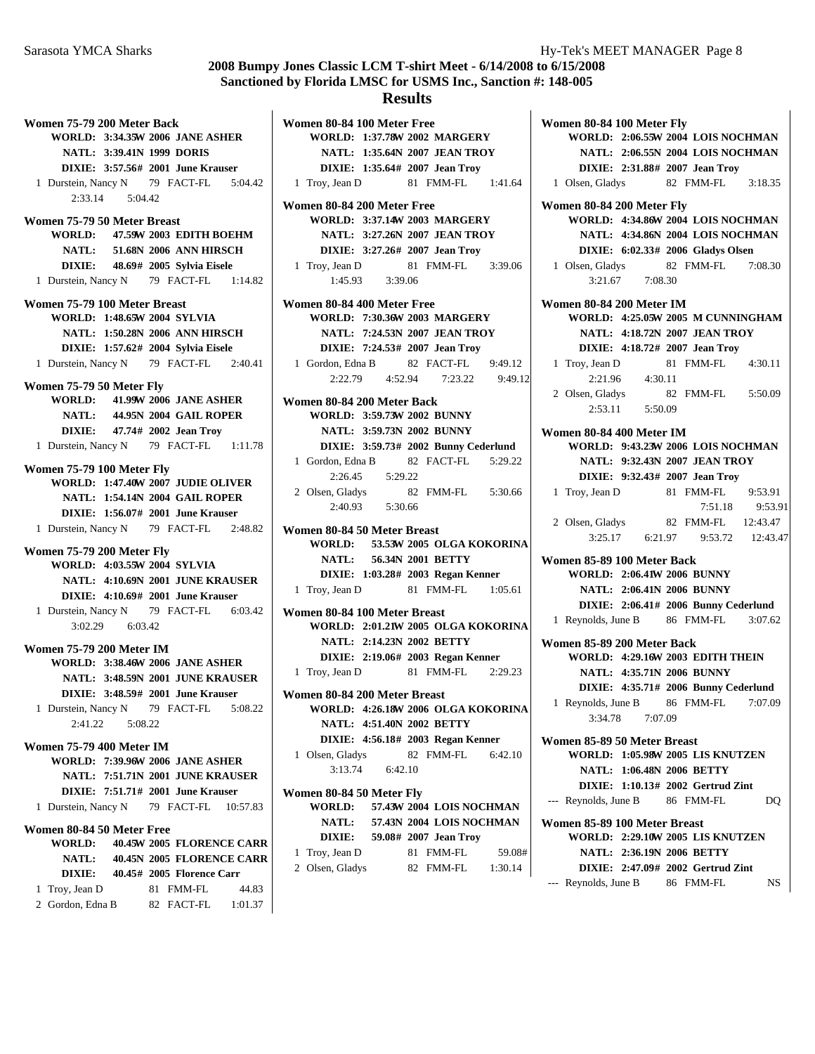**WORLD: 1:37.78 2002 W MARGERY**

**Women 80-84 100 Meter Free**

**Women 75-79 200 Meter Back WORLD: 3:34.35W 2006 JANE ASHER NATL: 3:39.41N 1999 DORIS DIXIE:** 3:57.56# 2001 **June Krauser** 1 Durstein, Nancy N 79 FACT-FL 5:04.42 2:33.14 5:04.42 **Women 75-79 50 Meter Breast WORLD:** 47.59W 2003 **EDITH BOEHM NATL:** 51.68N 2006 ANN HIRSCH **DIXIE:** 48.69# 2005 Sylvia Eisele 1 Durstein, Nancy N 79 FACT-FL 1:14.82 **Women 75-79 100 Meter Breast WORLD: 1:48.65W 2004 SYLVIA NATL: 1:50.28N 2006 ANN HIRSCH DIXIE: 1:57.62 2004 # Sylvia Eisele** 1 2:40.41 Durstein, Nancy N 79 FACT-FL **Women 75-79 50 Meter Fly WORLD:** 41.99W 2006 JANE ASHER **NATL:** 44.95N 2004 **GAIL ROPER DIXIE:** 47.74# 2002 **Jean Troy** 1 Durstein, Nancy N 79 FACT-FL 1:11.78 **Women 75-79 100 Meter Fly WORLD: 1:47.40W 2007 JUDIE OLIVER NATL: 1:54.14N 2004 GAIL ROPER DIXIE:** 1:56.07# 2001 June Krauser 1 2:48.82 Durstein, Nancy N 79 FACT-FL **Women 75-79 200 Meter Fly WORLD: 4:03.55W 2004 SYLVIA NATL: 4:10.69N 2001 JUNE KRAUSER DIXIE:** 4:10.69# 2001 **June Krauser** 1 Durstein, Nancy N 79 FACT-FL 6:03.42 3:02.29 6:03.42 **Women 75-79 200 Meter IM WORLD: 3:38.46W 2006 JANE ASHER NATL: 3:48.59N 2001 JUNE KRAUSER DIXIE:** 3:48.59# 2001 June Krauser 1 Durstein, Nancy N 79 FACT-FL 5:08.22 2:41.22 5:08.22 **Women 75-79 400 Meter IM WORLD: 7:39.96W 2006 JANE ASHER NATL: 7:51.71N 2001 JUNE KRAUSER DIXIE:** 7:51.71# 2001 June Krauser 1 Durstein, Nancy N 79 FACT-FL 10:57.83 **Women 80-84 50 Meter Free WORLD:** 40.45W 2005 **FLORENCE CARR NATL:** 40.45N 2005 **FLORENCE CARR DIXIE:** 40.45# 2005 **Florence Carr** 1 Troy, Jean D 81 FMM-FL 44.83 2 Gordon, Edna B 82 FACT-FL 1:01.37

**NATL: 1:35.64N 2007 JEAN TROY DIXIE:** 1:35.64# 2007 **Jean Troy** 1 Troy, Jean D 81 FMM-FL 1:41.64 **Women 80-84 200 Meter Free WORLD: 3:37.14W 2003 MARGERY NATL: 3:27.26N 2007 JEAN TROY DIXIE:** 3:27.26# 2007 **Jean Troy** 1 Troy, Jean D 81 FMM-FL 3:39.06 1:45.93 3:39.06 **Women 80-84 400 Meter Free WORLD: 7:30.36W 2003 MARGERY NATL: 7:24.53N 2007 JEAN TROY DIXIE:** 7:24.53# 2007 **Jean Troy** 1 Gordon, Edna B 82, FACT-FL 9:49.12 2:22.79 4:52.94 7:23.22 9:49.12 **Women 80-84 200 Meter Back WORLD: 3:59.73W 2002 BUNNY NATL: 3:59.73N 2002 BUNNY DIXIE: 3:59.73# 2002 Bunny Cederlund** 1 Gordon, Edna B 82 FACT-FL 5:29.22 2:26.45 5:29.22 2 Olsen, Gladys 82 FMM-FL 5:30.66 2:40.93 5:30.66 **Women 80-84 50 Meter Breast WORLD: 53.53 2005 W OLGA KOKORINA NATL:** 56.34N 2001 **BETTY DIXIE: 1:03.28 2003 # Regan Kenner** 1 Troy, Jean D 81 FMM-FL 1:05.61 **Women 80-84 100 Meter Breast WORLD: 2:01.21W 2005 OLGA KOKORINA NATL: 2:14.23N 2002 BETTY DIXIE: 2:19.06# 2003 Regan Kenner** 1 Troy, Jean D 81 FMM-FL 2:29.23 **Women 80-84 200 Meter Breast WORLD: 4:26.18W 2006 OLGA KOKORINA NATL: 4:51.40N 2002 BETTY DIXIE:** 4:56.18# 2003 Regan Kenner 1 6:42.10 Olsen, Gladys 82 FMM-FL 3:13.74 6:42.10 **Women 80-84 50 Meter Fly WORLD:** 57.43W 2004 LOIS NOCHMAN **NATL:** 57.43N 2004 LOIS NOCHMAN **DIXIE:** 59.08# 2007 Jean Troy 1 Troy, Jean D 81 FMM-FL 59.08# 2 Olsen, Gladys 82 FMM-FL 1:30.14

**Women 80-84 100 Meter Fly WORLD: 2:06.55W 2004 LOIS NOCHMAN NATL: 2:06.55N 2004 LOIS NOCHMAN DIXIE:** 2:31.88# 2007 **Jean Troy** 1 Olsen, Gladys 82 FMM-FL 3:18.35 **Women 80-84 200 Meter Fly WORLD: 4:34.86W 2004 LOIS NOCHMAN NATL: 4:34.86N 2004 LOIS NOCHMAN DIXIE:** 6:02.33# 2006 Gladys Olsen 1 Olsen, Gladys 82 FMM-FL 7:08.30 3:21.67 7:08.30 **Women 80-84 200 Meter IM WORLD: 4:25.05W 2005 M CUNNINGHAM NATL: 4:18.72N 2007 JEAN TROY DIXIE:** 4:18.72# 2007 **Jean Troy** 1 Troy, Jean D 81 FMM-FL 4:30.11 2:21.96 4:30.11 2 Olsen, Gladys 82 FMM-FL 5:50.09 2:53.11 5:50.09 **Women 80-84 400 Meter IM WORLD: 9:43.23W 2006 LOIS NOCHMAN NATL: 9:32.43N 2007 JEAN TROY DIXIE:** 9:32.43# 2007 **Jean Troy** 1 Troy, Jean D 81 FMM-FL 9:53.91 7:51.18 9:53.91 2 Olsen, Gladys 82 FMM-FL 12:43.47 3:25.17 6:21.97 9:53.72 12:43.47 **Women 85-89 100 Meter Back WORLD: 2:06.41W 2006 BUNNY NATL: 2:06.41N 2006 BUNNY DIXIE:** 2:06.41# 2006 **Bunny Cederlund** 1 Reynolds, June B 86 FMM-FL 3:07.62 **Women 85-89 200 Meter Back WORLD: 4:29.16W 2003 <b>EDITH THEIN NATL: 4:35.71N 2006 BUNNY DIXIE: 4:35.71# 2006 Bunny Cederlund** 1 Reynolds, June B 86 FMM-FL 7:07.09 3:34.78 7:07.09 **Women 85-89 50 Meter Breast WORLD: 1:05.98W 2005 LIS KNUTZEN NATL: 1:06.48N 2006 BETTY DIXIE:** 1:10.13# 2002 Gertrud Zint --- Reynolds, June B 86 FMM-FL DQ **Women 85-89 100 Meter Breast WORLD: 2:29.10W 2005 LIS KNUTZEN NATL: 2:36.19N 2006 BETTY DIXIE: 2:47.09# 2002 Gertrud Zint** 

--- Reynolds, June B 86 FMM-FL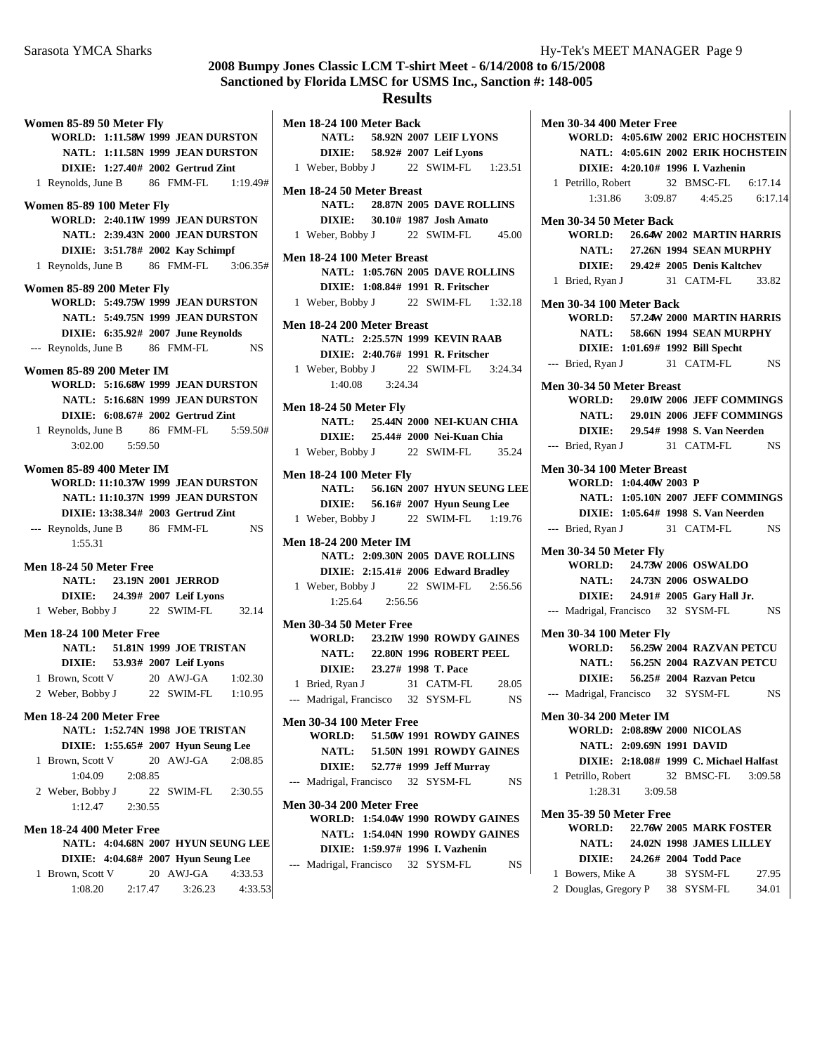## **Results**

**Men 18-24 100 Meter Back**

**Women 85-89 50 Meter Fly WORLD: 1:11.58W 1999 JEAN DURSTON NATL: 1:11.58N 1999 JEAN DURSTON DIXIE:** 1:27.40# 2002 **Gertrud Zint** 1 Reynolds, June B 86 FMM-FL 1:19.49# **Women 85-89 100 Meter Fly WORLD: 2:40.11W 1999 JEAN DURSTON NATL: 2:39.43N 2000 JEAN DURSTON DIXIE:** 3:51.78# 2002 **Kay Schimpf** 1 Reynolds, June B 86 FMM-FL 3:06.35# **Women 85-89 200 Meter Fly WORLD: 5:49.75W 1999 JEAN DURSTON NATL: 5:49.75N 1999 JEAN DURSTON DIXIE:** 6:35.92# 2007 June Reynolds --- Reynolds, June B 86 FMM-FL NS **Women 85-89 200 Meter IM WORLD: 5:16.68W 1999 JEAN DURSTON NATL: 5:16.68N 1999 JEAN DURSTON DIXIE:** 6:08.67# 2002 **Gertrud Zint** 1 Reynolds, June B 86 FMM-FL 5:59.50# 3:02.00 5:59.50 **Women 85-89 400 Meter IM WORLD: 11:10.37W 1999 JEAN DURSTON NATL: 11:10.37N 1999 JEAN DURSTON DIXIE: 13:38.34# 2003 Gertrud Zint** --- Reynolds, June B 86 FMM-FL NS 1:55.31 **Men 18-24 50 Meter Free NATL:** 23.19N 2001 **JERROD DIXIE:** 24.39# 2007 Leif Lyons 1 32.14 Weber, Bobby J 22 SWIM-FL **Men 18-24 100 Meter Free NATL:** 51.81N 1999 JOE TRISTAN **DIXIE:** 53.93# 2007 Leif Lyons 1 Brown, Scott V 20 AWJ-GA 1:02.30 2 Weber, Bobby J 22 SWIM-FL 1:10.95 **Men 18-24 200 Meter Free NATL: 1:52.74N 1998 JOE TRISTAN DIXIE:** 1:55.65# 2007 **Hyun Seung Lee** 1 Brown, Scott V 20 AWJ-GA 2:08.85 1:04.09 2:08.85 2 2:30.55 Weber, Bobby J 22 SWIM-FL 1:12.47 2:30.55 **Men 18-24 400 Meter Free NATL: 4:04.68N 2007 HYUN SEUNG LEE DIXIE:** 4:04.68# 2007 **Hyun Seung Lee** 1 Brown, Scott V 20 AWJ-GA 4:33.53  $1:08.20$   $2:17.47$   $3:26.23$   $4:33.53$ 

**NATL:** 58.92N 2007 LEIF LYONS **DIXIE:** 58.92# 2007 Leif Lyons 1 Weber, Bobby J 22 SWIM-FL 1:23.51 **Men 18-24 50 Meter Breast NATL:** 28.87N 2005 **DAVE ROLLINS DIXIE:** 30.10# 1987 **Josh Amato** 1 Weber, Bobby J 22 SWIM-FL 45.00 **Men 18-24 100 Meter Breast NATL: 1:05.76N 2005 DAVE ROLLINS DIXIE: 1:08.84 1991 # R. Fritscher** 1 Weber, Bobby J 22 SWIM-FL 1:32.18 **Men 18-24 200 Meter Breast NATL: 2:25.57N 1999 KEVIN RAAB DIXIE: 2:40.76# 1991 R. Fritscher** 1 Weber, Bobby J 22 SWIM-FL 3:24.34 1:40.08 3:24.34 **Men 18-24 50 Meter Fly NATL: 25.44N 2000 NEI-KUAN CHIA DIXIE:** 25.44# 2000 Nei-Kuan Chia 1 35.24 Weber, Bobby J 22 SWIM-FL **Men 18-24 100 Meter Fly NATL:** 56.16N 2007 **HYUN SEUNG LEE DIXIE:** 56.16# 2007 **Hyun Seung Lee** 1 Weber, Bobby J 22 SWIM-FL 1:19.76 **Men 18-24 200 Meter IM NATL: 2:09.30N 2005 DAVE ROLLINS DIXIE: 2:15.41# 2006 Edward Bradley** 1 Weber, Bobby J 22 SWIM-FL 2:56.56 1:25.64 2:56.56 **Men 30-34 50 Meter Free WORLD: 23.21W 1990 ROWDY GAINES NATL: 22.80N 1996 ROBERT PEEL DIXIE:** 23.27# 1998 T. Pace 1 Bried, Ryan J 31 CATM-FL 28.05 --- Madrigal, Francisco 32 SYSM-FL NS **Men 30-34 100 Meter Free WORLD:** 51.50W 1991 **ROWDY GAINES NATL:** 51.50N 1991 **ROWDY GAINES DIXIE:** 52.77# 1999 Jeff Murray --- Madrigal, Francisco 32 SYSM-FL NS **Men 30-34 200 Meter Free WORLD: 1:54.04W 1990 ROWDY GAINES NATL: 1:54.04N 1990 ROWDY GAINES DIXIE: 1:59.97 1996 # I. Vazhenin** --- Madrigal, Francisco 32 SYSM-FL NS

**Men 30-34 400 Meter Free WORLD: 4:05.61W 2002 ERIC HOCHSTEIN NATL: 4:05.61N 2002 ERIK HOCHSTEIN DIXIE:** 4:20.10# 1996 **I. Vazhenin** 1 Petrillo, Robert 32 BMSC-FL 6:17.14 1:31.86 3:09.87 4:45.25 6:17.14 **Men 30-34 50 Meter Back WORLD:** 26.64W 2002 MARTIN HARRIS **NATL: 27.26N 1994 SEAN MURPHY DIXIE:** 29.42# 2005 **Denis Kaltchev** 1 Bried, Ryan J 31 CATM-FL 33.82 **Men 30-34 100 Meter Back WORLD: 57.24W 2000 MARTIN HARRIS NATL:** 58.66N 1994 **SEAN MURPHY DIXIE:** 1:01.69# 1992 **Bill Specht** --- Bried, Ryan J 31 CATM-FL NS **Men 30-34 50 Meter Breast WORLD:** 29.01W 2006 JEFF COMMINGS **NATL:** 29.01N 2006 JEFF COMMINGS **DIXIE:** 29.54# 1998 **S. Van Neerden** --- Bried, Ryan J 31 CATM-FL NS **Men 30-34 100 Meter Breast WORLD: 1:04.40W 2003 P NATL: 1:05.10N 2007 JEFF COMMINGS DIXIE:** 1:05.64# 1998 **S. Van Neerden** --- Bried, Ryan J 31 CATM-FL NS **Men 30-34 50 Meter Fly WORLD:** 24.73W 2006 OSWALDO **NATL:** 24.73N 2006 OSWALDO **DIXIE:** 24.91# 2005 Gary Hall Jr. --- Madrigal, Francisco 32 SYSM-FL NS **Men 30-34 100 Meter Fly WORLD:** 56.25W 2004 **RAZVAN PETCU NATL:** 56.25N 2004 **RAZVAN PETCU DIXIE:** 56.25# 2004 **Razvan Petcu** --- Madrigal, Francisco 32 SYSM-FL NS **Men 30-34 200 Meter IM WORLD: 2:08.89W 2000 NICOLAS NATL: 2:09.69N 1991 DAVID DIXIE: 2:18.08# 1999 C. Michael Halfast** 1 Petrillo, Robert 32 BMSC-FL 3:09.58 1:28.31 3:09.58 **Men 35-39 50 Meter Free WORLD: 22.76W 2005 MARK FOSTER NATL:** 24.02N 1998 **JAMES LILLEY DIXIE:** 24.26# 2004 **Todd Pace** 1 Bowers, Mike A 38 SYSM-FL 27.95

2 Douglas, Gregory P 38 SYSM-FL 34.01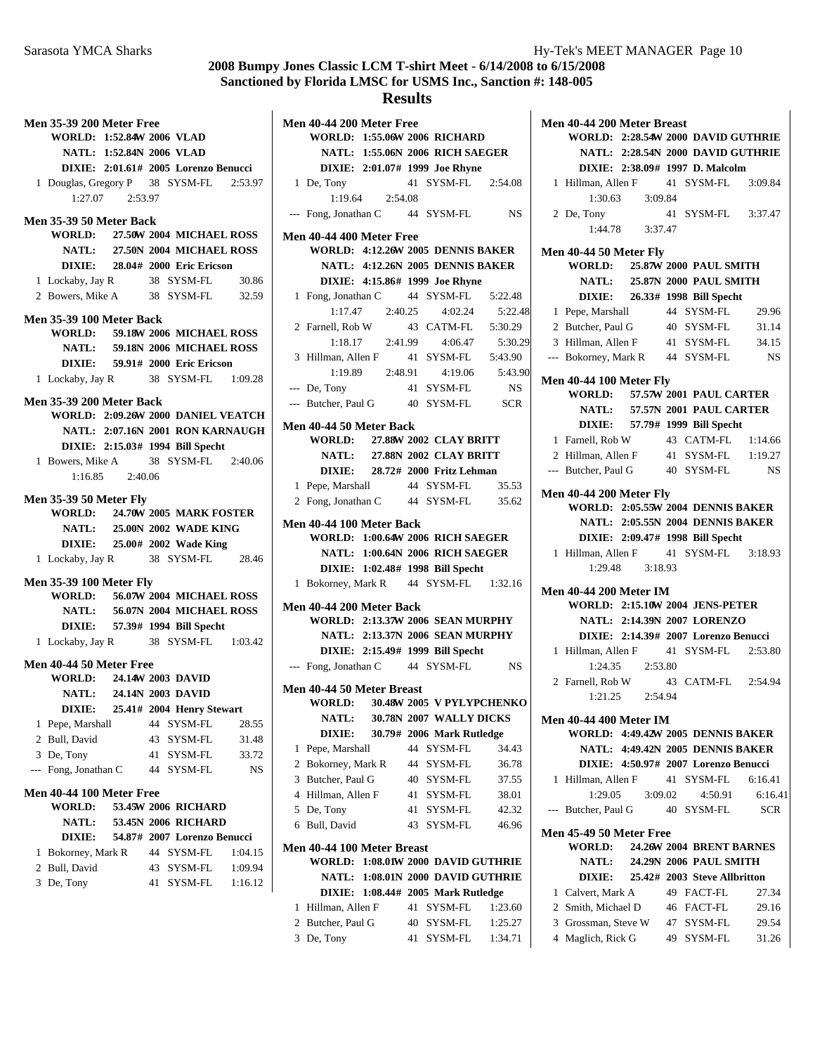**WORLD: 2:28.54W 2000 DAVID GUTHRIE** 

**Men 40-44 200 Meter Breast**

# **2008 Bumpy Jones Classic LCM T-shirt Meet - 6/14/2008 to 6/15/2008 Sanctioned by Florida LMSC for USMS Inc., Sanction #: 148-005**

| <b>Men 35-39 200 Meter Free</b>                                   |                          |    |                                      |         |
|-------------------------------------------------------------------|--------------------------|----|--------------------------------------|---------|
| WORLD: 1:52.84W 2006 VLAD                                         |                          |    |                                      |         |
|                                                                   | NATL: 1:52.84N 2006 VLAD |    |                                      |         |
|                                                                   |                          |    | DIXIE: 2:01.61# 2005 Lorenzo Benucci |         |
| 1 Douglas, Gregory P 38 SYSM-FL 2:53.97                           |                          |    |                                      |         |
|                                                                   | 1:27.07 2:53.97          |    |                                      |         |
|                                                                   |                          |    |                                      |         |
| Men 35-39 50 Meter Back                                           |                          |    |                                      |         |
| WORLD: 27.50W 2004 MICHAEL ROSS                                   |                          |    |                                      |         |
|                                                                   |                          |    | NATL: 27.50N 2004 MICHAEL ROSS       |         |
|                                                                   |                          |    | DIXIE: 28.04# 2000 Eric Ericson      |         |
| 1 Lockaby, Jay R 38 SYSM-FL 30.86                                 |                          |    |                                      |         |
| 2 Bowers, Mike A 38 SYSM-FL 32.59                                 |                          |    |                                      |         |
|                                                                   |                          |    |                                      |         |
| <b>Men 35-39 100 Meter Back</b>                                   |                          |    |                                      |         |
| WORLD: 59.18W 2006 MICHAEL ROSS                                   |                          |    |                                      |         |
|                                                                   |                          |    | NATL: 59.18N 2006 MICHAEL ROSS       |         |
|                                                                   |                          |    | DIXIE: 59.91# 2000 Eric Ericson      |         |
| 1 Lockaby, Jay R 38 SYSM-FL 1:09.28                               |                          |    |                                      |         |
|                                                                   |                          |    |                                      |         |
| <b>Men 35-39 200 Meter Back</b>                                   |                          |    |                                      |         |
| WORLD: 2:09.26W 2000 DANIEL VEATCH                                |                          |    |                                      |         |
|                                                                   |                          |    | NATL: 2:07.16N 2001 RON KARNAUGH     |         |
|                                                                   |                          |    | DIXIE: 2:15.03# 1994 Bill Specht     |         |
| 1 Bowers, Mike A 38 SYSM-FL 2:40.06                               |                          |    |                                      |         |
|                                                                   | $1:16.85$ $2:40.06$      |    |                                      |         |
| <b>Men 35-39 50 Meter Fly</b>                                     |                          |    |                                      |         |
|                                                                   |                          |    |                                      |         |
|                                                                   |                          |    |                                      |         |
| <b>WORLD: 24.70W 2005 MARK FOSTER</b>                             |                          |    |                                      |         |
|                                                                   |                          |    | NATL: 25.00N 2002 WADE KING          |         |
|                                                                   |                          |    | DIXIE: 25.00# 2002 Wade King         |         |
| 1 Lockaby, Jay R 38 SYSM-FL 28.46                                 |                          |    |                                      |         |
|                                                                   |                          |    |                                      |         |
| <b>Men 35-39 100 Meter Fly</b><br>WORLD: 56.07W 2004 MICHAEL ROSS |                          |    |                                      |         |
|                                                                   |                          |    |                                      |         |
|                                                                   |                          |    | NATL: 56.07N 2004 MICHAEL ROSS       |         |
|                                                                   |                          |    | DIXIE: 57.39# 1994 Bill Specht       |         |
| 1 Lockaby, Jay R 38 SYSM-FL 1:03.42                               |                          |    |                                      |         |
|                                                                   |                          |    |                                      |         |
| WORLD: 24.14W 2003 DAVID                                          |                          |    |                                      |         |
| Men 40-44 50 Meter Free                                           |                          |    |                                      |         |
| <b>DIXIE:</b>                                                     | NATL: 24.14N 2003 DAVID  |    | 25.41# 2004 Henry Stewart            |         |
|                                                                   |                          | 44 | SYSM-FL                              | 28.55   |
| 1 Pepe, Marshall<br>2 Bull, David                                 |                          | 43 | SYSM-FL                              | 31.48   |
|                                                                   |                          |    |                                      |         |
| 3 De, Tony                                                        |                          | 41 | SYSM-FL                              | 33.72   |
| Fong, Jonathan C<br>$---$                                         |                          | 44 | SYSM-FL                              | NS      |
| <b>Men 40-44 100 Meter Free</b>                                   |                          |    |                                      |         |
| WORLD:                                                            |                          |    | 53.45W 2006 RICHARD                  |         |
| NATL:                                                             |                          |    | 53.45N 2006 RICHARD                  |         |
| <b>DIXIE:</b>                                                     |                          |    | 54.87# 2007 Lorenzo Benucci          |         |
| Bokorney, Mark R<br>1                                             |                          |    | 44 SYSM-FL                           | 1:04.15 |
| Bull, David<br>2                                                  |                          | 43 | SYSM-FL                              | 1:09.94 |
| 3<br>De, Tony                                                     |                          | 41 | SYSM-FL                              | 1:16.12 |

|   |                                         |                     | <b>Results</b> |                                               |                 |
|---|-----------------------------------------|---------------------|----------------|-----------------------------------------------|-----------------|
|   | Men 40-44 200 Meter Free                |                     |                |                                               |                 |
|   | WORLD: 1:55.06W 2006 RICHARD            |                     |                |                                               |                 |
|   |                                         |                     |                | NATL: 1:55.06N 2006 RICH SAEGER               |                 |
|   |                                         |                     |                | DIXIE: 2:01.07# 1999 Joe Rhyne                |                 |
|   | 1 De, Tony                              |                     |                | 41 SYSM-FL 2:54.08                            |                 |
|   |                                         | $1:19.64$ $2:54.08$ |                |                                               |                 |
|   | --- Fong, Jonathan C 44 SYSM-FL NS      |                     |                |                                               |                 |
|   | <b>Men 40-44 400 Meter Free</b>         |                     |                |                                               |                 |
|   | WORLD: 4:12.26W 2005 DENNIS BAKER       |                     |                |                                               |                 |
|   |                                         |                     |                | NATL: 4:12.26N 2005 DENNIS BAKER              |                 |
|   |                                         |                     |                | DIXIE: 4:15.86# 1999 Joe Rhyne                |                 |
|   | 1 Fong, Jonathan C 44 SYSM-FL 5:22.48   |                     |                |                                               |                 |
|   |                                         |                     |                | $1:17.47$ $2:40.25$ $4:02.24$                 | 5:22.48         |
|   | 2 Farnell, Rob W                        |                     |                | 43 CATM-FL 5:30.29                            |                 |
|   |                                         | 1:18.17  2:41.99    |                | 4:06.47                                       | 5:30.29         |
|   | 3 Hillman, Allen F                      |                     |                | 41 SYSM-FL 5:43.90                            |                 |
|   |                                         | 1:19.89  2:48.91    |                |                                               | 4:19.06 5:43.90 |
|   | --- De, Tony                            |                     |                | 41 SYSM-FL                                    | NS              |
|   | --- Butcher, Paul G 40 SYSM-FL SCR      |                     |                |                                               |                 |
|   |                                         |                     |                |                                               |                 |
|   | Men 40-44 50 Meter Back                 |                     |                |                                               |                 |
|   | WORLD: 27.88W 2002 CLAY BRITT           |                     |                |                                               |                 |
|   |                                         |                     |                | NATL: 27.88N 2002 CLAY BRITT                  |                 |
|   |                                         |                     |                | DIXIE: 28.72# 2000 Fritz Lehman               |                 |
|   | 1 Pepe, Marshall 44 SYSM-FL 35.53       |                     |                |                                               |                 |
|   | 2 Fong, Jonathan C 44 SYSM-FL 35.62     |                     |                |                                               |                 |
|   | Men 40-44 100 Meter Back                |                     |                |                                               |                 |
|   | <b>WORLD: 1:00.64W 2006 RICH SAEGER</b> |                     |                |                                               |                 |
|   |                                         |                     |                | NATL: 1:00.64N 2006 RICH SAEGER               |                 |
|   |                                         |                     |                | DIXIE: 1:02.48# 1998 Bill Specht              |                 |
|   |                                         |                     |                | 1 Bokorney, Mark R 44 SYSM-FL 1:32.16         |                 |
|   |                                         |                     |                |                                               |                 |
|   |                                         |                     |                |                                               |                 |
|   | <b>Men 40-44 200 Meter Back</b>         |                     |                |                                               |                 |
|   | <b>WORLD: 2:13.37W 2006 SEAN MURPHY</b> |                     |                |                                               |                 |
|   |                                         |                     |                | NATL: 2:13.37N 2006 SEAN MURPHY               |                 |
|   |                                         |                     |                | DIXIE: 2:15.49# 1999 Bill Specht              |                 |
|   | --- Fong, Jonathan C 44 SYSM-FL         |                     |                |                                               | NS              |
|   | Men 40-44 50 Meter Breast               |                     |                |                                               |                 |
|   | WORLD: 30.48W 2005 V PYLYPCHENKO        |                     |                |                                               |                 |
|   |                                         |                     |                | NATL: 30.78N 2007 WALLY DICKS                 |                 |
|   |                                         |                     |                | DIXIE: 30.79# 2006 Mark Rutledge              |                 |
| 1 | Pepe, Marshall                          |                     |                | 44 SYSM-FL                                    | 34.43           |
|   | 2 Bokorney, Mark R                      |                     |                | 44 SYSM-FL                                    | 36.78           |
|   | 3 Butcher, Paul G                       |                     |                | 40 SYSM-FL                                    | 37.55           |
|   | 4 Hillman, Allen F                      |                     |                | 41 SYSM-FL                                    | 38.01           |
|   | 5 De, Tony                              |                     |                | 41 SYSM-FL                                    | 42.32           |
| 6 | Bull, David                             |                     |                | 43 SYSM-FL                                    | 46.96           |
|   |                                         |                     |                |                                               |                 |
|   | Men 40-44 100 Meter Breast              |                     |                | WORLD: 1:08.01W 2000 DAVID GUTHRIE            |                 |
|   |                                         |                     |                | NATL: 1:08.01N 2000 DAVID GUTHRIE             |                 |
|   |                                         |                     |                |                                               |                 |
| 1 | Hillman, Allen F                        |                     | 41             | DIXIE: 1:08.44# 2005 Mark Rutledge<br>SYSM-FL | 1:23.60         |

3 De, Tony 41 SYSM-FL 1:34.71

|   |                                                                  |                                  |            | NATL: 2:28.54N 2000 DAVID GUTHRIE                                                                      |
|---|------------------------------------------------------------------|----------------------------------|------------|--------------------------------------------------------------------------------------------------------|
|   |                                                                  | DIXIE: 2:38.09# 1997 D. Malcolm  |            |                                                                                                        |
|   |                                                                  |                                  |            | 1 Hillman, Allen F 41 SYSM-FL 3:09.84                                                                  |
|   |                                                                  | $1:30.63$ $3:09.84$              |            |                                                                                                        |
|   | 2 De, Tony                                                       |                                  |            | 41 SYSM-FL 3:37.47                                                                                     |
|   |                                                                  | $1:44.78$ $3:37.47$              |            |                                                                                                        |
|   | Men 40-44 50 Meter Fly                                           |                                  |            |                                                                                                        |
|   | WORLD: 25.87W 2000 PAUL SMITH                                    |                                  |            |                                                                                                        |
|   |                                                                  | NATL: 25.87N 2000 PAUL SMITH     |            |                                                                                                        |
|   |                                                                  | DIXIE: 26.33# 1998 Bill Specht   |            |                                                                                                        |
|   | 1 Pepe, Marshall 44 SYSM-FL                                      |                                  |            | 29.96                                                                                                  |
|   | 2 Butcher, Paul G 40 SYSM-FL                                     |                                  |            | 31.14                                                                                                  |
|   |                                                                  |                                  |            | 3 Hillman, Allen F 41 SYSM-FL 34.15                                                                    |
|   |                                                                  |                                  |            | --- Bokorney, Mark R 44 SYSM-FL NS                                                                     |
|   | <b>Men 40-44 100 Meter Fly</b>                                   |                                  |            |                                                                                                        |
|   | WORLD: 57.57W 2001 PAUL CARTER                                   |                                  |            |                                                                                                        |
|   |                                                                  |                                  |            | NATL: 57.57N 2001 PAUL CARTER                                                                          |
|   |                                                                  | DIXIE: 57.79# 1999 Bill Specht   |            |                                                                                                        |
|   |                                                                  |                                  |            |                                                                                                        |
|   |                                                                  |                                  |            |                                                                                                        |
|   |                                                                  |                                  |            | 1 Famell, Rob W<br>2 Hillman, Allen F<br>41 SYSM-FL 1:19.27<br>--- Butcher, Paul G<br>40 SYSM-FL<br>NS |
|   |                                                                  |                                  |            |                                                                                                        |
|   | <b>Men 40-44 200 Meter Fly</b>                                   |                                  |            | WORLD: 2:05.55W 2004 DENNIS BAKER                                                                      |
|   |                                                                  |                                  |            | NATL: 2:05.55N 2004 DENNIS BAKER                                                                       |
|   |                                                                  | DIXIE: 2:09.47# 1998 Bill Specht |            |                                                                                                        |
|   |                                                                  |                                  |            | 1 Hillman, Allen F 41 SYSM-FL 3:18.93                                                                  |
|   |                                                                  | 1:29.48 3:18.93                  |            |                                                                                                        |
|   |                                                                  |                                  |            |                                                                                                        |
|   | <b>Men 40-44 200 Meter IM</b><br>WORLD: 2:15.10W 2004 JENS-PETER |                                  |            |                                                                                                        |
|   |                                                                  | NATL: 2:14.39N 2007 LORENZO      |            |                                                                                                        |
|   |                                                                  |                                  |            | DIXIE: 2:14.39# 2007 Lorenzo Benucci                                                                   |
|   |                                                                  |                                  |            | 1 Hillman, Allen F 41 SYSM-FL 2:53.80                                                                  |
|   |                                                                  | $1:24.35$ $2:53.80$              |            |                                                                                                        |
|   | 2 Farnell, Rob W                                                 |                                  |            | 43 CATM-FL 2:54.94                                                                                     |
|   |                                                                  | $1:21.25$ $2:54.94$              |            |                                                                                                        |
|   |                                                                  |                                  |            |                                                                                                        |
|   | <b>Men 40-44 400 Meter IM</b>                                    |                                  |            |                                                                                                        |
|   |                                                                  |                                  |            | WORLD: 4:49.42W 2005 DENNIS BAKER                                                                      |
|   |                                                                  |                                  |            | NATL: 4:49.42N 2005 DENNIS BAKER                                                                       |
|   |                                                                  |                                  |            | DIXIE: 4:50.97# 2007 Lorenzo Benucci                                                                   |
| 1 |                                                                  |                                  |            | Hillman, Allen F 41 SYSM-FL 6:16.41                                                                    |
|   |                                                                  | $1:29.05$ $3:09.02$              | 40 SYSM-FL | 4:50.91 6:16.41                                                                                        |
|   | --- Butcher, Paul G                                              |                                  |            | <b>SCR</b>                                                                                             |
|   | <b>Men 45-49 50 Meter Free</b>                                   |                                  |            |                                                                                                        |
|   |                                                                  |                                  |            | WORLD: 24.26W 2004 BRENT BARNES                                                                        |

| <b>NATL:</b>        |  | 24.29N 2006 PAUL SMITH       |       |
|---------------------|--|------------------------------|-------|
| DIXIE:              |  | 25.42# 2003 Steve Allbritton |       |
| 1 Calvert, Mark A   |  | 49 FACT-FL                   | 27.34 |
| 2 Smith, Michael D  |  | 46 FACT-FL                   | 29.16 |
| 3 Grossman, Steve W |  | 47 SYSM-FL                   | 29.54 |
| 4 Maglich, Rick G   |  | 49 SYSM-FL                   | 31.26 |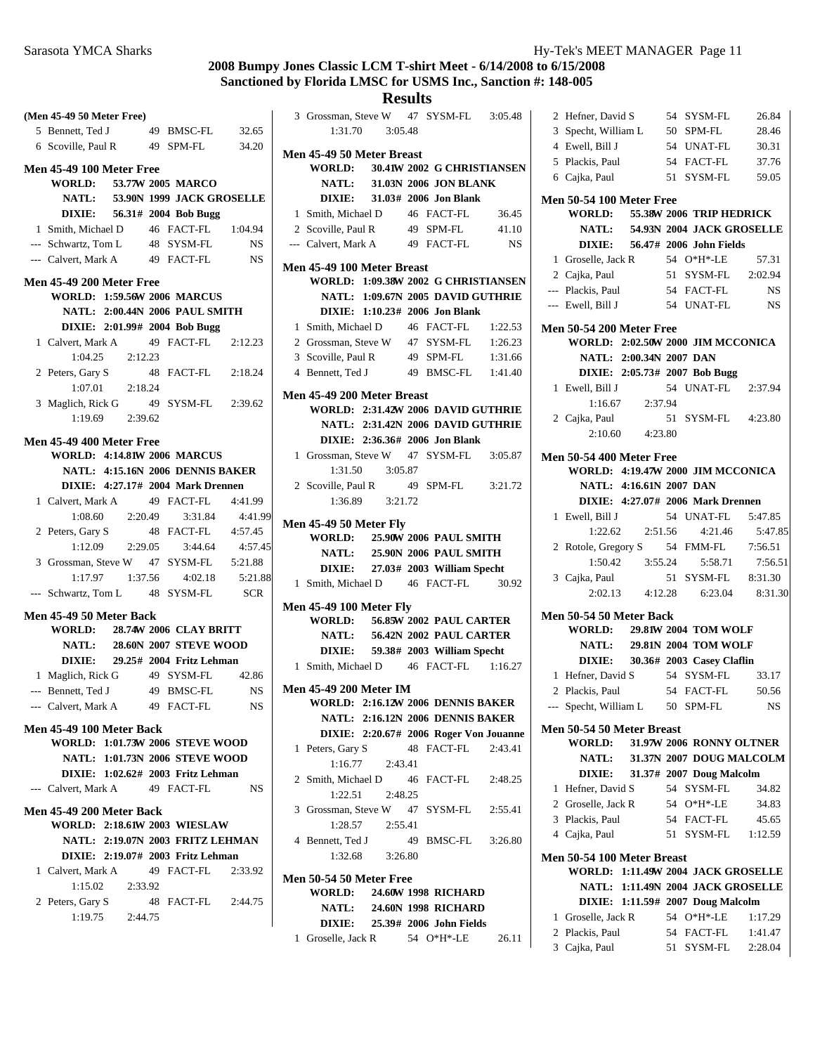### **(Men 45-49 50 Meter Free)** 5 Bennett, Ted J 49 BMSC-FL 32.65 6 34.20 Scoville, Paul R 49 SPM-FL **Men 45-49 100 Meter Free WORLD:** 53.77W 2005 MARCO **NATL:** 53.90N 1999 JACK GROSELLE **DIXIE:** 56.31# 2004 Bob Bugg 1 Smith, Michael D 46 FACT-FL 1:04.94 --- Schwartz, Tom L 48 SYSM-FL NS --- Calvert, Mark A 49 FACT-FL NS **Men 45-49 200 Meter Free WORLD: 1:59.56 2006 W MARCUS NATL: 2:00.44N 2006 PAUL SMITH DIXIE:** 2:01.99# 2004 **Bob Bugg** 1 Calvert, Mark A 49 FACT-FL 2:12.23 1:04.25 2:12.23 2 Peters, Gary S 48 FACT-FL 2:18.24 1:07.01 2:18.24 3 Maglich, Rick G 49 SYSM-FL 2:39.62 1:19.69 2:39.62 **Men 45-49 400 Meter Free WORLD: 4:14.81W 2006 MARCUS NATL: 4:15.16N 2006 DENNIS BAKER DIXIE: 4:27.17# 2004 Mark Drennen** 1 Calvert, Mark A 49 FACT-FL 4:41.99 1:08.60 2:20.49 3:31.84 4:41.99 2 Peters, Gary S 48 FACT-FL 4:57.45 1:12.09 2:29.05 3:44.64 4:57.45 3 Grossman, Steve W 47 SYSM-FL 5:21.88 1:17.97 1:37.56 4:02.18 5:21.88 --- Schwartz, Tom L 48 SYSM-FL SCR **Men 45-49 50 Meter Back WORLD: 28.74W 2006 CLAY BRITT NATL:** 28.60N 2007 **STEVE WOOD DIXIE:** 29.25# 2004 **Fritz Lehman** 1 Maglich, Rick G 49 SYSM-FL 42.86 --- Bennett, Ted J 49 BMSC-FL NS --- Calvert, Mark A 49 FACT-FL NS **Men 45-49 100 Meter Back WORLD: 1:01.73W 2006 STEVE WOOD NATL: 1:01.73N 2006 STEVE WOOD DIXIE:** 1:02.62# 2003 **Fritz Lehman** --- Calvert, Mark A 49 FACT-FL NS **Men 45-49 200 Meter Back WORLD: 2:18.61W 2003 WIESLAW NATL: 2:19.07N 2003 FRITZ LEHMAN DIXIE:** 2:19.07# 2003 **Fritz Lehman** 1 Calvert, Mark A 49 FACT-FL 2:33.92 1:15.02 2:33.92 2 2:44.75 Peters, Gary S 48 FACT-FL 1:19.75 2:44.75 3:05.48 3:05.48 Steve W 47 SYSM-FL 3:05.48

|                | Men 45-49 50 Meter Breast      |                     |    |                                                                |         |
|----------------|--------------------------------|---------------------|----|----------------------------------------------------------------|---------|
|                |                                |                     |    | WORLD: 30.41W 2002 G CHRISTIANSEN                              |         |
|                |                                |                     |    | NATL: 31.03N 2006 JON BLANK                                    |         |
|                |                                |                     |    | DIXIE: 31.03# 2006 Jon Blank                                   |         |
|                | 1 Smith, Michael D 46 FACT-FL  |                     |    |                                                                | 36.45   |
|                |                                |                     |    | 2 Scoville, Paul R 49 SPM-FL 41.10                             |         |
|                |                                |                     |    | --- Calvert, Mark A 49 FACT-FL                                 | NS      |
|                | Men 45-49 100 Meter Breast     |                     |    |                                                                |         |
|                |                                |                     |    | WORLD: 1:09.38W 2002 G CHRISTIANSEN                            |         |
|                |                                |                     |    | NATL: 1:09.67N 2005 DAVID GUTHRIE                              |         |
|                |                                |                     |    | DIXIE: 1:10.23# 2006 Jon Blank                                 |         |
|                | 1 Smith, Michael D             |                     |    | 46 FACT-FL 1:22.53                                             |         |
|                |                                |                     |    | 2 Grossman, Steve W 47 SYSM-FL<br>3 Scoville, Paul R 49 SPM-FL | 1:26.23 |
|                |                                |                     |    |                                                                | 1:31.66 |
|                |                                |                     |    | 4 Bennett, Ted J 49 BMSC-FL 1:41.40                            |         |
|                | Men 45-49 200 Meter Breast     |                     |    |                                                                |         |
|                |                                |                     |    | WORLD: 2:31.42W 2006 DAVID GUTHRIE                             |         |
|                |                                |                     |    | NATL: 2:31.42N 2006 DAVID GUTHRIE                              |         |
|                |                                |                     |    | DIXIE: 2:36.36# 2006 Jon Blank                                 |         |
|                |                                |                     |    | 1 Grossman, Steve W 47 SYSM-FL 3:05.87                         |         |
|                |                                |                     |    |                                                                |         |
|                | 2 Scoville, Paul R             |                     |    | 49 SPM-FL 3:21.72                                              |         |
|                |                                | $1:36.89$ $3:21.72$ |    |                                                                |         |
|                |                                |                     |    |                                                                |         |
|                | <b>Men 45-49 50 Meter Fly</b>  |                     |    |                                                                |         |
|                |                                |                     |    | WORLD: 25.90W 2006 PAUL SMITH                                  |         |
|                |                                |                     |    | NATL: 25.90N 2006 PAUL SMITH                                   |         |
|                |                                |                     |    | DIXIE: 27.03# 2003 William Specht                              |         |
|                |                                |                     |    | 1 Smith, Michael D 46 FACT-FL                                  | 30.92   |
|                | <b>Men 45-49 100 Meter Fly</b> |                     |    |                                                                |         |
|                |                                |                     |    | WORLD: 56.85W 2002 PAUL CARTER                                 |         |
|                |                                |                     |    | NATL: 56.42N 2002 PAUL CARTER                                  |         |
|                |                                |                     |    | DIXIE: 59.38# 2003 William Specht                              |         |
|                |                                |                     |    | 1 Smith, Michael D 46 FACT-FL 1:16.27                          |         |
|                | <b>Men 45-49 200 Meter IM</b>  |                     |    |                                                                |         |
|                |                                |                     |    | WORLD: 2:16.12W 2006 DENNIS BAKER                              |         |
|                |                                |                     |    | NATL: 2:16.12N 2006 DENNIS BAKER                               |         |
|                |                                |                     |    | DIXIE: 2:20.67# 2006 Roger Von Jouanne                         |         |
| 1              | Peters, Gary S                 |                     |    | 48 FACT-FL                                                     | 2:43.41 |
|                |                                | $1:16.77$ 2:43.41   |    |                                                                |         |
|                |                                |                     |    | 2 Smith, Michael D 46 FACT-FL                                  | 2:48.25 |
|                | 1:22.51                        | 2:48.25             |    |                                                                |         |
| $\overline{3}$ |                                |                     |    | Grossman, Steve W 47 SYSM-FL                                   | 2:55.41 |
|                | 1:28.57                        | 2:55.41             |    |                                                                |         |
|                | 4 Bennett, Ted J               |                     | 49 | BMSC-FL 3:26.80                                                |         |
|                |                                | 1:32.68 3:26.80     |    |                                                                |         |
|                |                                |                     |    |                                                                |         |
|                | <b>Men 50-54 50 Meter Free</b> |                     |    | <b>WORLD: 24.60W 1998 RICHARD</b>                              |         |
|                |                                |                     |    |                                                                |         |

|                    | WORLD: 24.60W 1998 RICHARD |       |
|--------------------|----------------------------|-------|
| NATL:              | 24.60N 1998 RICHARD        |       |
| DIXIE:             | 25.39# 2006 John Fields    |       |
| 1 Groselle, Jack R | 54 $O*H*-LE$               | 26.11 |

|                                                                    | 2 Hefner, David S                     |                 |  | 54 SYSM-FL                        | 26.84                                 |  |  |  |
|--------------------------------------------------------------------|---------------------------------------|-----------------|--|-----------------------------------|---------------------------------------|--|--|--|
|                                                                    | 3 Specht, William L                   |                 |  | 50 SPM-FL                         | 28.46                                 |  |  |  |
|                                                                    | 4 Ewell, Bill J                       |                 |  | 54 UNAT-FL                        | 30.31                                 |  |  |  |
|                                                                    | 5 Plackis, Paul                       |                 |  | 54 FACT-FL                        | 37.76                                 |  |  |  |
|                                                                    | 6 Cajka, Paul                         |                 |  | 51 SYSM-FL                        | 59.05                                 |  |  |  |
|                                                                    |                                       |                 |  |                                   |                                       |  |  |  |
| <b>Men 50-54 100 Meter Free</b><br>WORLD: 55.38W 2006 TRIP HEDRICK |                                       |                 |  |                                   |                                       |  |  |  |
|                                                                    |                                       |                 |  |                                   |                                       |  |  |  |
|                                                                    |                                       |                 |  | NATL: 54.93N 2004 JACK GROSELLE   |                                       |  |  |  |
|                                                                    |                                       |                 |  | DIXIE: 56.47# 2006 John Fields    |                                       |  |  |  |
|                                                                    | 1 Groselle, Jack R                    |                 |  | 54 O*H*-LE                        | 57.31                                 |  |  |  |
|                                                                    | 2 Cajka, Paul                         |                 |  | 51 SYSM-FL 2:02.94                |                                       |  |  |  |
|                                                                    | --- Plackis, Paul                     |                 |  | 54 FACT-FL                        | <b>NS</b>                             |  |  |  |
|                                                                    | --- Ewell, Bill J                     |                 |  | 54 UNAT-FL                        | <b>NS</b>                             |  |  |  |
|                                                                    | <b>Men 50-54 200 Meter Free</b>       |                 |  |                                   |                                       |  |  |  |
|                                                                    | WORLD: 2:02.50W 2000 JIM MCCONICA     |                 |  |                                   |                                       |  |  |  |
|                                                                    | NATL: 2:00.34N 2007 DAN               |                 |  |                                   |                                       |  |  |  |
|                                                                    |                                       |                 |  | DIXIE: 2:05.73# 2007 Bob Bugg     |                                       |  |  |  |
|                                                                    | 1 Ewell, Bill J                       |                 |  | 54 UNAT-FL 2:37.94                |                                       |  |  |  |
|                                                                    |                                       | 1:16.67 2:37.94 |  |                                   |                                       |  |  |  |
|                                                                    | 2 Cajka, Paul                         |                 |  | 51 SYSM-FL 4:23.80                |                                       |  |  |  |
|                                                                    |                                       | 2:10.60 4:23.80 |  |                                   |                                       |  |  |  |
|                                                                    |                                       |                 |  |                                   |                                       |  |  |  |
|                                                                    | <b>Men 50-54 400 Meter Free</b>       |                 |  |                                   |                                       |  |  |  |
|                                                                    | WORLD: 4:19.47W 2000 JIM MCCONICA     |                 |  |                                   |                                       |  |  |  |
|                                                                    | NATL: 4:16.61N 2007 DAN               |                 |  |                                   |                                       |  |  |  |
|                                                                    |                                       |                 |  | DIXIE: 4:27.07# 2006 Mark Drennen |                                       |  |  |  |
|                                                                    | 1 Ewell, Bill J                       |                 |  | 54 UNAT-FL                        | 5:47.85                               |  |  |  |
|                                                                    |                                       |                 |  | $1:22.62$ $2:51.56$ $4:21.46$     | 5:47.85                               |  |  |  |
|                                                                    | 2 Rotole, Gregory S 54 FMM-FL         |                 |  |                                   | 7:56.51                               |  |  |  |
|                                                                    |                                       |                 |  | 5:58.71                           | 7:56.51                               |  |  |  |
|                                                                    | 3 Cajka, Paul                         |                 |  | 51 SYSM-FL 8:31.30                |                                       |  |  |  |
|                                                                    |                                       |                 |  |                                   | 2:02.13   4:12.28   6:23.04   8:31.30 |  |  |  |
|                                                                    | <b>Men 50-54 50 Meter Back</b>        |                 |  |                                   |                                       |  |  |  |
|                                                                    | <b>WORLD: 29.81W 2004 TOM WOLF</b>    |                 |  |                                   |                                       |  |  |  |
|                                                                    |                                       |                 |  | NATL: 29.81N 2004 TOM WOLF        |                                       |  |  |  |
|                                                                    |                                       |                 |  | DIXIE: 30.36# 2003 Casey Claflin  |                                       |  |  |  |
|                                                                    | 1 Hefner, David S 54 SYSM-FL          |                 |  |                                   | 33.17                                 |  |  |  |
|                                                                    | 2 Plackis, Paul                       |                 |  | 54 FACT-FL                        | 50.56                                 |  |  |  |
|                                                                    | --- Specht, William L 50 SPM-FL       |                 |  |                                   | <b>NS</b>                             |  |  |  |
|                                                                    |                                       |                 |  |                                   |                                       |  |  |  |
|                                                                    | Men 50-54 50 Meter Breast             |                 |  |                                   |                                       |  |  |  |
|                                                                    | <b>WORLD:</b>                         |                 |  | 31.97W 2006 RONNY OLTNER          |                                       |  |  |  |
|                                                                    | <b>NATL:</b>                          |                 |  | 31.37N 2007 DOUG MALCOLM          |                                       |  |  |  |
|                                                                    | <b>DIXIE:</b>                         |                 |  | 31.37# 2007 Doug Malcolm          |                                       |  |  |  |
| 1                                                                  | Hefner, David S                       |                 |  | 54 SYSM-FL                        | 34.82                                 |  |  |  |
|                                                                    | 2 Groselle, Jack R 54 O*H*-LE         |                 |  |                                   | 34.83                                 |  |  |  |
|                                                                    | 3 Plackis, Paul                       |                 |  | 54 FACT-FL                        | 45.65                                 |  |  |  |
|                                                                    | 4 Cajka, Paul                         |                 |  | 51 SYSM-FL                        | 1:12.59                               |  |  |  |
|                                                                    | Men 50-54 100 Meter Breast            |                 |  |                                   |                                       |  |  |  |
|                                                                    | WORLD: 1:11.49W 2004 JACK GROSELLE    |                 |  |                                   |                                       |  |  |  |
|                                                                    |                                       |                 |  | NATL: 1:11.49N 2004 JACK GROSELLE |                                       |  |  |  |
|                                                                    |                                       |                 |  | DIXIE: 1:11.59# 2007 Doug Malcolm |                                       |  |  |  |
|                                                                    |                                       |                 |  |                                   |                                       |  |  |  |
|                                                                    | 1 Groselle, Jack R<br>2 Plackis, Paul |                 |  | 54 O*H*-LE                        | 1:17.29                               |  |  |  |
|                                                                    |                                       |                 |  | 54 FACT-FL                        | 1:41.47                               |  |  |  |
|                                                                    | 3 Cajka, Paul                         |                 |  | 51 SYSM-FL 2:28.04                |                                       |  |  |  |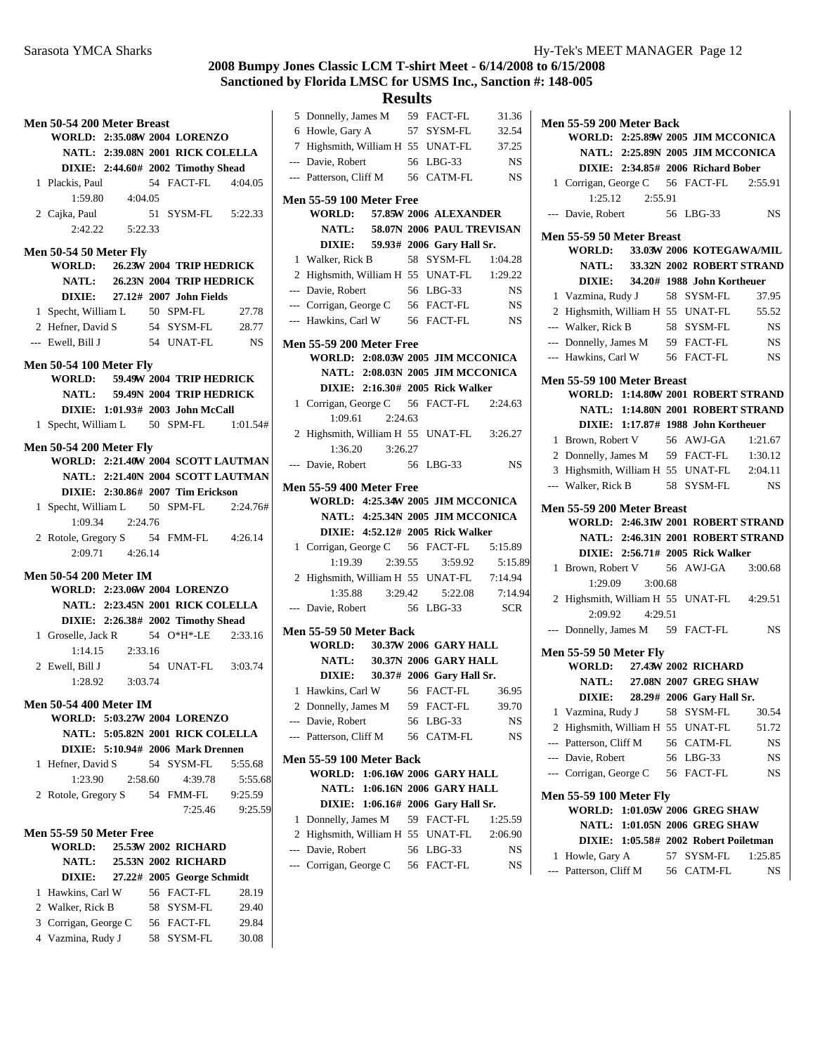**Results** 5 31.36 Donnelly, James M 59 FACT-FL

|              | Men 50-54 200 Meter Breast                      |                   |                                    |                                    |
|--------------|-------------------------------------------------|-------------------|------------------------------------|------------------------------------|
|              | WORLD: 2:35.08W 2004 LORENZO                    |                   |                                    |                                    |
|              |                                                 |                   | NATL: 2:39.08N 2001 RICK COLELLA   |                                    |
|              |                                                 |                   | DIXIE: 2:44.60# 2002 Timothy Shead |                                    |
|              | 1 Plackis, Paul                                 |                   | 54 FACT-FL  4:04.05                |                                    |
|              |                                                 | 1:59.80 4:04.05   |                                    |                                    |
|              | 2 Cajka, Paul                                   |                   | 51 SYSM-FL 5:22.33                 |                                    |
|              |                                                 | 2:42.22   5:22.33 |                                    |                                    |
|              |                                                 |                   |                                    |                                    |
|              | Men 50-54 50 Meter Fly                          |                   |                                    |                                    |
|              | WORLD:                                          |                   | 26.23W 2004 TRIP HEDRICK           |                                    |
|              |                                                 |                   | NATL: 26.23N 2004 TRIP HEDRICK     |                                    |
|              |                                                 |                   | DIXIE: 27.12# 2007 John Fields     |                                    |
|              | 1 Specht, William L 50 SPM-FL                   |                   |                                    | 27.78                              |
|              | 2 Hefner, David S 54 SYSM-FL 28.77              |                   |                                    |                                    |
|              | --- Ewell, Bill J                               |                   | 54 UNAT-FL NS                      |                                    |
|              | <b>Men 50-54 100 Meter Fly</b>                  |                   |                                    |                                    |
|              | WORLD: 59.49W 2004 TRIP HEDRICK                 |                   |                                    |                                    |
|              |                                                 |                   | NATL: 59.49N 2004 TRIP HEDRICK     |                                    |
|              |                                                 |                   | DIXIE: 1:01.93# 2003 John McCall   |                                    |
| $\mathbf{1}$ | Specht, William L 50 SPM-FL 1:01.54#            |                   |                                    |                                    |
|              |                                                 |                   |                                    |                                    |
|              | <b>Men 50-54 200 Meter Fly</b>                  |                   |                                    | WORLD: 2:21.40W 2004 SCOTT LAUTMAN |
|              |                                                 |                   |                                    | NATL: 2:21.40N 2004 SCOTT LAUTMAN  |
|              |                                                 |                   | DIXIE: 2:30.86# 2007 Tim Erickson  |                                    |
|              |                                                 |                   |                                    |                                    |
|              | 1 Specht, William L 50 SPM-FL 2:24.76#          | 1:09.34 2:24.76   |                                    |                                    |
|              | 2 Rotole, Gregory S 54 FMM-FL 4:26.14           |                   |                                    |                                    |
|              |                                                 | 2:09.71 4:26.14   |                                    |                                    |
|              |                                                 |                   |                                    |                                    |
|              | <b>Men 50-54 200 Meter IM</b>                   |                   |                                    |                                    |
|              | WORLD: 2:23.06W 2004 LORENZO                    |                   |                                    |                                    |
|              |                                                 |                   | NATL: 2:23.45N 2001 RICK COLELLA   |                                    |
|              |                                                 |                   | DIXIE: 2:26.38# 2002 Timothy Shead |                                    |
|              | 1 Groselle, Jack R 54 O*H*-LE 2:33.16           |                   |                                    |                                    |
|              |                                                 | 1:14.15 2:33.16   |                                    |                                    |
|              | 2 Ewell, Bill J                                 |                   | 54 UNAT-FL 3:03.74                 |                                    |
|              |                                                 | 1:28.92 3:03.74   |                                    |                                    |
|              | <b>Men 50-54 400 Meter IM</b>                   |                   |                                    |                                    |
|              | WORLD: 5:03.27W 2004 LORENZO                    |                   |                                    |                                    |
|              |                                                 |                   | NATL: 5:05.82N 2001 RICK COLELLA   |                                    |
|              |                                                 |                   | DIXIE: 5:10.94# 2006 Mark Drennen  |                                    |
| 1            | Hefner, David S                                 |                   | 54 SYSM-FL                         | 5:55.68                            |
|              | 1:23.90                                         | 2:58.60           | 4:39.78                            | 5:55.68                            |
|              | 2 Rotole, Gregory S 54 FMM-FL                   |                   |                                    | 9:25.59                            |
|              |                                                 |                   | 7:25.46                            | 9:25.59                            |
|              |                                                 |                   |                                    |                                    |
|              | <b>Men 55-59 50 Meter Free</b><br><b>WORLD:</b> |                   | 25.53W 2002 RICHARD                |                                    |
|              |                                                 |                   | NATL: 25.53N 2002 RICHARD          |                                    |
|              |                                                 |                   | DIXIE: 27.22# 2005 George Schmidt  |                                    |
| 1            | Hawkins, Carl W                                 |                   | 56 FACT-FL                         | 28.19                              |
|              | 2 Walker, Rick B                                |                   | 58 SYSM-FL                         | 29.40                              |
|              | 3 Corrigan, George C                            |                   | 56 FACT-FL                         | 29.84                              |
|              | 4 Vazmina, Rudy J                               |                   |                                    |                                    |
|              |                                                 |                   | 58 SYSM-FL                         | 30.08                              |

|                | 6 Howle, Gary A                                                  |         | 57 | SYSM-FL                                          | 32.54         |
|----------------|------------------------------------------------------------------|---------|----|--------------------------------------------------|---------------|
|                | 7 Highsmith, William H 55 UNAT-FL                                |         |    |                                                  | 37.25         |
|                | --- Davie, Robert                                                |         |    | 56 LBG-33                                        | <b>NS</b>     |
|                | --- Patterson, Cliff M                                           |         |    | 56 CATM-FL                                       | <b>NS</b>     |
|                | <b>Men 55-59 100 Meter Free</b>                                  |         |    |                                                  |               |
|                | WORLD: 57.85W 2006 ALEXANDER                                     |         |    |                                                  |               |
|                |                                                                  |         |    | NATL: 58.07N 2006 PAUL TREVISAN                  |               |
|                |                                                                  |         |    | DIXIE: 59.93# 2006 Gary Hall Sr.                 |               |
|                | 1 Walker, Rick B                                                 |         |    | 58 SYSM-FL                                       | 1:04.28       |
|                | 2 Highsmith, William H 55 UNAT-FL                                |         |    |                                                  | 1:29.22       |
|                | --- Davie, Robert                                                |         |    | 56 LBG-33                                        | <b>NS</b>     |
|                | --- Corrigan, George C 56 FACT-FL                                |         |    |                                                  | <b>NS</b>     |
|                | --- Hawkins, Carl W                                              |         |    | 56 FACT-FL                                       | NS            |
|                | <b>Men 55-59 200 Meter Free</b>                                  |         |    |                                                  |               |
|                | WORLD: 2:08.03W 2005 JIM MCCONICA                                |         |    |                                                  |               |
|                |                                                                  |         |    | NATL: 2:08.03N 2005 JIM MCCONICA                 |               |
|                |                                                                  |         |    | DIXIE: 2:16.30# 2005 Rick Walker                 |               |
|                | 1 Corrigan, George C 56 FACT-FL                                  |         |    |                                                  | 2:24.63       |
|                | $1:09.61$ $2:24.63$                                              |         |    |                                                  |               |
|                |                                                                  |         |    |                                                  |               |
|                | 2 Highsmith, William H 55 UNAT-FL 3:26.27<br>$1:36.20$ $3:26.27$ |         |    |                                                  |               |
| $\overline{a}$ | Davie, Robert                                                    |         |    | 56 LBG-33                                        | NS            |
|                |                                                                  |         |    |                                                  |               |
|                | <b>Men 55-59 400 Meter Free</b>                                  |         |    |                                                  |               |
|                |                                                                  |         |    |                                                  |               |
|                | WORLD: 4:25.34W 2005 JIM MCCONICA                                |         |    |                                                  |               |
|                |                                                                  |         |    | NATL: 4:25.34N 2005 JIM MCCONICA                 |               |
|                |                                                                  |         |    | DIXIE: 4:52.12# 2005 Rick Walker                 |               |
|                | 1 Corrigan, George C 56 FACT-FL                                  |         |    |                                                  | 5:15.89       |
|                | 1:19.39                                                          | 2:39.55 |    | 3:59.92                                          | 5:15.89       |
|                | 2 Highsmith, William H 55 UNAT-FL                                |         |    |                                                  | 7:14.94       |
|                | $1:35.88$ $3:29.42$                                              |         |    | 5:22.08                                          | 7:14.94       |
| $\overline{a}$ | Davie, Robert                                                    |         |    | 56 LBG-33                                        | <b>SCR</b>    |
|                | Men 55-59 50 Meter Back                                          |         |    |                                                  |               |
|                | WORLD: 30.37W 2006 GARY HALL                                     |         |    |                                                  |               |
|                |                                                                  |         |    | NATL: 30.37N 2006 GARY HALL                      |               |
|                |                                                                  |         |    | DIXIE: 30.37# 2006 Gary Hall Sr.                 |               |
|                | 1 Hawkins, Carl W                                                |         |    | 56 FACT-FL                                       | 36.95         |
|                | 2 Donnelly, James M 59 FACT-FL                                   |         |    |                                                  | 39.70         |
|                | Davie, Robert 56 LBG-33                                          |         |    |                                                  | <b>NS</b>     |
|                | --- Patterson, Cliff M                                           |         |    | 56 CATM-FL                                       | NS            |
|                |                                                                  |         |    |                                                  |               |
|                | <b>Men 55-59 100 Meter Back</b><br><b>WORLD:</b>                 |         |    | 1:06.16W 2006 GARY HALL                          |               |
|                |                                                                  |         |    | NATL: 1:06.16N 2006 GARY HALL                    |               |
|                |                                                                  |         |    |                                                  |               |
| 1              | Donnelly, James M                                                |         |    | DIXIE: 1:06.16# 2006 Gary Hall Sr.<br>59 FACT-FL | 1:25.59       |
| 2              |                                                                  |         |    |                                                  |               |
|                | Highsmith, William H 55 UNAT-FL<br>--- Davie, Robert             |         |    |                                                  | 2:06.90<br>NS |
|                | --- Corrigan, George C                                           |         |    | 56 LBG-33<br>56 FACT-FL                          | NS            |

| Men 55-59 200 Meter Back                  |                 |  |                                                     |                                   |
|-------------------------------------------|-----------------|--|-----------------------------------------------------|-----------------------------------|
| WORLD: 2:25.89W 2005 JIM MCCONICA         |                 |  |                                                     |                                   |
|                                           |                 |  | NATL: 2:25.89N 2005 JIM MCCONICA                    |                                   |
|                                           |                 |  | DIXIE: 2:34.85# 2006 Richard Bober                  |                                   |
| 1 Corrigan, George C 56 FACT-FL 2:55.91   |                 |  |                                                     |                                   |
|                                           | 1:25.12 2:55.91 |  |                                                     |                                   |
| --- Davie, Robert 56 LBG-33               |                 |  |                                                     | <b>NS</b>                         |
| Men 55-59 50 Meter Breast                 |                 |  |                                                     |                                   |
| WORLD: 33.03W 2006 KOTEGAWA/MIL           |                 |  |                                                     |                                   |
|                                           |                 |  |                                                     | NATL: 33.32N 2002 ROBERT STRAND   |
|                                           |                 |  | DIXIE: 34.20# 1988 John Kortheuer                   |                                   |
| Vazmina, Rudy J 58 SYSM-FL<br>1           |                 |  |                                                     | 37.95                             |
| 2 Highsmith, William H 55 UNAT-FL         |                 |  |                                                     | 55.52                             |
| --- Walker, Rick B                        |                 |  | 58 SYSM-FL NS                                       |                                   |
| --- Donnelly, James M 59 FACT-FL NS       |                 |  |                                                     |                                   |
| --- Hawkins, Carl W 56 FACT-FL NS         |                 |  |                                                     |                                   |
| Men 55-59 100 Meter Breast                |                 |  |                                                     |                                   |
| WORLD: 1:14.80W 2001 ROBERT STRAND        |                 |  |                                                     |                                   |
|                                           |                 |  |                                                     | NATL: 1:14.80N 2001 ROBERT STRAND |
|                                           |                 |  | DIXIE: 1:17.87# 1988 John Kortheuer                 |                                   |
| Brown, Robert V 56 AWJ-GA 1:21.67<br>1    |                 |  |                                                     |                                   |
| 2 Donnelly, James M 59 FACT-FL 1:30.12    |                 |  |                                                     |                                   |
| 3 Highsmith, William H 55 UNAT-FL 2:04.11 |                 |  |                                                     |                                   |
| --- Walker, Rick B 58 SYSM-FL             |                 |  |                                                     | NS <sub>N</sub>                   |
| Men 55-59 200 Meter Breast                |                 |  |                                                     |                                   |
|                                           |                 |  |                                                     |                                   |
| WORLD: 2:46.31W 2001 ROBERT STRAND        |                 |  |                                                     |                                   |
|                                           |                 |  |                                                     | NATL: 2:46.31N 2001 ROBERT STRAND |
|                                           |                 |  | DIXIE: 2:56.71# 2005 Rick Walker                    |                                   |
| Brown, Robert V 56 AWJ-GA 3:00.68<br>1    |                 |  |                                                     |                                   |
| 1:29.09                                   | 3:00.68         |  |                                                     |                                   |
| 2 Highsmith, William H 55 UNAT-FL 4:29.51 |                 |  |                                                     |                                   |
|                                           | 2:09.92 4:29.51 |  |                                                     |                                   |
| Donnelly, James M 59 FACT-FL              |                 |  |                                                     | <b>NS</b>                         |
| <b>Men 55-59 50 Meter Fly</b>             |                 |  |                                                     |                                   |
| <b>WORLD:</b>                             |                 |  | 27.43W 2002 RICHARD                                 |                                   |
| <b>NATL:</b>                              |                 |  | 27.08N 2007 GREG SHAW                               |                                   |
|                                           |                 |  | DIXIE: 28.29# 2006 Gary Hall Sr.                    |                                   |
| 1 Vazmina, Rudy J 58 SYSM-FL 30.54        |                 |  |                                                     |                                   |
| 2 Highsmith, William H 55 UNAT-FL         |                 |  |                                                     | 51.72                             |
| --- Patterson, Cliff M                    |                 |  |                                                     | NS                                |
| --- Davie, Robert                         |                 |  | 56 CATM-FL<br>56 LBG-33                             | NS                                |
| --- Corrigan, George C                    |                 |  | 56 FACT-FL                                          | NS                                |
|                                           |                 |  |                                                     |                                   |
| <b>Men 55-59 100 Meter Fly</b>            |                 |  |                                                     |                                   |
| WORLD: 1:01.05W 2006 GREG SHAW            |                 |  | NATL: 1:01.05N 2006 GREG SHAW                       |                                   |
|                                           |                 |  |                                                     |                                   |
| Howle, Gary A<br>1                        |                 |  | DIXIE: 1:05.58# 2002 Robert Poiletman<br>57 SYSM-FL | 1:25.85                           |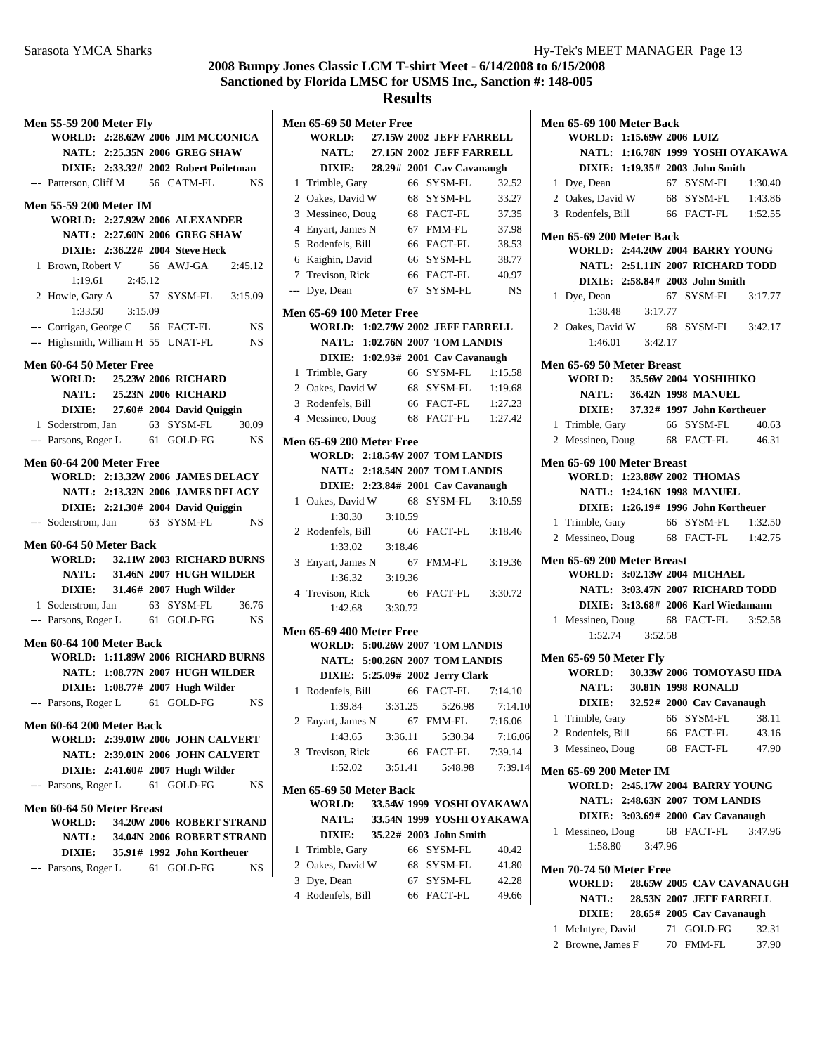## **Results**

| <b>Men 55-59 200 Meter Fly</b>                       |                 |                                          |           |
|------------------------------------------------------|-----------------|------------------------------------------|-----------|
|                                                      |                 | WORLD: 2:28.62W 2006 JIM MCCONICA        |           |
|                                                      |                 | NATL: 2:25.35N 2006 GREG SHAW            |           |
|                                                      |                 | DIXIE: 2:33.32# 2002 Robert Poiletman    |           |
| --- Patterson, Cliff M 56 CATM-FL                    |                 |                                          | <b>NS</b> |
|                                                      |                 |                                          |           |
| <b>Men 55-59 200 Meter IM</b>                        |                 |                                          |           |
|                                                      |                 | <b>WORLD: 2:27.92W 2006 ALEXANDER</b>    |           |
|                                                      |                 | NATL: 2:27.60N 2006 GREG SHAW            |           |
|                                                      |                 | DIXIE: 2:36.22# 2004 Steve Heck          |           |
| 1 Brown, Robert V 56 AWJ-GA 2:45.12                  |                 |                                          |           |
|                                                      | 1:19.61 2:45.12 |                                          |           |
| 2 Howle, Gary A 57 SYSM-FL 3:15.09                   |                 |                                          |           |
|                                                      |                 |                                          |           |
| --- Corrigan, George C 56 FACT-FL                    |                 |                                          | <b>NS</b> |
| --- Highsmith, William H 55 UNAT-FL                  |                 |                                          | <b>NS</b> |
|                                                      |                 |                                          |           |
| Men 60-64 50 Meter Free                              |                 |                                          |           |
|                                                      |                 | WORLD: 25.23W 2006 RICHARD               |           |
|                                                      |                 | NATL: 25.23N 2006 RICHARD                |           |
|                                                      |                 | DIXIE: 27.60# 2004 David Quiggin         |           |
| 1 Soderstrom, Jan 63 SYSM-FL 30.09                   |                 |                                          |           |
| --- Parsons, Roger L 61 GOLD-FG NS                   |                 |                                          |           |
|                                                      |                 |                                          |           |
| Men 60-64 200 Meter Free                             |                 |                                          |           |
|                                                      |                 | <b>WORLD: 2:13.32W 2006 JAMES DELACY</b> |           |
|                                                      |                 | NATL: 2:13.32N 2006 JAMES DELACY         |           |
|                                                      |                 | DIXIE: 2:21.30# 2004 David Quiggin       |           |
| --- Soderstrom, Jan 63 SYSM-FL                       |                 |                                          | <b>NS</b> |
| Men 60-64 50 Meter Back                              |                 |                                          |           |
|                                                      |                 | WORLD: 32.11W 2003 RICHARD BURNS         |           |
|                                                      |                 | NATL: 31.46N 2007 HUGH WILDER            |           |
|                                                      |                 | DIXIE: 31.46# 2007 Hugh Wilder           |           |
|                                                      |                 | 63 SYSM-FL                               | 36.76     |
| 1 Soderstrom, Jan<br>--- Parsons, Roger L 61 GOLD-FG |                 |                                          | <b>NS</b> |
|                                                      |                 |                                          |           |
| Men 60-64 100 Meter Back                             |                 |                                          |           |
|                                                      |                 | WORLD: 1:11.89W 2006 RICHARD BURNS       |           |
|                                                      |                 | NATL: 1:08.77N 2007 HUGH WILDER          |           |
|                                                      |                 | DIXIE: 1:08.77# 2007 Hugh Wilder         |           |
| --- Parsons, Roger L 61 GOLD-FG                      |                 |                                          | NS        |
| Men 60-64 200 Meter Back                             |                 |                                          |           |
|                                                      |                 | <b>WORLD: 2:39.01W 2006 JOHN CALVERT</b> |           |
|                                                      |                 | NATL: 2:39.01N 2006 JOHN CALVERT         |           |
|                                                      |                 | DIXIE: 2:41.60# 2007 Hugh Wilder         |           |
|                                                      |                 |                                          |           |
| --- Parsons, Roger L 61 GOLD-FG                      |                 |                                          | NS        |
| Men 60-64 50 Meter Breast                            |                 |                                          |           |
| <b>WORLD:</b>                                        |                 | 34.20W 2006 ROBERT STRAND                |           |
| <b>NATL:</b>                                         |                 | 34.04N 2006 ROBERT STRAND                |           |
| <b>DIXIE:</b>                                        |                 | 35.91# 1992 John Kortheuer               |           |
|                                                      |                 |                                          |           |
|                                                      |                 | --- Parsons, Roger L 61 GOLD-FG          | NS.       |

|                | Men 65-69 50 Meter Free                |         |    |                                    |           |
|----------------|----------------------------------------|---------|----|------------------------------------|-----------|
|                | <b>WORLD:</b>                          |         |    | 27.15W 2002 JEFF FARRELL           |           |
|                | <b>NATL:</b>                           |         |    | 27.15N 2002 JEFF FARRELL           |           |
|                | <b>DIXIE:</b>                          |         |    | 28.29# 2001 Cav Cavanaugh          |           |
| 1              | Trimble, Gary                          |         | 66 | SYSM-FL                            | 32.52     |
| 2              | Oakes, David W                         |         | 68 | SYSM-FL                            | 33.27     |
| 3              | Messineo, Doug                         |         | 68 | FACT-FL                            | 37.35     |
| $\overline{4}$ | Enyart, James N                        |         | 67 | FMM-FL                             | 37.98     |
| 5              | Rodenfels, Bill                        |         | 66 | <b>FACT-FL</b>                     | 38.53     |
|                | 6 Kaighin, David                       |         | 66 | SYSM-FL                            | 38.77     |
|                | 7 Trevison, Rick                       |         | 66 | FACT-FL                            | 40.97     |
| ---            | Dye, Dean                              |         | 67 | SYSM-FL                            | <b>NS</b> |
|                | <b>Men 65-69 100 Meter Free</b>        |         |    |                                    |           |
|                | WORLD: 1:02.79W 2002 JEFF FARRELL      |         |    |                                    |           |
|                |                                        |         |    | NATL: 1:02.76N 2007 TOM LANDIS     |           |
|                |                                        |         |    | DIXIE: 1:02.93# 2001 Cav Cavanaugh |           |
| 1              | Trimble, Gary                          |         | 66 | SYSM-FL                            | 1:15.58   |
| $\overline{2}$ | Oakes, David W                         |         |    | 68 SYSM-FL 1:19.68                 |           |
| 3              | Rodenfels, Bill                        |         |    | 66 FACT-FL 1:27.23                 |           |
| $\overline{4}$ | Messineo, Doug                         |         | 68 | FACT-FL                            | 1:27.42   |
|                |                                        |         |    |                                    |           |
|                | <b>Men 65-69 200 Meter Free</b>        |         |    |                                    |           |
|                | WORLD: 2:18.54W 2007 TOM LANDIS        |         |    |                                    |           |
|                |                                        |         |    | NATL: 2:18.54N 2007 TOM LANDIS     |           |
|                |                                        |         |    | DIXIE: 2:23.84# 2001 Cav Cavanaugh |           |
| 1              | Oakes, David W                         |         | 68 | SYSM-FL                            | 3:10.59   |
|                | 1:30.30                                | 3:10.59 |    |                                    |           |
| 2              | Rodenfels, Bill                        |         | 66 | FACT-FL                            | 3:18.46   |
|                | 1:33.02                                | 3:18.46 |    |                                    |           |
| 3              | Enyart, James N                        |         | 67 | FMM-FL                             | 3:19.36   |
|                | 1:36.32                                | 3:19.36 |    |                                    |           |
| 4              | Trevison, Rick                         |         | 66 | FACT-FL                            | 3:30.72   |
|                | 1:42.68                                | 3:30.72 |    |                                    |           |
|                | <b>Men 65-69 400 Meter Free</b>        |         |    |                                    |           |
|                | <b>WORLD: 5:00.26W 2007 TOM LANDIS</b> |         |    |                                    |           |
|                |                                        |         |    | NATL: 5:00.26N 2007 TOM LANDIS     |           |
|                |                                        |         |    | DIXIE: 5:25.09# 2002 Jerry Clark   |           |
| 1              | Rodenfels, Bill                        |         | 66 | <b>FACT-FL</b>                     | 7:14.10   |
|                | 1:39.84                                | 3:31.25 |    | 5:26.98                            | 7:14.10   |
| $\mathbf{2}$   | Enyart, James N                        |         | 67 | FMM-FL                             | 7:16.06   |
|                | 1:43.65                                | 3:36.11 |    | 5:30.34                            | 7:16.06   |
| 3              | Trevison, Rick                         |         | 66 | FACT-FL                            | 7:39.14   |
|                | 1:52.02                                | 3:51.41 |    | 5:48.98                            | 7:39.14   |
|                |                                        |         |    |                                    |           |
|                | Men 65-69 50 Meter Back                |         |    |                                    |           |
|                | <b>WORLD:</b>                          |         |    | 33.54W 1999 YOSHI OYAKAWA          |           |
|                | <b>NATL:</b>                           |         |    | 33.54N 1999 YOSHI OYAKAWA          |           |
|                | <b>DIXIE:</b>                          |         |    | 35.22# 2003 John Smith             |           |
| 1              | Trimble, Gary                          |         |    | 66 SYSM-FL                         | 40.42     |
| 2              | Oakes, David W                         |         | 68 | SYSM-FL                            | 41.80     |
| 3              | Dye, Dean                              |         | 67 | SYSM-FL                            | 42.28     |

| 5 Dye, Dean       | 07 - 21 J.M-LL | 44.40 |
|-------------------|----------------|-------|
| 4 Rodenfels, Bill | 66 FACT-FL     | 49.66 |

| Men 65-69 100 Meter Back                       |                     |                           |                                     |
|------------------------------------------------|---------------------|---------------------------|-------------------------------------|
| WORLD: 1:15.69W 2006 LUIZ                      |                     |                           |                                     |
|                                                |                     |                           | NATL: 1:16.78N 1999 YOSHI OYAKAWA   |
| DIXIE: 1:19.35# 2003 John Smith                |                     |                           |                                     |
| 1 Dye, Dean                                    |                     |                           | 67 SYSM-FL 1:30.40                  |
| 2 Oakes, David W 68 SYSM-FL 1:43.86            |                     |                           |                                     |
| 3 Rodenfels, Bill                              |                     |                           | 66 FACT-FL 1:52.55                  |
| Men 65-69 200 Meter Back                       |                     |                           |                                     |
| <b>WORLD: 2:44.20W 2004 BARRY YOUNG</b>        |                     |                           |                                     |
|                                                |                     |                           | NATL: 2:51.11N 2007 RICHARD TODD    |
| DIXIE: 2:58.84# 2003 John Smith                |                     |                           |                                     |
| 1 Dye, Dean                                    |                     |                           | 67 SYSM-FL 3:17.77                  |
|                                                | $1:38.48$ $3:17.77$ |                           |                                     |
| 2 Oakes, David W                               |                     |                           | 68 SYSM-FL 3:42.17                  |
|                                                | $1:46.01$ $3:42.17$ |                           |                                     |
|                                                |                     |                           |                                     |
| Men 65-69 50 Meter Breast                      |                     |                           |                                     |
| WORLD: 35.56W 2004 YOSHIHIKO                   |                     |                           |                                     |
| NATL:                                          |                     | <b>36.42N 1998 MANUEL</b> |                                     |
| DIXIE: 37.32# 1997 John Kortheuer              |                     |                           |                                     |
| 1 Trimble, Gary<br>2 Messineo, Doug 68 FACT-FL |                     | 66 SYSM-FL                | 40.63                               |
|                                                |                     |                           | 46.31                               |
| Men 65-69 100 Meter Breast                     |                     |                           |                                     |
| <b>WORLD: 1:23.88W 2002 THOMAS</b>             |                     |                           |                                     |
| NATL: 1:24.16N 1998 MANUEL                     |                     |                           |                                     |
| DIXIE: 1:26.19# 1996 John Kortheuer            |                     |                           |                                     |
| 1 Trimble, Gary 66 SYSM-FL 1:32.50             |                     |                           |                                     |
| 2 Messineo, Doug 68 FACT-FL 1:42.75            |                     |                           |                                     |
| Men 65-69 200 Meter Breast                     |                     |                           |                                     |
| WORLD: 3:02.13W 2004 MICHAEL                   |                     |                           |                                     |
|                                                |                     |                           | NATL: 3:03.47N 2007 RICHARD TODD    |
|                                                |                     |                           | DIXIE: 3:13.68# 2006 Karl Wiedamann |
| 1 Messineo, Doug 68 FACT-FL 3:52.58            |                     |                           |                                     |
|                                                | 1:52.74 3:52.58     |                           |                                     |
|                                                |                     |                           |                                     |
| <b>Men 65-69 50 Meter Fly</b>                  |                     |                           | WORLD: 30.33W 2006 TOMOYASU IIDA    |
| NATL: 30.81N 1998 RONALD                       |                     |                           |                                     |
| DIXIE: 32.52# 2000 Cav Cavanaugh               |                     |                           |                                     |
| 1 Trimble, Gary                                |                     | 66 SYSM-FL                | 38.11                               |
| 2 Rodenfels, Bill 66 FACT-FL                   |                     |                           | 43.16                               |
| 3 Messineo, Doug                               |                     | 68 FACT-FL                | 47.90                               |
|                                                |                     |                           |                                     |
| Men 65-69 200 Meter IM                         |                     |                           |                                     |
| WORLD: 2:45.17W 2004 BARRY YOUNG               |                     |                           |                                     |
| NATL: 2:48.63N 2007 TOM LANDIS                 |                     |                           |                                     |
| DIXIE: 3:03.69# 2000 Cav Cavanaugh             |                     |                           |                                     |
| 1 Messineo, Doug                               |                     | 68 FACT-FL                | 3:47.96                             |
| 1:58.80                                        | 3:47.96             |                           |                                     |
| Men 70-74 50 Meter Free                        |                     |                           |                                     |
|                                                |                     |                           | WORLD: 28.65W 2005 CAV CAVANAUGH    |
|                                                |                     |                           | NATL: 28.53N 2007 JEFF FARRELL      |
| DIXIE: 28.65# 2005 Cav Cavanaugh               |                     |                           |                                     |
| 1 McIntyre, David                              |                     | 71 GOLD-FG                | 32.31                               |
| Browne, James F 70 FMM-FL<br>2                 |                     |                           | 37.90                               |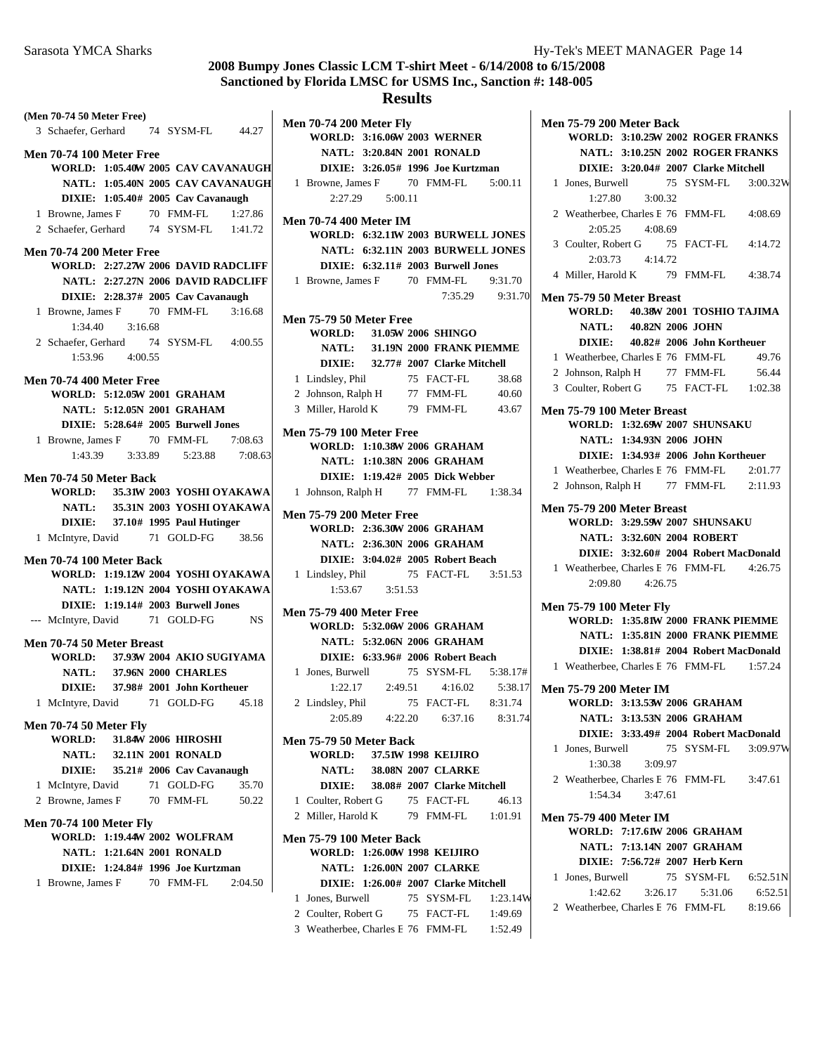#### **Results**

**(Men 70-74 50 Meter Free)** 3 Schaefer, Gerhard 74 SYSM-FL 44.27 **Men 70-74 100 Meter Free WORLD: 1:05.40W 2005 CAV CAVANAUGH NATL: 1:05.40N 2005 CAV CAVANAUGH DIXIE:** 1:05.40# 2005 Cav Cavanaugh 1 Browne, James F 70 FMM-FL 1:27.86 2 Schaefer, Gerhard 74 SYSM-FL 1:41.72 **Men 70-74 200 Meter Free WORLD: 2:27.27W 2006 DAVID RADCLIFF NATL: 2:27.27N 2006 DAVID RADCLIFF DIXIE: 2:28.37# 2005 Cav Cavanaugh** 1 Browne, James F 70 FMM-FL 3:16.68  $1:34.40$   $3:16.68$ 2 Schaefer, Gerhard 74 SYSM-FL 4:00.55  $1:53.96$   $4:00.55$ **Men 70-74 400 Meter Free WORLD: 5:12.05W 2001 GRAHAM NATL: 5:12.05N 2001 GRAHAM DIXIE:** 5:28.64# 2005 **Burwell Jones** 1 Browne, James F 70 FMM-FL 7:08.63 1:43.39 3:33.89 7:08.63 5:23.88 **Men 70-74 50 Meter Back WORLD:** 35.31W 2003 **YOSHI OYAKAWA NATL:** 35.31N 2003 **YOSHI OYAKAWA DIXIE:** 37.10# 1995 Paul Hutinger 1 McIntyre, David 71 GOLD-FG 38.56 **Men 70-74 100 Meter Back WORLD: 1:19.12W 2004 YOSHI OYAKAWA NATL: 1:19.12N 2004 YOSHI OYAKAWA DIXIE:** 1:19.14# 2003 **Burwell Jones** --- McIntyre, David 71 GOLD-FG NS **Men 70-74 50 Meter Breast WORLD:** 37.93W 2004 AKIO SUGIYAMA **NATL: 37.96N 2000 CHARLES DIXIE:** 37.98# 2001 John Kortheuer 1 McIntyre, David 71 GOLD-FG 45.18 **Men 70-74 50 Meter Fly WORLD:** 31.84W 2006 HIROSHI **NATL:** 32.11N 2001 **RONALD DIXIE:** 35.21# 2006 Cav Cavanaugh 1 McIntyre, David 71 GOLD-FG 35.70 2 Browne, James F 70 FMM-FL 50.22 **Men 70-74 100 Meter Fly WORLD: 1:19.44W 2002 WOLFRAM NATL: 1:21.64N 2001 RONALD DIXIE: 1:24.84# 1996 Joe Kurtzman** 1 Browne, James F 70 FMM-FL 2:04.50

**Men 70-74 200 Meter Fly WORLD: 3:16.06W 2003 WERNER NATL: 3:20.84N 2001 RONALD DIXIE:** 3:26.05# 1996 Joe Kurtzman 1 Browne, James F 70 FMM-FL 5:00.11 2:27.29 5:00.11 **Men 70-74 400 Meter IM WORLD: 6:32.11W 2003 BURWELL JONES NATL: 6:32.11N 2003 BURWELL JONES DIXIE:** 6:32.11# 2003 **Burwell Jones** 1 Browne, James F 70 FMM-FL 9:31.70 7:35.29 9:31.70 **Men 75-79 50 Meter Free WORLD:** 31.05W 2006 **SHINGO NATL: 31.19N 2000 FRANK PIEMME DIXIE:** 32.77# 2007 **Clarke Mitchell** 1 Lindsley, Phil 75 FACT-FL 38.68 2 Johnson, Ralph H 77 FMM-FL 40.60 3 Miller, Harold K 79 FMM-FL 43.67 **Men 75-79 100 Meter Free WORLD: 1:10.38W 2006 GRAHAM NATL: 1:10.38N 2006 GRAHAM DIXIE:** 1:19.42# 2005 Dick Webber 1 Johnson, Ralph H 77 FMM-FL 1:38.34 **Men 75-79 200 Meter Free WORLD: 2:36.30W 2006 GRAHAM NATL: 2:36.30N 2006 GRAHAM DIXIE:** 3:04.02# 2005 Robert Beach 1 Lindsley, Phil 75 FACT-FL 3:51.53 1:53.67 3:51.53 **Men 75-79 400 Meter Free WORLD: 5:32.06W 2006 GRAHAM NATL: 5:32.06N 2006 GRAHAM DIXIE:** 6:33.96# 2006 Robert Beach 1 Jones, Burwell 75 SYSM-FL 5:38.17# 1:22.17 2:49.51 4:16.02 5:38.17 2 Lindsley, Phil 75 FACT-FL 8:31.74 2:05.89 4:22.20 6:37.16 8:31.74 **Men 75-79 50 Meter Back WORLD: 37.51W 1998 KEIJIRO NATL:** 38.08N 2007 **CLARKE DIXIE:** 38.08# 2007 Clarke Mitchell 1 Coulter, Robert G 75 FACT-FL 46.13 2 Miller, Harold K 79 FMM-FL 1:01.91 **Men 75-79 100 Meter Back WORLD: 1:26.00 1998 W KEIJIRO NATL: 1:26.00N 2007 CLARKE DIXIE:** 1:26.00# 2007 Clarke Mitchell 1 Jones, Burwell 75 SYSM-FL 1:23.14V

2 Coulter, Robert G 75 FACT-FL 1:49.69 3 Weatherbee, Charles E 76 FMM-FL 1:52.49

| <b>Men 75-79 200 Meter Back</b>            |
|--------------------------------------------|
| <b>WORLD: 3:10.25W 2002 ROGER FRANKS</b>   |
| <b>NATL: 3:10.25N 2002 ROGER FRANKS</b>    |
| DIXIE: 3:20.04# 2007 Clarke Mitchell       |
| 75 SYSM-FL 3:00.32W<br>1 Jones, Burwell    |
| 3:00.32<br>1:27.80                         |
| 2 Weatherbee, Charles E 76 FMM-FL 4:08.69  |
| 2:05.25<br>4:08.69                         |
| 3 Coulter, Robert G 75 FACT-FL 4:14.72     |
| 2:03.73 4:14.72                            |
| 4 Miller, Harold K 79 FMM-FL 4:38.74       |
|                                            |
| Men 75-79 50 Meter Breast                  |
| WORLD: 40.38W 2001 TOSHIO TAJIMA           |
| NATL: 40.82N 2006 JOHN                     |
| DIXIE: 40.82# 2006 John Kortheuer          |
| 1 Weatherbee, Charles E 76 FMM-FL<br>49.76 |
| 77 FMM-FL<br>2 Johnson, Ralph H<br>56.44   |
| 3 Coulter, Robert G 75 FACT-FL 1:02.38     |
|                                            |
| Men 75-79 100 Meter Breast                 |
| WORLD: 1:32.69W 2007 SHUNSAKU              |
| NATL: 1:34.93N 2006 JOHN                   |
| DIXIE: 1:34.93# 2006 John Kortheuer        |
| 1 Weatherbee, Charles E 76 FMM-FL 2:01.77  |
| 2 Johnson, Ralph H 77 FMM-FL 2:11.93       |
| Men 75-79 200 Meter Breast                 |
| <b>WORLD: 3:29.59W 2007 SHUNSAKU</b>       |
| <b>NATL: 3:32.60N 2004 ROBERT</b>          |
| DIXIE: 3:32.60# 2004 Robert MacDonald      |
| 1 Weatherbee, Charles E 76 FMM-FL 4:26.75  |
| 2:09.80 4:26.75                            |
|                                            |
| <b>Men 75-79 100 Meter Fly</b>             |
| WORLD: 1:35.81W 2000 FRANK PIEMME          |
| NATL: 1:35.81N 2000 FRANK PIEMME           |
| DIXIE: 1:38.81# 2004 Robert MacDonald      |
| 1 Weatherbee, Charles E 76 FMM-FL 1:57.24  |
| <b>Men 75-79 200 Meter IM</b>              |
| WORLD: 3:13.53W 2006 GRAHAM                |
| NATL: 3:13.53N 2006 GRAHAM                 |
| DIXIE: 3:33.49# 2004 Robert MacDonald      |
|                                            |
| 75 SYSM-FL 3:09.97W<br>1 Jones, Burwell    |
| 1:30.38 3:09.97                            |
| 2 Weatherbee, Charles E 76 FMM-FL 3:47.61  |
| $1:54.34$ $3:47.61$                        |
| <b>Men 75-79 400 Meter IM</b>              |
| WORLD: 7:17.61W 2006 GRAHAM                |
| NATL: 7:13.14N 2007 GRAHAM                 |
| DIXIE: 7:56.72# 2007 Herb Kern             |
| 1 Jones, Burwell<br>75 SYSM-FL 6:52.51N    |
| $1:42.62$ $3:26.17$ $5:31.06$<br>6:52.51   |
|                                            |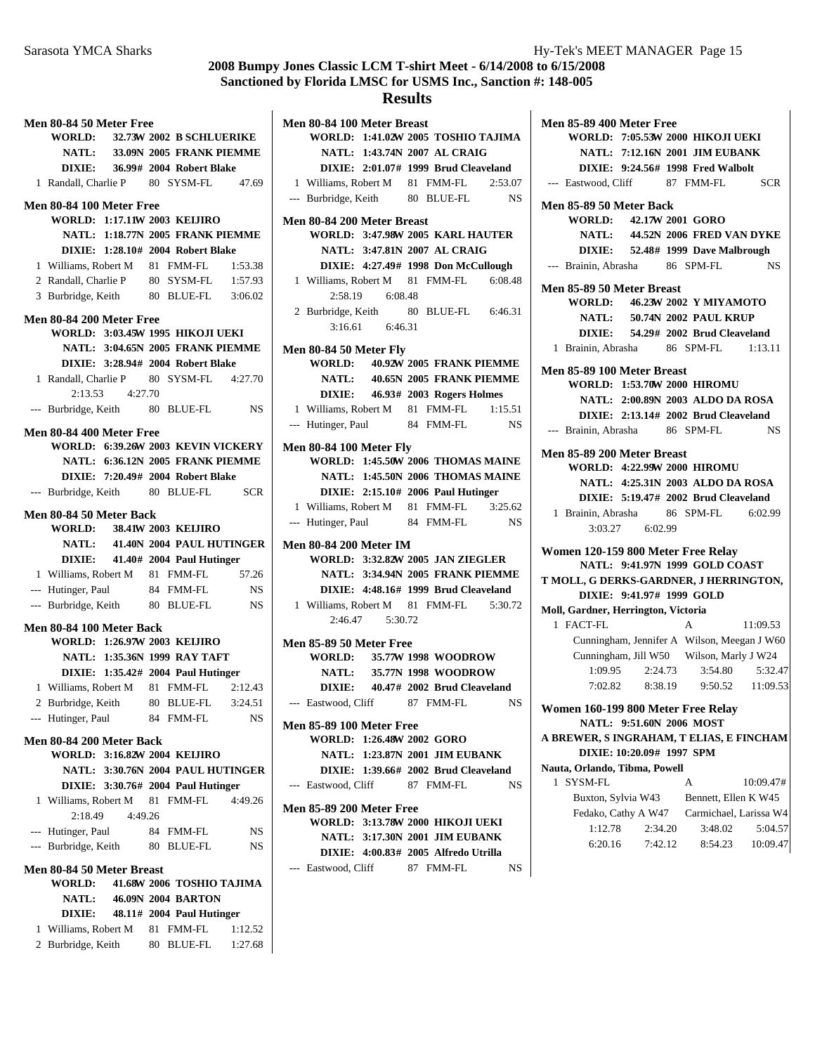## **Results**

**WORLD: 1:41.02W 2005 TOSHIO TAJIMA** 

**Men 80-84 100 Meter Breast**

|   | <b>Men 80-84 50 Meter Free</b>                       |         |  |                                         |                    |  |
|---|------------------------------------------------------|---------|--|-----------------------------------------|--------------------|--|
|   | <b>WORLD:</b>                                        |         |  | 32.73W 2002 B SCHLUERIKE                |                    |  |
|   | <b>NATL:</b>                                         |         |  | 33.09N 2005 FRANK PIEMME                |                    |  |
|   | <b>DIXIE:</b>                                        |         |  | 36.99# 2004 Robert Blake                |                    |  |
|   | 1 Randall, Charlie P 80 SYSM-FL 47.69                |         |  |                                         |                    |  |
|   |                                                      |         |  |                                         |                    |  |
|   | <b>Men 80-84 100 Meter Free</b>                      |         |  |                                         |                    |  |
|   |                                                      |         |  | <b>WORLD: 1:17.11W 2003 KEIJIRO</b>     |                    |  |
|   |                                                      |         |  | NATL: 1:18.77N 2005 FRANK PIEMME        |                    |  |
|   |                                                      |         |  | DIXIE: 1:28.10# 2004 Robert Blake       |                    |  |
|   | 1 Williams, Robert M 81 FMM-FL                       |         |  |                                         | 1:53.38            |  |
|   | 2 Randall, Charlie P 80 SYSM-FL                      |         |  |                                         | 1:57.93            |  |
|   | 3 Burbridge, Keith 80 BLUE-FL 3:06.02                |         |  |                                         |                    |  |
|   | <b>Men 80-84 200 Meter Free</b>                      |         |  |                                         |                    |  |
|   |                                                      |         |  | <b>WORLD: 3:03.45W 1995 HIKOJI UEKI</b> |                    |  |
|   |                                                      |         |  | NATL: 3:04.65N 2005 FRANK PIEMME        |                    |  |
|   |                                                      |         |  | DIXIE: 3:28.94# 2004 Robert Blake       |                    |  |
|   | 1 Randall, Charlie P 80 SYSM-FL 4:27.70              |         |  |                                         |                    |  |
|   | 2:13.53                                              | 4:27.70 |  |                                         |                    |  |
|   | --- Burbridge, Keith 80 BLUE-FL                      |         |  |                                         | <b>NS</b>          |  |
|   | <b>Men 80-84 400 Meter Free</b>                      |         |  |                                         |                    |  |
|   |                                                      |         |  | WORLD: 6:39.26W 2003 KEVIN VICKERY      |                    |  |
|   |                                                      |         |  | NATL: 6:36.12N 2005 FRANK PIEMME        |                    |  |
|   |                                                      |         |  | DIXIE: 7:20.49# 2004 Robert Blake       |                    |  |
|   | --- Burbridge, Keith 80 BLUE-FL SCR                  |         |  |                                         |                    |  |
|   |                                                      |         |  |                                         |                    |  |
|   | Men 80-84 50 Meter Back                              |         |  |                                         |                    |  |
|   |                                                      |         |  | WORLD: 38.41W 2003 KEIJIRO              |                    |  |
|   | <b>NATL:</b>                                         |         |  | 41.40N 2004 PAUL HUTINGER               |                    |  |
|   | <b>DIXIE:</b>                                        |         |  | 41.40# 2004 Paul Hutinger               |                    |  |
|   |                                                      |         |  |                                         |                    |  |
|   | 1 Williams, Robert M 81 FMM-FL                       |         |  |                                         | 57.26              |  |
|   | --- Hutinger, Paul                                   |         |  | 84 FMM-FL                               | NS                 |  |
|   | --- Burbridge, Keith                                 |         |  | 80 BLUE-FL                              | <b>NS</b>          |  |
|   | <b>Men 80-84 100 Meter Back</b>                      |         |  |                                         |                    |  |
|   |                                                      |         |  | WORLD: 1:26.97W 2003 KEIJIRO            |                    |  |
|   |                                                      |         |  | NATL: 1:35.36N 1999 RAY TAFT            |                    |  |
|   |                                                      |         |  | DIXIE: 1:35.42# 2004 Paul Hutinger      |                    |  |
|   |                                                      |         |  |                                         | 2:12.43            |  |
|   | 1 Williams, Robert M 81 FMM-FL<br>2 Burbridge, Keith |         |  |                                         | 3:24.51            |  |
|   | --- Hutinger, Paul                                   |         |  | 80 BLUE-FL<br>84 FMM-FL                 | NS                 |  |
|   |                                                      |         |  |                                         |                    |  |
|   | Men 80-84 200 Meter Back                             |         |  |                                         |                    |  |
|   |                                                      |         |  | WORLD: 3:16.82W 2004 KEIJIRO            |                    |  |
|   |                                                      |         |  | NATL: 3:30.76N 2004 PAUL HUTINGER       |                    |  |
|   |                                                      |         |  | DIXIE: 3:30.76# 2004 Paul Hutinger      |                    |  |
| 1 | Williams, Robert M 81 FMM-FL                         |         |  |                                         | 4:49.26            |  |
|   | 2:18.49                                              | 4:49.26 |  |                                         |                    |  |
|   | --- Hutinger, Paul                                   |         |  | 84 FMM-FL                               | NS                 |  |
|   | --- Burbridge, Keith                                 |         |  | 80 BLUE-FL                              | NS                 |  |
|   | Men 80-84 50 Meter Breast                            |         |  |                                         |                    |  |
|   | <b>WORLD:</b>                                        |         |  | 41.68W 2006 TOSHIO TAJIMA               |                    |  |
|   | <b>NATL:</b>                                         |         |  | 46.09N 2004 BARTON                      |                    |  |
|   | <b>DIXIE:</b>                                        |         |  | 48.11# 2004 Paul Hutinger               |                    |  |
| 1 | Williams, Robert M 81 FMM-FL<br>2 Burbridge, Keith   |         |  | 80 BLUE-FL                              | 1:12.52<br>1:27.68 |  |

|                                                              |                     | NATL: 1:43.74N 2007 AL CRAIG            |                 |
|--------------------------------------------------------------|---------------------|-----------------------------------------|-----------------|
|                                                              |                     | DIXIE: 2:01.07# 1999 Brud Cleaveland    |                 |
| 1 Williams, Robert M 81 FMM-FL 2:53.07                       |                     |                                         |                 |
| --- Burbridge, Keith 80 BLUE-FL                              |                     |                                         | <b>NS</b>       |
|                                                              |                     |                                         |                 |
| Men 80-84 200 Meter Breast                                   |                     | WORLD: 3:47.98W 2005 KARL HAUTER        |                 |
|                                                              |                     | NATL: 3:47.81N 2007 AL CRAIG            |                 |
|                                                              |                     | DIXIE: 4:27.49# 1998 Don McCullough     |                 |
| 1 Williams, Robert M 81 FMM-FL                               |                     |                                         | 6:08.48         |
|                                                              | 2:58.19 6:08.48     |                                         |                 |
| 2 Burbridge, Keith                                           |                     | 80 BLUE-FL 6:46.31                      |                 |
|                                                              | $3:16.61$ $6:46.31$ |                                         |                 |
|                                                              |                     |                                         |                 |
| Men 80-84 50 Meter Fly                                       |                     |                                         |                 |
|                                                              |                     | WORLD: 40.92W 2005 FRANK PIEMME         |                 |
|                                                              |                     | NATL: 40.65N 2005 FRANK PIEMME          |                 |
|                                                              |                     | DIXIE: 46.93# 2003 Rogers Holmes        |                 |
| 1 Williams, Robert M 81 FMM-FL                               |                     |                                         | 1:15.51         |
| --- Hutinger, Paul 84 FMM-FL                                 |                     |                                         | <b>NS</b>       |
| <b>Men 80-84 100 Meter Fly</b>                               |                     |                                         |                 |
|                                                              |                     | WORLD: 1:45.50W 2006 THOMAS MAINE       |                 |
|                                                              |                     | NATL: 1:45.50N 2006 THOMAS MAINE        |                 |
|                                                              |                     | DIXIE: 2:15.10# 2006 Paul Hutinger      |                 |
|                                                              |                     |                                         |                 |
| 1 Williams, Robert M 81 FMM-FL 3:25.62<br>--- Hutinger, Paul |                     | 84 FMM-FL                               | NS <sub>N</sub> |
|                                                              |                     |                                         |                 |
| <b>Men 80-84 200 Meter IM</b>                                |                     |                                         |                 |
|                                                              |                     | WORLD: 3:32.82W 2005 JAN ZIEGLER        |                 |
|                                                              |                     | NATL: 3:34.94N 2005 FRANK PIEMME        |                 |
|                                                              |                     | DIXIE: 4:48.16# 1999 Brud Cleaveland    |                 |
| 1 Williams, Robert M 81 FMM-FL 5:30.72                       |                     |                                         |                 |
|                                                              | 2:46.47 5:30.72     |                                         |                 |
| <b>Men 85-89 50 Meter Free</b>                               |                     |                                         |                 |
|                                                              |                     | WORLD: 35.77W 1998 WOODROW              |                 |
|                                                              |                     | NATL: 35.77N 1998 WOODROW               |                 |
|                                                              |                     | DIXIE: 40.47# 2002 Brud Cleaveland      |                 |
| --- Eastwood, Cliff 87 FMM-FL                                |                     |                                         | <b>NS</b>       |
|                                                              |                     |                                         |                 |
| <b>Men 85-89 100 Meter Free</b>                              |                     |                                         |                 |
| WORLD: 1:26.48W 2002 GORO                                    |                     |                                         |                 |
|                                                              |                     | NATL: 1:23.87N 2001 JIM EUBANK          |                 |
|                                                              |                     | DIXIE: 1:39.66# 2002 Brud Cleaveland    |                 |
| --- Eastwood, Cliff                                          |                     | 87 FMM-FL                               | NS              |
| <b>Men 85-89 200 Meter Free</b>                              |                     |                                         |                 |
|                                                              |                     | <b>WORLD: 3:13.78W 2000 HIKOJI UEKI</b> |                 |
|                                                              |                     | NATL: 3:17.30N 2001 JIM EUBANK          |                 |
|                                                              |                     | DIXIE: 4:00.83# 2005 Alfredo Utrilla    |                 |
| --- Eastwood, Cliff                                          |                     | 87 FMM-FL                               | NS              |
|                                                              |                     |                                         |                 |

| <b>Men 85-89 400 Meter Free</b>                                       |                                             |  |  |  |  |
|-----------------------------------------------------------------------|---------------------------------------------|--|--|--|--|
|                                                                       | WORLD: 7:05.53W 2000 HIKOJI UEKI            |  |  |  |  |
|                                                                       | <b>NATL: 7:12.16N 2001 JIM EUBANK</b>       |  |  |  |  |
|                                                                       | DIXIE: 9:24.56# 1998 Fred Walbolt           |  |  |  |  |
| --- Eastwood, Cliff                                                   | 87 FMM-FL<br><b>SCR</b>                     |  |  |  |  |
| Men 85-89 50 Meter Back                                               |                                             |  |  |  |  |
| WORLD: 42.17W 2001 GORO                                               |                                             |  |  |  |  |
|                                                                       | NATL: 44.52N 2006 FRED VAN DYKE             |  |  |  |  |
|                                                                       | DIXIE: 52.48# 1999 Dave Malbrough           |  |  |  |  |
| --- Brainin, Abrasha 86 SPM-FL                                        | <b>NS</b>                                   |  |  |  |  |
| Men 85-89 50 Meter Breast                                             |                                             |  |  |  |  |
|                                                                       | WORLD: 46.23W 2002 Y MIYAMOTO               |  |  |  |  |
|                                                                       | <b>NATL: 50.74N 2002 PAUL KRUP</b>          |  |  |  |  |
|                                                                       | DIXIE: 54.29# 2002 Brud Cleaveland          |  |  |  |  |
|                                                                       | 1 Brainin, Abrasha 86 SPM-FL 1:13.11        |  |  |  |  |
|                                                                       |                                             |  |  |  |  |
| Men 85-89 100 Meter Breast                                            |                                             |  |  |  |  |
| WORLD: 1:53.70W 2000 HIROMU                                           |                                             |  |  |  |  |
|                                                                       | NATL: 2:00.89N 2003 ALDO DA ROSA            |  |  |  |  |
|                                                                       | DIXIE: 2:13.14# 2002 Brud Cleaveland        |  |  |  |  |
| --- Brainin, Abrasha 86 SPM-FL                                        | <b>NS</b>                                   |  |  |  |  |
| Men 85-89 200 Meter Breast                                            |                                             |  |  |  |  |
| <b>WORLD: 4:22.99W 2000 HIROMU</b>                                    |                                             |  |  |  |  |
|                                                                       | <b>NATL: 4:25.31N 2003 ALDO DA ROSA</b>     |  |  |  |  |
|                                                                       | DIXIE: 5:19.47# 2002 Brud Cleaveland        |  |  |  |  |
| 1 Brainin, Abrasha                                                    | 86 SPM-FL 6:02.99                           |  |  |  |  |
| 3:03.27 6:02.99                                                       |                                             |  |  |  |  |
| Women 120-159 800 Meter Free Relay                                    |                                             |  |  |  |  |
|                                                                       | NATL: 9:41.97N 1999 GOLD COAST              |  |  |  |  |
|                                                                       | T MOLL, G DERKS-GARDNER, J HERRINGTON,      |  |  |  |  |
| DIXIE: 9:41.97# 1999 GOLD                                             |                                             |  |  |  |  |
| Moll, Gardner, Herrington, Victoria                                   |                                             |  |  |  |  |
| 1 FACT-FL                                                             | 11:09.53<br>A                               |  |  |  |  |
|                                                                       | Cunningham, Jennifer A Wilson, Meegan J W60 |  |  |  |  |
| Cunningham, Jill W50 Wilson, Marly J W24                              |                                             |  |  |  |  |
| 2:24.73<br>1:09.95                                                    | 5:32.47<br>3:54.80                          |  |  |  |  |
|                                                                       | 7:02.82 8:38.19 9:50.52 11:09.53            |  |  |  |  |
|                                                                       |                                             |  |  |  |  |
| Women 160-199 800 Meter Free Relay<br><b>NATL: 9:51.60N 2006 MOST</b> |                                             |  |  |  |  |
| A BREWER, S INGRAHAM, T ELIAS, E FINCHAM                              |                                             |  |  |  |  |
| DIXIE: 10:20.09# 1997 SPM                                             |                                             |  |  |  |  |
| Nauta, Orlando, Tibma, Powell                                         |                                             |  |  |  |  |
| SYSM-FL<br>1                                                          | A<br>10:09.47#                              |  |  |  |  |
| Buxton, Sylvia W43<br>Bennett, Ellen K W45                            |                                             |  |  |  |  |
| Fedako, Cathy A W47                                                   | Carmichael, Larissa W4                      |  |  |  |  |
|                                                                       |                                             |  |  |  |  |
| 1:12.78                                                               | 5:04.57<br>2:34.20<br>3:48.02               |  |  |  |  |